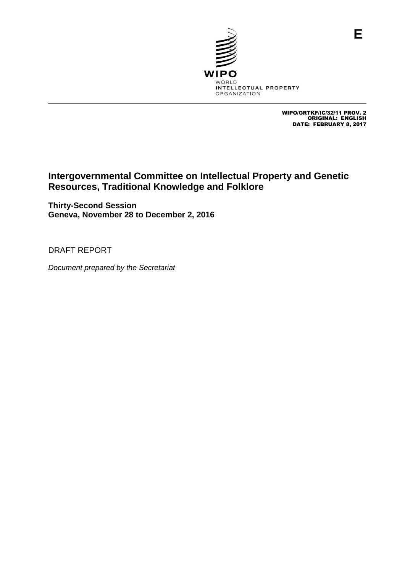

WIPO/GRTKF/IC/32/11 PROV. 2 ORIGINAL: ENGLISH DATE: FEBRUARY 8, 2017

**E**

# **Intergovernmental Committee on Intellectual Property and Genetic Resources, Traditional Knowledge and Folklore**

**Thirty-Second Session Geneva, November 28 to December 2, 2016**

DRAFT REPORT

*Document prepared by the Secretariat*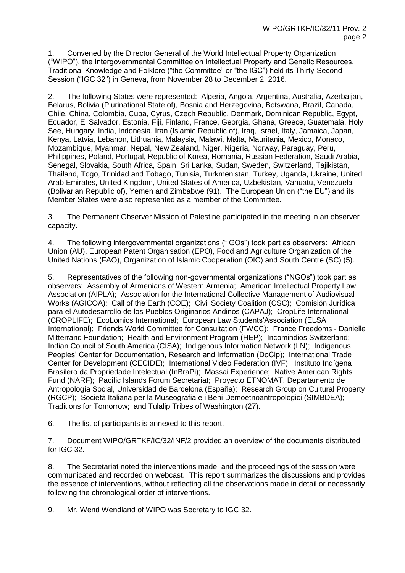1. Convened by the Director General of the World Intellectual Property Organization ("WIPO"), the Intergovernmental Committee on Intellectual Property and Genetic Resources, Traditional Knowledge and Folklore ("the Committee" or "the IGC") held its Thirty-Second Session ("IGC 32") in Geneva, from November 28 to December 2, 2016.

2. The following States were represented: Algeria, Angola, Argentina, Australia, Azerbaijan, Belarus, Bolivia (Plurinational State of), Bosnia and Herzegovina, Botswana, Brazil, Canada, Chile, China, Colombia, Cuba, Cyrus, Czech Republic, Denmark, Dominican Republic, Egypt, Ecuador, El Salvador, Estonia, Fiji, Finland, France, Georgia, Ghana, Greece, Guatemala, Holy See, Hungary, India, Indonesia, Iran (Islamic Republic of), Iraq, Israel, Italy, Jamaica, Japan, Kenya, Latvia, Lebanon, Lithuania, Malaysia, Malawi, Malta, Mauritania, Mexico, Monaco, Mozambique, Myanmar, Nepal, New Zealand, Niger, Nigeria, Norway, Paraguay, Peru, Philippines, Poland, Portugal, Republic of Korea, Romania, Russian Federation, Saudi Arabia, Senegal, Slovakia, South Africa, Spain, Sri Lanka, Sudan, Sweden, Switzerland, Tajikistan, Thailand, Togo, Trinidad and Tobago, Tunisia, Turkmenistan, Turkey, Uganda, Ukraine, United Arab Emirates, United Kingdom, United States of America, Uzbekistan, Vanuatu, Venezuela (Bolivarian Republic of), Yemen and Zimbabwe (91). The European Union ("the EU") and its Member States were also represented as a member of the Committee.

3. The Permanent Observer Mission of Palestine participated in the meeting in an observer capacity.

4. The following intergovernmental organizations ("IGOs") took part as observers: African Union (AU), European Patent Organisation (EPO), Food and Agriculture Organization of the United Nations (FAO), Organization of Islamic Cooperation (OIC) and South Centre (SC) (5).

5. Representatives of the following non-governmental organizations ("NGOs") took part as observers: Assembly of Armenians of Western Armenia; American Intellectual Property Law Association (AIPLA); Association for the International Collective Management of Audiovisual Works (AGICOA); Call of the Earth (COE); Civil Society Coalition (CSC); Comisión Jurídica para el Autodesarrollo de los Pueblos Originarios Andinos (CAPAJ); CropLife International (CROPLIFE); EcoLomics International; European Law Students'Association (ELSA International); Friends World Committee for Consultation (FWCC); France Freedoms - Danielle Mitterrand Foundation; Health and Environment Program (HEP); Incomindios Switzerland; Indian Council of South America (CISA); Indigenous Information Network (IIN); Indigenous Peoples' Center for Documentation, Research and Information (DoCip); International Trade Center for Development (CECIDE); International Video Federation (IVF); Instituto Indígena Brasilero da Propriedade Intelectual (InBraPi); Massai Experience; Native American Rights Fund (NARF); Pacific Islands Forum Secretariat; Proyecto ETNOMAT, Departamento de Antropología Social, Universidad de Barcelona (España); Research Group on Cultural Property (RGCP); Società Italiana per la Museografia e i Beni Demoetnoantropologici (SIMBDEA); Traditions for Tomorrow; and Tulalip Tribes of Washington (27).

6. The list of participants is annexed to this report.

7. Document WIPO/GRTKF/IC/32/INF/2 provided an overview of the documents distributed for IGC 32.

8. The Secretariat noted the interventions made, and the proceedings of the session were communicated and recorded on webcast. This report summarizes the discussions and provides the essence of interventions, without reflecting all the observations made in detail or necessarily following the chronological order of interventions.

9. Mr. Wend Wendland of WIPO was Secretary to IGC 32.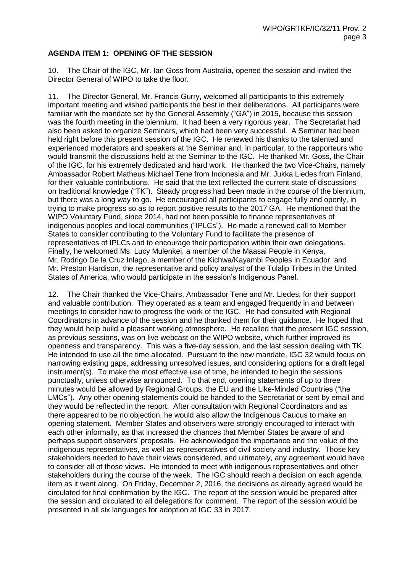#### **AGENDA ITEM 1: OPENING OF THE SESSION**

10. The Chair of the IGC, Mr. Ian Goss from Australia, opened the session and invited the Director General of WIPO to take the floor.

11. The Director General, Mr. Francis Gurry, welcomed all participants to this extremely important meeting and wished participants the best in their deliberations. All participants were familiar with the mandate set by the General Assembly ("GA") in 2015, because this session was the fourth meeting in the biennium. It had been a very rigorous year. The Secretariat had also been asked to organize Seminars, which had been very successful. A Seminar had been held right before this present session of the IGC. He renewed his thanks to the talented and experienced moderators and speakers at the Seminar and, in particular, to the rapporteurs who would transmit the discussions held at the Seminar to the IGC. He thanked Mr. Goss, the Chair of the IGC, for his extremely dedicated and hard work. He thanked the two Vice-Chairs, namely Ambassador Robert Matheus Michael Tene from Indonesia and Mr. Jukka Liedes from Finland, for their valuable contributions. He said that the text reflected the current state of discussions on traditional knowledge ("TK"). Steady progress had been made in the course of the biennium, but there was a long way to go. He encouraged all participants to engage fully and openly, in trying to make progress so as to report positive results to the 2017 GA. He mentioned that the WIPO Voluntary Fund, since 2014, had not been possible to finance representatives of indigenous peoples and local communities ("IPLCs"). He made a renewed call to Member States to consider contributing to the Voluntary Fund to facilitate the presence of representatives of IPLCs and to encourage their participation within their own delegations. Finally, he welcomed Ms. Lucy Mulenkei, a member of the Maasai People in Kenya, Mr. Rodrigo De la Cruz Inlago, a member of the Kichwa/Kayambi Peoples in Ecuador, and Mr. Preston Hardison, the representative and policy analyst of the Tulalip Tribes in the United States of America, who would participate in the session's Indigenous Panel.

12. The Chair thanked the Vice-Chairs, Ambassador Tene and Mr. Liedes, for their support and valuable contribution. They operated as a team and engaged frequently in and between meetings to consider how to progress the work of the IGC. He had consulted with Regional Coordinators in advance of the session and he thanked them for their guidance. He hoped that they would help build a pleasant working atmosphere. He recalled that the present IGC session, as previous sessions, was on live webcast on the WIPO website, which further improved its openness and transparency. This was a five-day session, and the last session dealing with TK. He intended to use all the time allocated. Pursuant to the new mandate, IGC 32 would focus on narrowing existing gaps, addressing unresolved issues, and considering options for a draft legal instrument(s). To make the most effective use of time, he intended to begin the sessions punctually, unless otherwise announced. To that end, opening statements of up to three minutes would be allowed by Regional Groups, the EU and the Like-Minded Countries ("the LMCs"). Any other opening statements could be handed to the Secretariat or sent by email and they would be reflected in the report. After consultation with Regional Coordinators and as there appeared to be no objection, he would also allow the Indigenous Caucus to make an opening statement. Member States and observers were strongly encouraged to interact with each other informally, as that increased the chances that Member States be aware of and perhaps support observers' proposals. He acknowledged the importance and the value of the indigenous representatives, as well as representatives of civil society and industry. Those key stakeholders needed to have their views considered, and ultimately, any agreement would have to consider all of those views. He intended to meet with indigenous representatives and other stakeholders during the course of the week. The IGC should reach a decision on each agenda item as it went along. On Friday, December 2, 2016, the decisions as already agreed would be circulated for final confirmation by the IGC. The report of the session would be prepared after the session and circulated to all delegations for comment. The report of the session would be presented in all six languages for adoption at IGC 33 in 2017.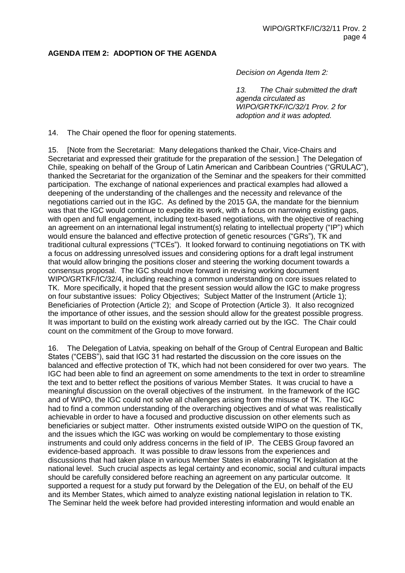### **AGENDA ITEM 2: ADOPTION OF THE AGENDA**

*Decision on Agenda Item 2:*

*13. The Chair submitted the draft agenda circulated as WIPO/GRTKF/IC/32/1 Prov. 2 for adoption and it was adopted.* 

14. The Chair opened the floor for opening statements.

15. [Note from the Secretariat: Many delegations thanked the Chair, Vice-Chairs and Secretariat and expressed their gratitude for the preparation of the session.] The Delegation of Chile, speaking on behalf of the Group of Latin American and Caribbean Countries ("GRULAC"), thanked the Secretariat for the organization of the Seminar and the speakers for their committed participation. The exchange of national experiences and practical examples had allowed a deepening of the understanding of the challenges and the necessity and relevance of the negotiations carried out in the IGC. As defined by the 2015 GA, the mandate for the biennium was that the IGC would continue to expedite its work, with a focus on narrowing existing gaps, with open and full engagement, including text-based negotiations, with the objective of reaching an agreement on an international legal instrument(s) relating to intellectual property ("IP") which would ensure the balanced and effective protection of genetic resources ("GRs"), TK and traditional cultural expressions ("TCEs"). It looked forward to continuing negotiations on TK with a focus on addressing unresolved issues and considering options for a draft legal instrument that would allow bringing the positions closer and steering the working document towards a consensus proposal. The IGC should move forward in revising working document WIPO/GRTKF/IC/32/4, including reaching a common understanding on core issues related to TK. More specifically, it hoped that the present session would allow the IGC to make progress on four substantive issues: Policy Objectives; Subject Matter of the Instrument (Article 1); Beneficiaries of Protection (Article 2); and Scope of Protection (Article 3). It also recognized the importance of other issues, and the session should allow for the greatest possible progress. It was important to build on the existing work already carried out by the IGC. The Chair could count on the commitment of the Group to move forward.

16. The Delegation of Latvia, speaking on behalf of the Group of Central European and Baltic States ("CEBS"), said that IGC 31 had restarted the discussion on the core issues on the balanced and effective protection of TK, which had not been considered for over two years. The IGC had been able to find an agreement on some amendments to the text in order to streamline the text and to better reflect the positions of various Member States. It was crucial to have a meaningful discussion on the overall objectives of the instrument. In the framework of the IGC and of WIPO, the IGC could not solve all challenges arising from the misuse of TK. The IGC had to find a common understanding of the overarching objectives and of what was realistically achievable in order to have a focused and productive discussion on other elements such as beneficiaries or subject matter. Other instruments existed outside WIPO on the question of TK, and the issues which the IGC was working on would be complementary to those existing instruments and could only address concerns in the field of IP. The CEBS Group favored an evidence-based approach. It was possible to draw lessons from the experiences and discussions that had taken place in various Member States in elaborating TK legislation at the national level. Such crucial aspects as legal certainty and economic, social and cultural impacts should be carefully considered before reaching an agreement on any particular outcome. It supported a request for a study put forward by the Delegation of the EU, on behalf of the EU and its Member States, which aimed to analyze existing national legislation in relation to TK. The Seminar held the week before had provided interesting information and would enable an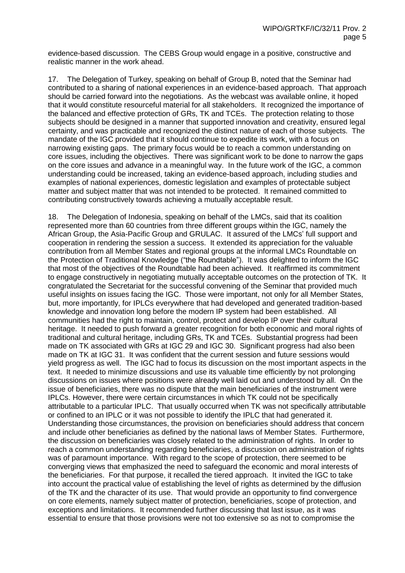evidence-based discussion. The CEBS Group would engage in a positive, constructive and realistic manner in the work ahead.

17. The Delegation of Turkey, speaking on behalf of Group B, noted that the Seminar had contributed to a sharing of national experiences in an evidence-based approach. That approach should be carried forward into the negotiations. As the webcast was available online, it hoped that it would constitute resourceful material for all stakeholders. It recognized the importance of the balanced and effective protection of GRs, TK and TCEs. The protection relating to those subjects should be designed in a manner that supported innovation and creativity, ensured legal certainty, and was practicable and recognized the distinct nature of each of those subjects. The mandate of the IGC provided that it should continue to expedite its work, with a focus on narrowing existing gaps. The primary focus would be to reach a common understanding on core issues, including the objectives. There was significant work to be done to narrow the gaps on the core issues and advance in a meaningful way. In the future work of the IGC, a common understanding could be increased, taking an evidence-based approach, including studies and examples of national experiences, domestic legislation and examples of protectable subject matter and subject matter that was not intended to be protected. It remained committed to contributing constructively towards achieving a mutually acceptable result.

18. The Delegation of Indonesia, speaking on behalf of the LMCs, said that its coalition represented more than 60 countries from three different groups within the IGC, namely the African Group, the Asia-Pacific Group and GRULAC. It assured of the LMCs' full support and cooperation in rendering the session a success. It extended its appreciation for the valuable contribution from all Member States and regional groups at the informal LMCs Roundtable on the Protection of Traditional Knowledge ("the Roundtable"). It was delighted to inform the IGC that most of the objectives of the Roundtable had been achieved. It reaffirmed its commitment to engage constructively in negotiating mutually acceptable outcomes on the protection of TK. It congratulated the Secretariat for the successful convening of the Seminar that provided much useful insights on issues facing the IGC. Those were important, not only for all Member States, but, more importantly, for IPLCs everywhere that had developed and generated tradition-based knowledge and innovation long before the modern IP system had been established. All communities had the right to maintain, control, protect and develop IP over their cultural heritage. It needed to push forward a greater recognition for both economic and moral rights of traditional and cultural heritage, including GRs, TK and TCEs. Substantial progress had been made on TK associated with GRs at IGC 29 and IGC 30. Significant progress had also been made on TK at IGC 31. It was confident that the current session and future sessions would yield progress as well. The IGC had to focus its discussion on the most important aspects in the text. It needed to minimize discussions and use its valuable time efficiently by not prolonging discussions on issues where positions were already well laid out and understood by all. On the issue of beneficiaries, there was no dispute that the main beneficiaries of the instrument were IPLCs. However, there were certain circumstances in which TK could not be specifically attributable to a particular IPLC. That usually occurred when TK was not specifically attributable or confined to an IPLC or it was not possible to identify the IPLC that had generated it. Understanding those circumstances, the provision on beneficiaries should address that concern and include other beneficiaries as defined by the national laws of Member States. Furthermore, the discussion on beneficiaries was closely related to the administration of rights. In order to reach a common understanding regarding beneficiaries, a discussion on administration of rights was of paramount importance. With regard to the scope of protection, there seemed to be converging views that emphasized the need to safeguard the economic and moral interests of the beneficiaries. For that purpose, it recalled the tiered approach. It invited the IGC to take into account the practical value of establishing the level of rights as determined by the diffusion of the TK and the character of its use. That would provide an opportunity to find convergence on core elements, namely subject matter of protection, beneficiaries, scope of protection, and exceptions and limitations. It recommended further discussing that last issue, as it was essential to ensure that those provisions were not too extensive so as not to compromise the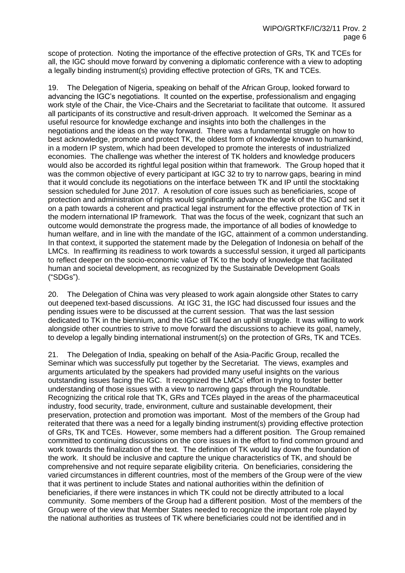scope of protection. Noting the importance of the effective protection of GRs, TK and TCEs for all, the IGC should move forward by convening a diplomatic conference with a view to adopting a legally binding instrument(s) providing effective protection of GRs, TK and TCEs.

19. The Delegation of Nigeria, speaking on behalf of the African Group, looked forward to advancing the IGC's negotiations. It counted on the expertise, professionalism and engaging work style of the Chair, the Vice-Chairs and the Secretariat to facilitate that outcome. It assured all participants of its constructive and result-driven approach. It welcomed the Seminar as a useful resource for knowledge exchange and insights into both the challenges in the negotiations and the ideas on the way forward. There was a fundamental struggle on how to best acknowledge, promote and protect TK, the oldest form of knowledge known to humankind, in a modern IP system, which had been developed to promote the interests of industrialized economies. The challenge was whether the interest of TK holders and knowledge producers would also be accorded its rightful legal position within that framework. The Group hoped that it was the common objective of every participant at IGC 32 to try to narrow gaps, bearing in mind that it would conclude its negotiations on the interface between TK and IP until the stocktaking session scheduled for June 2017. A resolution of core issues such as beneficiaries, scope of protection and administration of rights would significantly advance the work of the IGC and set it on a path towards a coherent and practical legal instrument for the effective protection of TK in the modern international IP framework. That was the focus of the week, cognizant that such an outcome would demonstrate the progress made, the importance of all bodies of knowledge to human welfare, and in line with the mandate of the IGC, attainment of a common understanding. In that context, it supported the statement made by the Delegation of Indonesia on behalf of the LMCs. In reaffirming its readiness to work towards a successful session, it urged all participants to reflect deeper on the socio-economic value of TK to the body of knowledge that facilitated human and societal development, as recognized by the Sustainable Development Goals ("SDGs").

20. The Delegation of China was very pleased to work again alongside other States to carry out deepened text-based discussions. At IGC 31, the IGC had discussed four issues and the pending issues were to be discussed at the current session. That was the last session dedicated to TK in the biennium, and the IGC still faced an uphill struggle. It was willing to work alongside other countries to strive to move forward the discussions to achieve its goal, namely, to develop a legally binding international instrument(s) on the protection of GRs, TK and TCEs.

21. The Delegation of India, speaking on behalf of the Asia-Pacific Group, recalled the Seminar which was successfully put together by the Secretariat. The views, examples and arguments articulated by the speakers had provided many useful insights on the various outstanding issues facing the IGC. It recognized the LMCs' effort in trying to foster better understanding of those issues with a view to narrowing gaps through the Roundtable. Recognizing the critical role that TK, GRs and TCEs played in the areas of the pharmaceutical industry, food security, trade, environment, culture and sustainable development, their preservation, protection and promotion was important. Most of the members of the Group had reiterated that there was a need for a legally binding instrument(s) providing effective protection of GRs, TK and TCEs. However, some members had a different position. The Group remained committed to continuing discussions on the core issues in the effort to find common ground and work towards the finalization of the text. The definition of TK would lay down the foundation of the work. It should be inclusive and capture the unique characteristics of TK, and should be comprehensive and not require separate eligibility criteria. On beneficiaries, considering the varied circumstances in different countries, most of the members of the Group were of the view that it was pertinent to include States and national authorities within the definition of beneficiaries, if there were instances in which TK could not be directly attributed to a local community. Some members of the Group had a different position. Most of the members of the Group were of the view that Member States needed to recognize the important role played by the national authorities as trustees of TK where beneficiaries could not be identified and in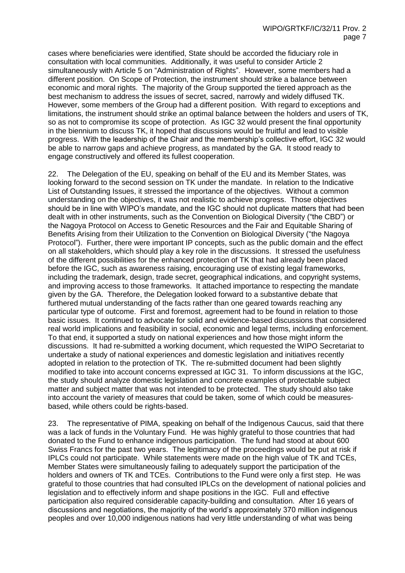cases where beneficiaries were identified, State should be accorded the fiduciary role in consultation with local communities. Additionally, it was useful to consider Article 2 simultaneously with Article 5 on "Administration of Rights". However, some members had a different position. On Scope of Protection, the instrument should strike a balance between economic and moral rights. The majority of the Group supported the tiered approach as the best mechanism to address the issues of secret, sacred, narrowly and widely diffused TK. However, some members of the Group had a different position. With regard to exceptions and limitations, the instrument should strike an optimal balance between the holders and users of TK, so as not to compromise its scope of protection. As IGC 32 would present the final opportunity in the biennium to discuss TK, it hoped that discussions would be fruitful and lead to visible progress. With the leadership of the Chair and the membership's collective effort, IGC 32 would be able to narrow gaps and achieve progress, as mandated by the GA. It stood ready to engage constructively and offered its fullest cooperation.

22. The Delegation of the EU, speaking on behalf of the EU and its Member States, was looking forward to the second session on TK under the mandate. In relation to the Indicative List of Outstanding Issues, it stressed the importance of the objectives. Without a common understanding on the objectives, it was not realistic to achieve progress. Those objectives should be in line with WIPO's mandate, and the IGC should not duplicate matters that had been dealt with in other instruments, such as the Convention on Biological Diversity ("the CBD") or the Nagoya Protocol on Access to Genetic Resources and the Fair and Equitable Sharing of Benefits Arising from their Utilization to the Convention on Biological Diversity ("the Nagoya Protocol"). Further, there were important IP concepts, such as the public domain and the effect on all stakeholders, which should play a key role in the discussions. It stressed the usefulness of the different possibilities for the enhanced protection of TK that had already been placed before the IGC, such as awareness raising, encouraging use of existing legal frameworks, including the trademark, design, trade secret, geographical indications, and copyright systems, and improving access to those frameworks. It attached importance to respecting the mandate given by the GA. Therefore, the Delegation looked forward to a substantive debate that furthered mutual understanding of the facts rather than one geared towards reaching any particular type of outcome. First and foremost, agreement had to be found in relation to those basic issues. It continued to advocate for solid and evidence-based discussions that considered real world implications and feasibility in social, economic and legal terms, including enforcement. To that end, it supported a study on national experiences and how those might inform the discussions. It had re-submitted a working document, which requested the WIPO Secretariat to undertake a study of national experiences and domestic legislation and initiatives recently adopted in relation to the protection of TK. The re-submitted document had been slightly modified to take into account concerns expressed at IGC 31. To inform discussions at the IGC, the study should analyze domestic legislation and concrete examples of protectable subject matter and subject matter that was not intended to be protected. The study should also take into account the variety of measures that could be taken, some of which could be measuresbased, while others could be rights-based.

23. The representative of PIMA, speaking on behalf of the Indigenous Caucus, said that there was a lack of funds in the Voluntary Fund. He was highly grateful to those countries that had donated to the Fund to enhance indigenous participation. The fund had stood at about 600 Swiss Francs for the past two years. The legitimacy of the proceedings would be put at risk if IPLCs could not participate. While statements were made on the high value of TK and TCEs, Member States were simultaneously failing to adequately support the participation of the holders and owners of TK and TCEs. Contributions to the Fund were only a first step. He was grateful to those countries that had consulted IPLCs on the development of national policies and legislation and to effectively inform and shape positions in the IGC. Full and effective participation also required considerable capacity-building and consultation. After 16 years of discussions and negotiations, the majority of the world's approximately 370 million indigenous peoples and over 10,000 indigenous nations had very little understanding of what was being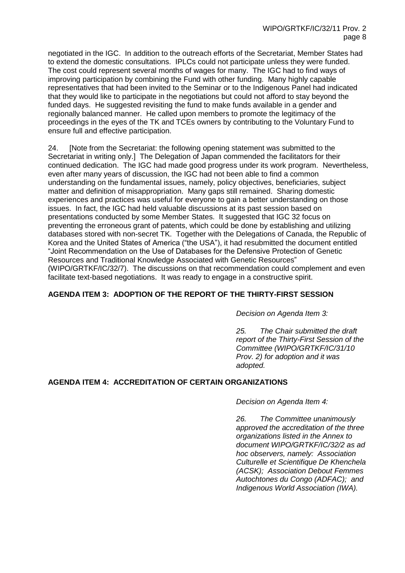negotiated in the IGC. In addition to the outreach efforts of the Secretariat, Member States had to extend the domestic consultations. IPLCs could not participate unless they were funded. The cost could represent several months of wages for many. The IGC had to find ways of improving participation by combining the Fund with other funding. Many highly capable representatives that had been invited to the Seminar or to the Indigenous Panel had indicated that they would like to participate in the negotiations but could not afford to stay beyond the funded days. He suggested revisiting the fund to make funds available in a gender and regionally balanced manner. He called upon members to promote the legitimacy of the proceedings in the eyes of the TK and TCEs owners by contributing to the Voluntary Fund to ensure full and effective participation.

24. [Note from the Secretariat: the following opening statement was submitted to the Secretariat in writing only.] The Delegation of Japan commended the facilitators for their continued dedication. The IGC had made good progress under its work program. Nevertheless, even after many years of discussion, the IGC had not been able to find a common understanding on the fundamental issues, namely, policy objectives, beneficiaries, subject matter and definition of misappropriation. Many gaps still remained. Sharing domestic experiences and practices was useful for everyone to gain a better understanding on those issues. In fact, the IGC had held valuable discussions at its past session based on presentations conducted by some Member States. It suggested that IGC 32 focus on preventing the erroneous grant of patents, which could be done by establishing and utilizing databases stored with non-secret TK. Together with the Delegations of Canada, the Republic of Korea and the United States of America ("the USA"), it had resubmitted the document entitled "Joint Recommendation on the Use of Databases for the Defensive Protection of Genetic Resources and Traditional Knowledge Associated with Genetic Resources" (WIPO/GRTKF/IC/32/7). The discussions on that recommendation could complement and even facilitate text-based negotiations. It was ready to engage in a constructive spirit.

## **AGENDA ITEM 3: ADOPTION OF THE REPORT OF THE THIRTY-FIRST SESSION**

*Decision on Agenda Item 3:*

*25. The Chair submitted the draft report of the Thirty-First Session of the Committee (WIPO/GRTKF/IC/31/10 Prov. 2) for adoption and it was adopted.*

#### **AGENDA ITEM 4: ACCREDITATION OF CERTAIN ORGANIZATIONS**

*Decision on Agenda Item 4:*

*26. The Committee unanimously approved the accreditation of the three organizations listed in the Annex to document WIPO/GRTKF/IC/32/2 as ad hoc observers, namely: Association Culturelle et Scientifique De Khenchela (ACSK); Association Debout Femmes Autochtones du Congo (ADFAC); and Indigenous World Association (IWA).*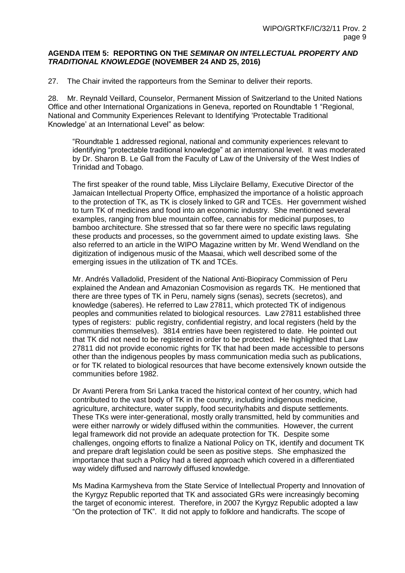#### **AGENDA ITEM 5: REPORTING ON THE** *SEMINAR ON INTELLECTUAL PROPERTY AND TRADITIONAL KNOWLEDGE* **(NOVEMBER 24 AND 25, 2016)**

27. The Chair invited the rapporteurs from the Seminar to deliver their reports.

28. Mr. Reynald Veillard, Counselor, Permanent Mission of Switzerland to the United Nations Office and other International Organizations in Geneva, reported on Roundtable 1 "Regional, National and Community Experiences Relevant to Identifying 'Protectable Traditional Knowledge' at an International Level" as below:

"Roundtable 1 addressed regional, national and community experiences relevant to identifying "protectable traditional knowledge" at an international level. It was moderated by Dr. Sharon B. Le Gall from the Faculty of Law of the University of the West Indies of Trinidad and Tobago.

The first speaker of the round table, Miss Lilyclaire Bellamy, Executive Director of the Jamaican Intellectual Property Office, emphasized the importance of a holistic approach to the protection of TK, as TK is closely linked to GR and TCEs. Her government wished to turn TK of medicines and food into an economic industry. She mentioned several examples, ranging from blue mountain coffee, cannabis for medicinal purposes, to bamboo architecture. She stressed that so far there were no specific laws regulating these products and processes, so the government aimed to update existing laws. She also referred to an article in the WIPO Magazine written by Mr. Wend Wendland on the digitization of indigenous music of the Maasai, which well described some of the emerging issues in the utilization of TK and TCEs.

Mr. Andrés Valladolid, President of the National Anti-Biopiracy Commission of Peru explained the Andean and Amazonian Cosmovision as regards TK. He mentioned that there are three types of TK in Peru, namely signs (senas), secrets (secretos), and knowledge (saberes). He referred to Law 27811, which protected TK of indigenous peoples and communities related to biological resources. Law 27811 established three types of registers: public registry, confidential registry, and local registers (held by the communities themselves). 3814 entries have been registered to date. He pointed out that TK did not need to be registered in order to be protected. He highlighted that Law 27811 did not provide economic rights for TK that had been made accessible to persons other than the indigenous peoples by mass communication media such as publications, or for TK related to biological resources that have become extensively known outside the communities before 1982.

Dr Avanti Perera from Sri Lanka traced the historical context of her country, which had contributed to the vast body of TK in the country, including indigenous medicine, agriculture, architecture, water supply, food security/habits and dispute settlements. These TKs were inter-generational, mostly orally transmitted, held by communities and were either narrowly or widely diffused within the communities. However, the current legal framework did not provide an adequate protection for TK. Despite some challenges, ongoing efforts to finalize a National Policy on TK, identify and document TK and prepare draft legislation could be seen as positive steps. She emphasized the importance that such a Policy had a tiered approach which covered in a differentiated way widely diffused and narrowly diffused knowledge.

Ms Madina Karmysheva from the State Service of Intellectual Property and Innovation of the Kyrgyz Republic reported that TK and associated GRs were increasingly becoming the target of economic interest. Therefore, in 2007 the Kyrgyz Republic adopted a law "On the protection of TK". It did not apply to folklore and handicrafts. The scope of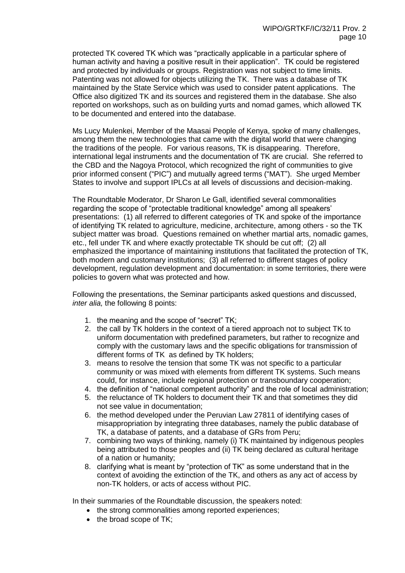protected TK covered TK which was "practically applicable in a particular sphere of human activity and having a positive result in their application". TK could be registered and protected by individuals or groups. Registration was not subject to time limits. Patenting was not allowed for objects utilizing the TK. There was a database of TK maintained by the State Service which was used to consider patent applications. The Office also digitized TK and its sources and registered them in the database. She also reported on workshops, such as on building yurts and nomad games, which allowed TK to be documented and entered into the database.

Ms Lucy Mulenkei, Member of the Maasai People of Kenya, spoke of many challenges, among them the new technologies that came with the digital world that were changing the traditions of the people. For various reasons, TK is disappearing. Therefore, international legal instruments and the documentation of TK are crucial. She referred to the CBD and the Nagoya Protocol, which recognized the right of communities to give prior informed consent ("PIC") and mutually agreed terms ("MAT"). She urged Member States to involve and support IPLCs at all levels of discussions and decision-making.

The Roundtable Moderator, Dr Sharon Le Gall, identified several commonalities regarding the scope of "protectable traditional knowledge" among all speakers' presentations: (1) all referred to different categories of TK and spoke of the importance of identifying TK related to agriculture, medicine, architecture, among others - so the TK subject matter was broad. Questions remained on whether martial arts, nomadic games, etc., fell under TK and where exactly protectable TK should be cut off; (2) all emphasized the importance of maintaining institutions that facilitated the protection of TK, both modern and customary institutions; (3) all referred to different stages of policy development, regulation development and documentation: in some territories, there were policies to govern what was protected and how.

Following the presentations, the Seminar participants asked questions and discussed, *inter alia,* the following 8 points:

- 1. the meaning and the scope of "secret" TK;
- 2. the call by TK holders in the context of a tiered approach not to subject TK to uniform documentation with predefined parameters, but rather to recognize and comply with the customary laws and the specific obligations for transmission of different forms of TK as defined by TK holders;
- 3. means to resolve the tension that some TK was not specific to a particular community or was mixed with elements from different TK systems. Such means could, for instance, include regional protection or transboundary cooperation;
- 4. the definition of "national competent authority" and the role of local administration;
- 5. the reluctance of TK holders to document their TK and that sometimes they did not see value in documentation;
- 6. the method developed under the Peruvian Law 27811 of identifying cases of misappropriation by integrating three databases, namely the public database of TK, a database of patents, and a database of GRs from Peru;
- 7. combining two ways of thinking, namely (i) TK maintained by indigenous peoples being attributed to those peoples and (ii) TK being declared as cultural heritage of a nation or humanity;
- 8. clarifying what is meant by "protection of TK" as some understand that in the context of avoiding the extinction of the TK, and others as any act of access by non-TK holders, or acts of access without PIC.

In their summaries of the Roundtable discussion, the speakers noted:

- the strong commonalities among reported experiences;
- the broad scope of TK: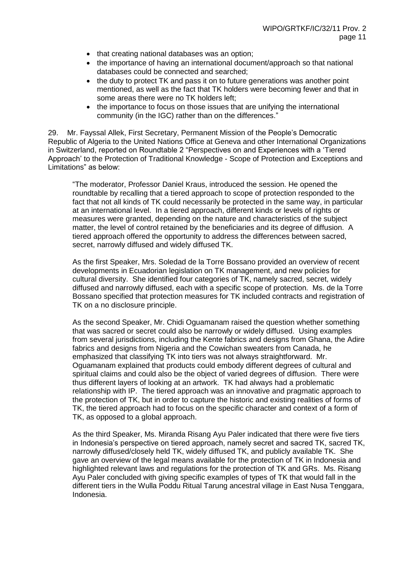- that creating national databases was an option;
- the importance of having an international document/approach so that national databases could be connected and searched;
- the duty to protect TK and pass it on to future generations was another point mentioned, as well as the fact that TK holders were becoming fewer and that in some areas there were no TK holders left;
- the importance to focus on those issues that are unifying the international community (in the IGC) rather than on the differences."

29. Mr. Fayssal Allek, First Secretary, Permanent Mission of the People's Democratic Republic of Algeria to the United Nations Office at Geneva and other International Organizations in Switzerland, reported on Roundtable 2 "Perspectives on and Experiences with a 'Tiered Approach' to the Protection of Traditional Knowledge - Scope of Protection and Exceptions and Limitations" as below:

"The moderator, Professor Daniel Kraus, introduced the session. He opened the roundtable by recalling that a tiered approach to scope of protection responded to the fact that not all kinds of TK could necessarily be protected in the same way, in particular at an international level. In a tiered approach, different kinds or levels of rights or measures were granted, depending on the nature and characteristics of the subject matter, the level of control retained by the beneficiaries and its degree of diffusion. A tiered approach offered the opportunity to address the differences between sacred, secret, narrowly diffused and widely diffused TK.

As the first Speaker, Mrs. Soledad de la Torre Bossano provided an overview of recent developments in Ecuadorian legislation on TK management, and new policies for cultural diversity. She identified four categories of TK, namely sacred, secret, widely diffused and narrowly diffused, each with a specific scope of protection. Ms. de la Torre Bossano specified that protection measures for TK included contracts and registration of TK on a no disclosure principle.

As the second Speaker, Mr. Chidi Oguamanam raised the question whether something that was sacred or secret could also be narrowly or widely diffused. Using examples from several jurisdictions, including the Kente fabrics and designs from Ghana, the Adire fabrics and designs from Nigeria and the Cowichan sweaters from Canada, he emphasized that classifying TK into tiers was not always straightforward. Mr. Oguamanam explained that products could embody different degrees of cultural and spiritual claims and could also be the object of varied degrees of diffusion. There were thus different layers of looking at an artwork. TK had always had a problematic relationship with IP. The tiered approach was an innovative and pragmatic approach to the protection of TK, but in order to capture the historic and existing realities of forms of TK, the tiered approach had to focus on the specific character and context of a form of TK, as opposed to a global approach.

As the third Speaker, Ms. Miranda Risang Ayu Paler indicated that there were five tiers in Indonesia's perspective on tiered approach, namely secret and sacred TK, sacred TK, narrowly diffused/closely held TK, widely diffused TK, and publicly available TK. She gave an overview of the legal means available for the protection of TK in Indonesia and highlighted relevant laws and regulations for the protection of TK and GRs. Ms. Risang Ayu Paler concluded with giving specific examples of types of TK that would fall in the different tiers in the Wulla Poddu Ritual Tarung ancestral village in East Nusa Tenggara, Indonesia.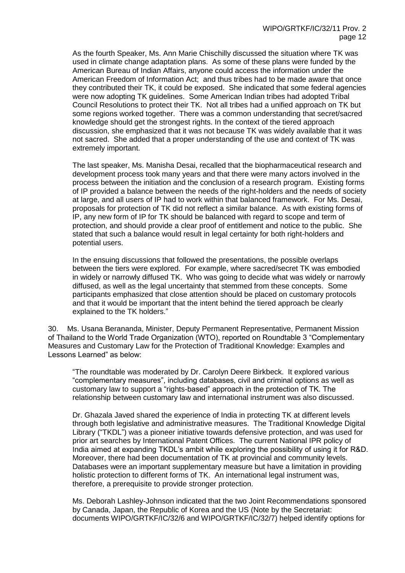As the fourth Speaker, Ms. Ann Marie Chischilly discussed the situation where TK was used in climate change adaptation plans. As some of these plans were funded by the American Bureau of Indian Affairs, anyone could access the information under the American Freedom of Information Act; and thus tribes had to be made aware that once they contributed their TK, it could be exposed. She indicated that some federal agencies were now adopting TK guidelines. Some American Indian tribes had adopted Tribal Council Resolutions to protect their TK. Not all tribes had a unified approach on TK but some regions worked together. There was a common understanding that secret/sacred knowledge should get the strongest rights. In the context of the tiered approach discussion, she emphasized that it was not because TK was widely available that it was not sacred. She added that a proper understanding of the use and context of TK was extremely important.

The last speaker, Ms. Manisha Desai, recalled that the biopharmaceutical research and development process took many years and that there were many actors involved in the process between the initiation and the conclusion of a research program. Existing forms of IP provided a balance between the needs of the right-holders and the needs of society at large, and all users of IP had to work within that balanced framework. For Ms. Desai, proposals for protection of TK did not reflect a similar balance. As with existing forms of IP, any new form of IP for TK should be balanced with regard to scope and term of protection, and should provide a clear proof of entitlement and notice to the public. She stated that such a balance would result in legal certainty for both right-holders and potential users.

In the ensuing discussions that followed the presentations, the possible overlaps between the tiers were explored. For example, where sacred/secret TK was embodied in widely or narrowly diffused TK. Who was going to decide what was widely or narrowly diffused, as well as the legal uncertainty that stemmed from these concepts. Some participants emphasized that close attention should be placed on customary protocols and that it would be important that the intent behind the tiered approach be clearly explained to the TK holders."

30. Ms. Usana Berananda, Minister, Deputy Permanent Representative, Permanent Mission of Thailand to the World Trade Organization (WTO), reported on Roundtable 3 "Complementary Measures and Customary Law for the Protection of Traditional Knowledge: Examples and Lessons Learned" as below:

"The roundtable was moderated by Dr. Carolyn Deere Birkbeck. It explored various "complementary measures", including databases, civil and criminal options as well as customary law to support a "rights-based" approach in the protection of TK. The relationship between customary law and international instrument was also discussed.

Dr. Ghazala Javed shared the experience of India in protecting TK at different levels through both legislative and administrative measures. The Traditional Knowledge Digital Library ("TKDL") was a pioneer initiative towards defensive protection, and was used for prior art searches by International Patent Offices. The current National IPR policy of India aimed at expanding TKDL's ambit while exploring the possibility of using it for R&D. Moreover, there had been documentation of TK at provincial and community levels. Databases were an important supplementary measure but have a limitation in providing holistic protection to different forms of TK. An international legal instrument was, therefore, a prerequisite to provide stronger protection.

Ms. Deborah Lashley-Johnson indicated that the two Joint Recommendations sponsored by Canada, Japan, the Republic of Korea and the US (Note by the Secretariat: documents WIPO/GRTKF/IC/32/6 and WIPO/GRTKF/IC/32/7) helped identify options for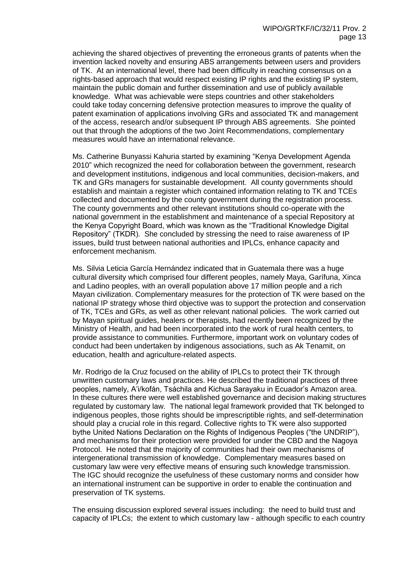achieving the shared objectives of preventing the erroneous grants of patents when the invention lacked novelty and ensuring ABS arrangements between users and providers of TK. At an international level, there had been difficulty in reaching consensus on a rights-based approach that would respect existing IP rights and the existing IP system, maintain the public domain and further dissemination and use of publicly available knowledge. What was achievable were steps countries and other stakeholders could take today concerning defensive protection measures to improve the quality of patent examination of applications involving GRs and associated TK and management of the access, research and/or subsequent IP through ABS agreements. She pointed out that through the adoptions of the two Joint Recommendations, complementary measures would have an international relevance.

Ms. Catherine Bunyassi Kahuria started by examining "Kenya Development Agenda 2010" which recognized the need for collaboration between the government, research and development institutions, indigenous and local communities, decision-makers, and TK and GRs managers for sustainable development. All county governments should establish and maintain a register which contained information relating to TK and TCEs collected and documented by the county government during the registration process. The county governments and other relevant institutions should co-operate with the national government in the establishment and maintenance of a special Repository at the Kenya Copyright Board, which was known as the "Traditional Knowledge Digital Repository" (TKDR). She concluded by stressing the need to raise awareness of IP issues, build trust between national authorities and IPLCs, enhance capacity and enforcement mechanism.

Ms. Silvia Leticia García Hernández indicated that in Guatemala there was a huge cultural diversity which comprised four different peoples, namely Maya, Garífuna, Xinca and Ladino peoples, with an overall population above 17 million people and a rich Mayan civilization. Complementary measures for the protection of TK were based on the national IP strategy whose third objective was to support the protection and conservation of TK, TCEs and GRs, as well as other relevant national policies. The work carried out by Mayan spiritual guides, healers or therapists, had recently been recognized by the Ministry of Health, and had been incorporated into the work of rural health centers, to provide assistance to communities. Furthermore, important work on voluntary codes of conduct had been undertaken by indigenous associations, such as Ak Tenamit, on education, health and agriculture-related aspects.

Mr. Rodrigo de la Cruz focused on the ability of IPLCs to protect their TK through unwritten customary laws and practices. He described the traditional practices of three peoples, namely, A'i/kofán, Tsáchila and Kichua Sarayaku in Ecuador's Amazon area. In these cultures there were well established governance and decision making structures regulated by customary law. The national legal framework provided that TK belonged to indigenous peoples, those rights should be imprescriptible rights, and self-determination should play a crucial role in this regard. Collective rights to TK were also supported bythe United Nations Declaration on the Rights of Indigenous Peoples ("the UNDRIP"), and mechanisms for their protection were provided for under the CBD and the Nagoya Protocol. He noted that the majority of communities had their own mechanisms of intergenerational transmission of knowledge. Complementary measures based on customary law were very effective means of ensuring such knowledge transmission. The IGC should recognize the usefulness of these customary norms and consider how an international instrument can be supportive in order to enable the continuation and preservation of TK systems.

The ensuing discussion explored several issues including: the need to build trust and capacity of IPLCs; the extent to which customary law - although specific to each country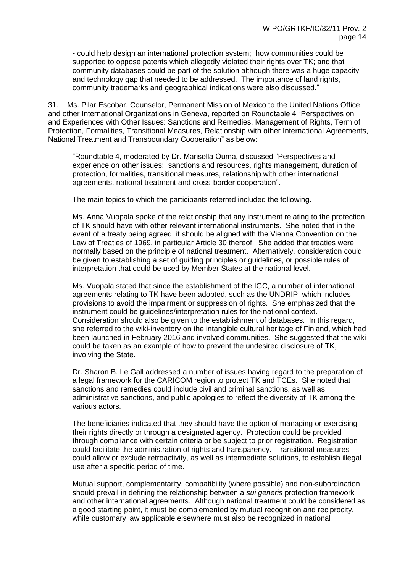- could help design an international protection system; how communities could be supported to oppose patents which allegedly violated their rights over TK; and that community databases could be part of the solution although there was a huge capacity and technology gap that needed to be addressed. The importance of land rights, community trademarks and geographical indications were also discussed."

31. Ms. Pilar Escobar, Counselor, Permanent Mission of Mexico to the United Nations Office and other International Organizations in Geneva, reported on Roundtable 4 "Perspectives on and Experiences with Other Issues: Sanctions and Remedies, Management of Rights, Term of Protection, Formalities, Transitional Measures, Relationship with other International Agreements, National Treatment and Transboundary Cooperation" as below:

"Roundtable 4, moderated by Dr. Marisella Ouma, discussed "Perspectives and experience on other issues: sanctions and resources, rights management, duration of protection, formalities, transitional measures, relationship with other international agreements, national treatment and cross-border cooperation".

The main topics to which the participants referred included the following.

Ms. Anna Vuopala spoke of the relationship that any instrument relating to the protection of TK should have with other relevant international instruments. She noted that in the event of a treaty being agreed, it should be aligned with the Vienna Convention on the Law of Treaties of 1969, in particular Article 30 thereof. She added that treaties were normally based on the principle of national treatment. Alternatively, consideration could be given to establishing a set of guiding principles or guidelines, or possible rules of interpretation that could be used by Member States at the national level.

Ms. Vuopala stated that since the establishment of the IGC, a number of international agreements relating to TK have been adopted, such as the UNDRIP, which includes provisions to avoid the impairment or suppression of rights. She emphasized that the instrument could be guidelines/interpretation rules for the national context. Consideration should also be given to the establishment of databases. In this regard, she referred to the wiki-inventory on the intangible cultural heritage of Finland, which had been launched in February 2016 and involved communities. She suggested that the wiki could be taken as an example of how to prevent the undesired disclosure of TK, involving the State.

Dr. Sharon B. Le Gall addressed a number of issues having regard to the preparation of a legal framework for the CARICOM region to protect TK and TCEs. She noted that sanctions and remedies could include civil and criminal sanctions, as well as administrative sanctions, and public apologies to reflect the diversity of TK among the various actors.

The beneficiaries indicated that they should have the option of managing or exercising their rights directly or through a designated agency. Protection could be provided through compliance with certain criteria or be subject to prior registration. Registration could facilitate the administration of rights and transparency. Transitional measures could allow or exclude retroactivity, as well as intermediate solutions, to establish illegal use after a specific period of time.

Mutual support, complementarity, compatibility (where possible) and non-subordination should prevail in defining the relationship between a *sui generis* protection framework and other international agreements. Although national treatment could be considered as a good starting point, it must be complemented by mutual recognition and reciprocity, while customary law applicable elsewhere must also be recognized in national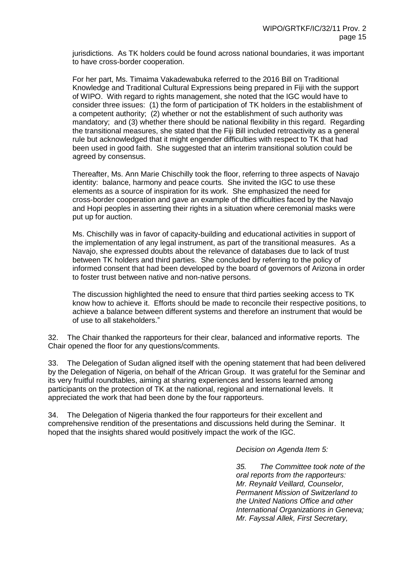jurisdictions. As TK holders could be found across national boundaries, it was important to have cross-border cooperation.

For her part, Ms. Timaima Vakadewabuka referred to the 2016 Bill on Traditional Knowledge and Traditional Cultural Expressions being prepared in Fiji with the support of WIPO. With regard to rights management, she noted that the IGC would have to consider three issues: (1) the form of participation of TK holders in the establishment of a competent authority; (2) whether or not the establishment of such authority was mandatory; and (3) whether there should be national flexibility in this regard. Regarding the transitional measures, she stated that the Fiji Bill included retroactivity as a general rule but acknowledged that it might engender difficulties with respect to TK that had been used in good faith. She suggested that an interim transitional solution could be agreed by consensus.

Thereafter, Ms. Ann Marie Chischilly took the floor, referring to three aspects of Navajo identity: balance, harmony and peace courts. She invited the IGC to use these elements as a source of inspiration for its work. She emphasized the need for cross-border cooperation and gave an example of the difficulties faced by the Navajo and Hopi peoples in asserting their rights in a situation where ceremonial masks were put up for auction.

Ms. Chischilly was in favor of capacity-building and educational activities in support of the implementation of any legal instrument, as part of the transitional measures. As a Navajo, she expressed doubts about the relevance of databases due to lack of trust between TK holders and third parties. She concluded by referring to the policy of informed consent that had been developed by the board of governors of Arizona in order to foster trust between native and non-native persons.

The discussion highlighted the need to ensure that third parties seeking access to TK know how to achieve it. Efforts should be made to reconcile their respective positions, to achieve a balance between different systems and therefore an instrument that would be of use to all stakeholders."

32. The Chair thanked the rapporteurs for their clear, balanced and informative reports. The Chair opened the floor for any questions/comments.

33. The Delegation of Sudan aligned itself with the opening statement that had been delivered by the Delegation of Nigeria, on behalf of the African Group. It was grateful for the Seminar and its very fruitful roundtables, aiming at sharing experiences and lessons learned among participants on the protection of TK at the national, regional and international levels. It appreciated the work that had been done by the four rapporteurs.

34. The Delegation of Nigeria thanked the four rapporteurs for their excellent and comprehensive rendition of the presentations and discussions held during the Seminar. It hoped that the insights shared would positively impact the work of the IGC.

*Decision on Agenda Item 5:*

*35. The Committee took note of the oral reports from the rapporteurs: Mr. Reynald Veillard, Counselor, Permanent Mission of Switzerland to the United Nations Office and other International Organizations in Geneva; Mr. Fayssal Allek, First Secretary,*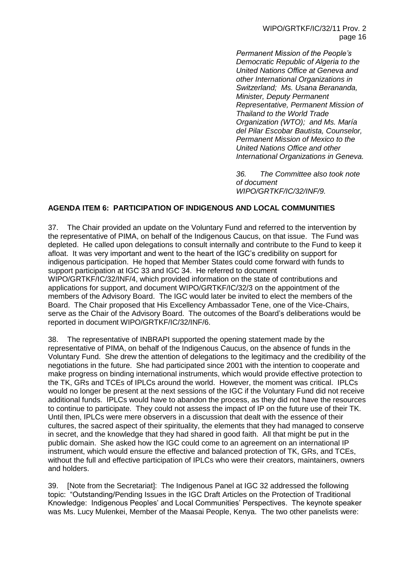*Permanent Mission of the People's Democratic Republic of Algeria to the United Nations Office at Geneva and other International Organizations in Switzerland; Ms. Usana Berananda, Minister, Deputy Permanent Representative, Permanent Mission of Thailand to the World Trade Organization (WTO); and Ms. María del Pilar Escobar Bautista, Counselor, Permanent Mission of Mexico to the United Nations Office and other International Organizations in Geneva.* 

*36. The Committee also took note of document WIPO/GRTKF/IC/32/INF/9.*

## **AGENDA ITEM 6: PARTICIPATION OF INDIGENOUS AND LOCAL COMMUNITIES**

37. The Chair provided an update on the Voluntary Fund and referred to the intervention by the representative of PIMA, on behalf of the Indigenous Caucus, on that issue. The Fund was depleted. He called upon delegations to consult internally and contribute to the Fund to keep it afloat. It was very important and went to the heart of the IGC's credibility on support for indigenous participation. He hoped that Member States could come forward with funds to support participation at IGC 33 and IGC 34. He referred to document WIPO/GRTKF/IC/32/INF/4, which provided information on the state of contributions and applications for support, and document WIPO/GRTKF/IC/32/3 on the appointment of the members of the Advisory Board. The IGC would later be invited to elect the members of the Board. The Chair proposed that His Excellency Ambassador Tene, one of the Vice-Chairs, serve as the Chair of the Advisory Board. The outcomes of the Board's deliberations would be reported in document WIPO/GRTKF/IC/32/INF/6.

38. The representative of INBRAPI supported the opening statement made by the representative of PIMA, on behalf of the Indigenous Caucus, on the absence of funds in the Voluntary Fund. She drew the attention of delegations to the legitimacy and the credibility of the negotiations in the future. She had participated since 2001 with the intention to cooperate and make progress on binding international instruments, which would provide effective protection to the TK, GRs and TCEs of IPLCs around the world. However, the moment was critical. IPLCs would no longer be present at the next sessions of the IGC if the Voluntary Fund did not receive additional funds. IPLCs would have to abandon the process, as they did not have the resources to continue to participate. They could not assess the impact of IP on the future use of their TK. Until then, IPLCs were mere observers in a discussion that dealt with the essence of their cultures, the sacred aspect of their spirituality, the elements that they had managed to conserve in secret, and the knowledge that they had shared in good faith. All that might be put in the public domain. She asked how the IGC could come to an agreement on an international IP instrument, which would ensure the effective and balanced protection of TK, GRs, and TCEs, without the full and effective participation of IPLCs who were their creators, maintainers, owners and holders.

39. [Note from the Secretariat]: The Indigenous Panel at IGC 32 addressed the following topic: "Outstanding/Pending Issues in the IGC Draft Articles on the Protection of Traditional Knowledge: Indigenous Peoples' and Local Communities' Perspectives. The keynote speaker was Ms. Lucy Mulenkei, Member of the Maasai People, Kenya. The two other panelists were: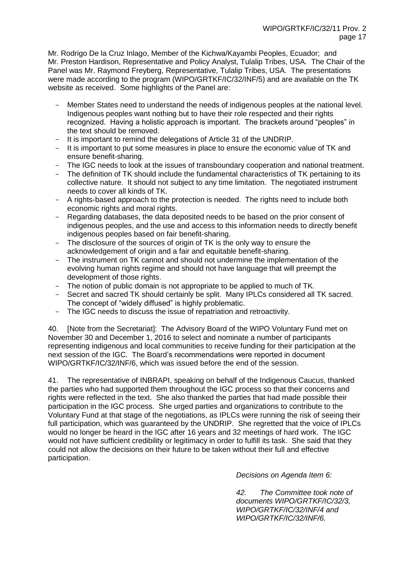Mr. Rodrigo De la Cruz Inlago, Member of the Kichwa/Kayambi Peoples, Ecuador; and Mr. Preston Hardison, Representative and Policy Analyst, Tulalip Tribes, USA. The Chair of the Panel was Mr. Raymond Freyberg, Representative, Tulalip Tribes, USA. The presentations were made according to the program (WIPO/GRTKF/IC/32/INF/5) and are available on the TK website as received. Some highlights of the Panel are:

- Member States need to understand the needs of indigenous peoples at the national level. Indigenous peoples want nothing but to have their role respected and their rights recognized. Having a holistic approach is important. The brackets around "peoples" in the text should be removed.
- It is important to remind the delegations of Article 31 of the UNDRIP.
- It is important to put some measures in place to ensure the economic value of TK and ensure benefit-sharing.
- The IGC needs to look at the issues of transboundary cooperation and national treatment.
- The definition of TK should include the fundamental characteristics of TK pertaining to its collective nature. It should not subject to any time limitation. The negotiated instrument needs to cover all kinds of TK.
- A rights-based approach to the protection is needed. The rights need to include both economic rights and moral rights.
- Regarding databases, the data deposited needs to be based on the prior consent of indigenous peoples, and the use and access to this information needs to directly benefit indigenous peoples based on fair benefit-sharing.
- The disclosure of the sources of origin of TK is the only way to ensure the acknowledgement of origin and a fair and equitable benefit-sharing.
- The instrument on TK cannot and should not undermine the implementation of the evolving human rights regime and should not have language that will preempt the development of those rights.
- The notion of public domain is not appropriate to be applied to much of TK.
- Secret and sacred TK should certainly be split. Many IPLCs considered all TK sacred. The concept of "widely diffused" is highly problematic.
- The IGC needs to discuss the issue of repatriation and retroactivity.

40. [Note from the Secretariat]: The Advisory Board of the WIPO Voluntary Fund met on November 30 and December 1, 2016 to select and nominate a number of participants representing indigenous and local communities to receive funding for their participation at the next session of the IGC. The Board's recommendations were reported in document WIPO/GRTKF/IC/32/INF/6, which was issued before the end of the session.

41. The representative of INBRAPI, speaking on behalf of the Indigenous Caucus, thanked the parties who had supported them throughout the IGC process so that their concerns and rights were reflected in the text. She also thanked the parties that had made possible their participation in the IGC process. She urged parties and organizations to contribute to the Voluntary Fund at that stage of the negotiations, as IPLCs were running the risk of seeing their full participation, which was guaranteed by the UNDRIP. She regretted that the voice of IPLCs would no longer be heard in the IGC after 16 years and 32 meetings of hard work. The IGC would not have sufficient credibility or legitimacy in order to fulfill its task. She said that they could not allow the decisions on their future to be taken without their full and effective participation.

*Decisions on Agenda Item 6:*

*42. The Committee took note of documents WIPO/GRTKF/IC/32/3, WIPO/GRTKF/IC/32/INF/4 and WIPO/GRTKF/IC/32/INF/6.*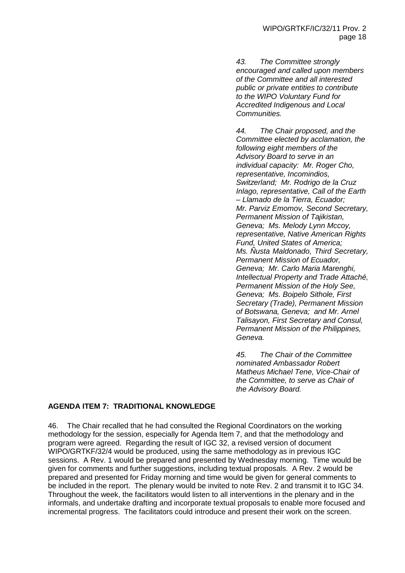*43. The Committee strongly encouraged and called upon members of the Committee and all interested public or private entities to contribute to the WIPO Voluntary Fund for Accredited Indigenous and Local Communities.*

*44. The Chair proposed, and the Committee elected by acclamation, the following eight members of the Advisory Board to serve in an individual capacity: Mr. Roger Cho, representative, Incomindios, Switzerland; Mr. Rodrigo de la Cruz Inlago, representative, Call of the Earth – Llamado de la Tierra, Ecuador; Mr. Parviz Emomov, Second Secretary, Permanent Mission of Tajikistan, Geneva; Ms. Melody Lynn Mccoy, representative, Native American Rights Fund, United States of America; Ms. Ñusta Maldonado, Third Secretary, Permanent Mission of Ecuador, Geneva; Mr. Carlo Maria Marenghi, Intellectual Property and Trade Attaché, Permanent Mission of the Holy See, Geneva; Ms. Boipelo Sithole, First Secretary (Trade), Permanent Mission of Botswana, Geneva; and Mr. Arnel Talisayon, First Secretary and Consul, Permanent Mission of the Philippines, Geneva.* 

*45. The Chair of the Committee nominated Ambassador Robert Matheus Michael Tene, Vice-Chair of the Committee, to serve as Chair of the Advisory Board.*

## **AGENDA ITEM 7: TRADITIONAL KNOWLEDGE**

46. The Chair recalled that he had consulted the Regional Coordinators on the working methodology for the session, especially for Agenda Item 7, and that the methodology and program were agreed. Regarding the result of IGC 32, a revised version of document WIPO/GRTKF/32/4 would be produced, using the same methodology as in previous IGC sessions. A Rev. 1 would be prepared and presented by Wednesday morning. Time would be given for comments and further suggestions, including textual proposals. A Rev. 2 would be prepared and presented for Friday morning and time would be given for general comments to be included in the report. The plenary would be invited to note Rev. 2 and transmit it to IGC 34. Throughout the week, the facilitators would listen to all interventions in the plenary and in the informals, and undertake drafting and incorporate textual proposals to enable more focused and incremental progress. The facilitators could introduce and present their work on the screen.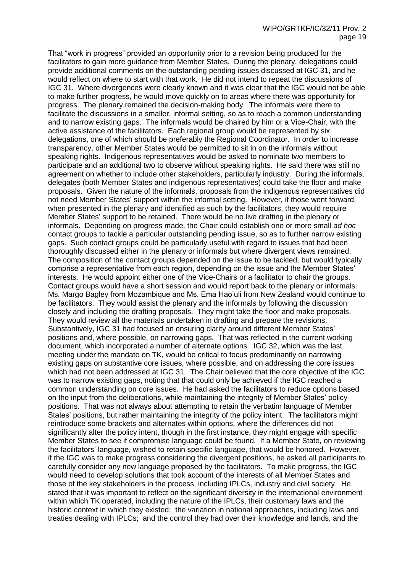That "work in progress" provided an opportunity prior to a revision being produced for the facilitators to gain more guidance from Member States. During the plenary, delegations could provide additional comments on the outstanding pending issues discussed at IGC 31, and he would reflect on where to start with that work. He did not intend to repeat the discussions of IGC 31. Where divergences were clearly known and it was clear that the IGC would not be able to make further progress, he would move quickly on to areas where there was opportunity for progress. The plenary remained the decision-making body. The informals were there to facilitate the discussions in a smaller, informal setting, so as to reach a common understanding and to narrow existing gaps. The informals would be chaired by him or a Vice-Chair, with the active assistance of the facilitators. Each regional group would be represented by six delegations, one of which should be preferably the Regional Coordinator. In order to increase transparency, other Member States would be permitted to sit in on the informals without speaking rights. Indigenous representatives would be asked to nominate two members to participate and an additional two to observe without speaking rights. He said there was still no agreement on whether to include other stakeholders, particularly industry. During the informals, delegates (both Member States and indigenous representatives) could take the floor and make proposals. Given the nature of the informals, proposals from the indigenous representatives did not need Member States' support within the informal setting. However, if those went forward, when presented in the plenary and identified as such by the facilitators, they would require Member States' support to be retained. There would be no live drafting in the plenary or informals. Depending on progress made, the Chair could establish one or more small *ad hoc* contact groups to tackle a particular outstanding pending issue, so as to further narrow existing gaps. Such contact groups could be particularly useful with regard to issues that had been thoroughly discussed either in the plenary or informals but where divergent views remained. The composition of the contact groups depended on the issue to be tackled, but would typically comprise a representative from each region, depending on the issue and the Member States' interests. He would appoint either one of the Vice-Chairs or a facilitator to chair the groups. Contact groups would have a short session and would report back to the plenary or informals. Ms. Margo Bagley from Mozambique and Ms. Ema Hao'uli from New Zealand would continue to be facilitators. They would assist the plenary and the informals by following the discussion closely and including the drafting proposals. They might take the floor and make proposals. They would review all the materials undertaken in drafting and prepare the revisions. Substantively, IGC 31 had focused on ensuring clarity around different Member States' positions and, where possible, on narrowing gaps. That was reflected in the current working document, which incorporated a number of alternate options. IGC 32, which was the last meeting under the mandate on TK, would be critical to focus predominantly on narrowing existing gaps on substantive core issues, where possible, and on addressing the core issues which had not been addressed at IGC 31. The Chair believed that the core objective of the IGC was to narrow existing gaps, noting that that could only be achieved if the IGC reached a common understanding on core issues. He had asked the facilitators to reduce options based on the input from the deliberations, while maintaining the integrity of Member States' policy positions. That was not always about attempting to retain the verbatim language of Member States' positions, but rather maintaining the integrity of the policy intent. The facilitators might reintroduce some brackets and alternates within options, where the differences did not significantly alter the policy intent, though in the first instance, they might engage with specific Member States to see if compromise language could be found. If a Member State, on reviewing the facilitators' language, wished to retain specific language, that would be honored. However, if the IGC was to make progress considering the divergent positions, he asked all participants to carefully consider any new language proposed by the facilitators. To make progress, the IGC would need to develop solutions that took account of the interests of all Member States and those of the key stakeholders in the process, including IPLCs, industry and civil society. He stated that it was important to reflect on the significant diversity in the international environment within which TK operated, including the nature of the IPLCs, their customary laws and the historic context in which they existed; the variation in national approaches, including laws and treaties dealing with IPLCs; and the control they had over their knowledge and lands, and the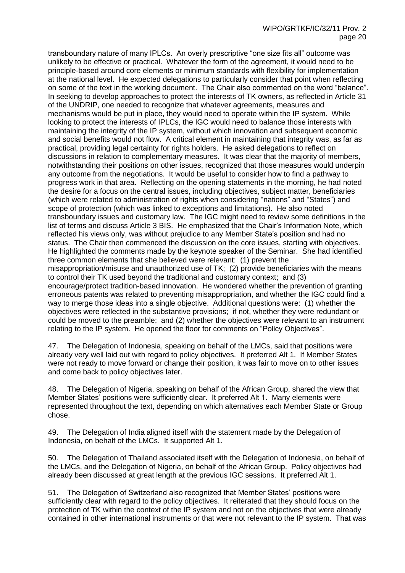transboundary nature of many IPLCs. An overly prescriptive "one size fits all" outcome was unlikely to be effective or practical. Whatever the form of the agreement, it would need to be principle-based around core elements or minimum standards with flexibility for implementation at the national level. He expected delegations to particularly consider that point when reflecting on some of the text in the working document. The Chair also commented on the word "balance". In seeking to develop approaches to protect the interests of TK owners, as reflected in Article 31 of the UNDRIP, one needed to recognize that whatever agreements, measures and mechanisms would be put in place, they would need to operate within the IP system. While looking to protect the interests of IPLCs, the IGC would need to balance those interests with maintaining the integrity of the IP system, without which innovation and subsequent economic and social benefits would not flow. A critical element in maintaining that integrity was, as far as practical, providing legal certainty for rights holders. He asked delegations to reflect on discussions in relation to complementary measures. It was clear that the majority of members, notwithstanding their positions on other issues, recognized that those measures would underpin any outcome from the negotiations. It would be useful to consider how to find a pathway to progress work in that area. Reflecting on the opening statements in the morning, he had noted the desire for a focus on the central issues, including objectives, subject matter, beneficiaries (which were related to administration of rights when considering "nations" and "States") and scope of protection (which was linked to exceptions and limitations). He also noted transboundary issues and customary law. The IGC might need to review some definitions in the list of terms and discuss Article 3 BIS. He emphasized that the Chair's Information Note, which reflected his views only, was without prejudice to any Member State's position and had no status. The Chair then commenced the discussion on the core issues, starting with objectives. He highlighted the comments made by the keynote speaker of the Seminar. She had identified three common elements that she believed were relevant: (1) prevent the misappropriation/misuse and unauthorized use of TK; (2) provide beneficiaries with the means to control their TK used beyond the traditional and customary context; and (3) encourage/protect tradition-based innovation. He wondered whether the prevention of granting erroneous patents was related to preventing misappropriation, and whether the IGC could find a way to merge those ideas into a single objective. Additional questions were: (1) whether the objectives were reflected in the substantive provisions; if not, whether they were redundant or could be moved to the preamble; and (2) whether the objectives were relevant to an instrument relating to the IP system. He opened the floor for comments on "Policy Objectives".

47. The Delegation of Indonesia, speaking on behalf of the LMCs, said that positions were already very well laid out with regard to policy objectives. It preferred Alt 1. If Member States were not ready to move forward or change their position, it was fair to move on to other issues and come back to policy objectives later.

48. The Delegation of Nigeria, speaking on behalf of the African Group, shared the view that Member States' positions were sufficiently clear. It preferred Alt 1. Many elements were represented throughout the text, depending on which alternatives each Member State or Group chose.

49. The Delegation of India aligned itself with the statement made by the Delegation of Indonesia, on behalf of the LMCs. It supported Alt 1.

50. The Delegation of Thailand associated itself with the Delegation of Indonesia, on behalf of the LMCs, and the Delegation of Nigeria, on behalf of the African Group. Policy objectives had already been discussed at great length at the previous IGC sessions. It preferred Alt 1.

51. The Delegation of Switzerland also recognized that Member States' positions were sufficiently clear with regard to the policy objectives. It reiterated that they should focus on the protection of TK within the context of the IP system and not on the objectives that were already contained in other international instruments or that were not relevant to the IP system. That was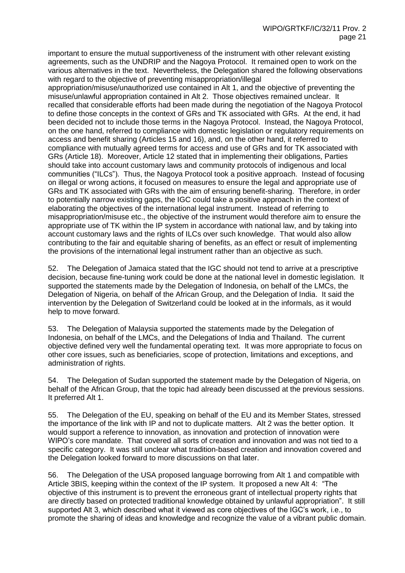important to ensure the mutual supportiveness of the instrument with other relevant existing agreements, such as the UNDRIP and the Nagoya Protocol. It remained open to work on the various alternatives in the text. Nevertheless, the Delegation shared the following observations with regard to the objective of preventing misappropriation/illegal

appropriation/misuse/unauthorized use contained in Alt 1, and the objective of preventing the misuse/unlawful appropriation contained in Alt 2. Those objectives remained unclear. It recalled that considerable efforts had been made during the negotiation of the Nagoya Protocol to define those concepts in the context of GRs and TK associated with GRs. At the end, it had been decided not to include those terms in the Nagoya Protocol. Instead, the Nagoya Protocol, on the one hand, referred to compliance with domestic legislation or regulatory requirements on access and benefit sharing (Articles 15 and 16), and, on the other hand, it referred to compliance with mutually agreed terms for access and use of GRs and for TK associated with GRs (Article 18). Moreover, Article 12 stated that in implementing their obligations, Parties should take into account customary laws and community protocols of indigenous and local communities ("ILCs"). Thus, the Nagoya Protocol took a positive approach. Instead of focusing on illegal or wrong actions, it focused on measures to ensure the legal and appropriate use of GRs and TK associated with GRs with the aim of ensuring benefit-sharing. Therefore, in order to potentially narrow existing gaps, the IGC could take a positive approach in the context of elaborating the objectives of the international legal instrument. Instead of referring to misappropriation/misuse etc., the objective of the instrument would therefore aim to ensure the appropriate use of TK within the IP system in accordance with national law, and by taking into account customary laws and the rights of ILCs over such knowledge. That would also allow contributing to the fair and equitable sharing of benefits, as an effect or result of implementing the provisions of the international legal instrument rather than an objective as such.

52. The Delegation of Jamaica stated that the IGC should not tend to arrive at a prescriptive decision, because fine-tuning work could be done at the national level in domestic legislation. It supported the statements made by the Delegation of Indonesia, on behalf of the LMCs, the Delegation of Nigeria, on behalf of the African Group, and the Delegation of India. It said the intervention by the Delegation of Switzerland could be looked at in the informals, as it would help to move forward.

53. The Delegation of Malaysia supported the statements made by the Delegation of Indonesia, on behalf of the LMCs, and the Delegations of India and Thailand. The current objective defined very well the fundamental operating text. It was more appropriate to focus on other core issues, such as beneficiaries, scope of protection, limitations and exceptions, and administration of rights.

54. The Delegation of Sudan supported the statement made by the Delegation of Nigeria, on behalf of the African Group, that the topic had already been discussed at the previous sessions. It preferred Alt 1.

55. The Delegation of the EU, speaking on behalf of the EU and its Member States, stressed the importance of the link with IP and not to duplicate matters. Alt 2 was the better option. It would support a reference to innovation, as innovation and protection of innovation were WIPO's core mandate. That covered all sorts of creation and innovation and was not tied to a specific category. It was still unclear what tradition-based creation and innovation covered and the Delegation looked forward to more discussions on that later.

56. The Delegation of the USA proposed language borrowing from Alt 1 and compatible with Article 3BIS, keeping within the context of the IP system. It proposed a new Alt 4: "The objective of this instrument is to prevent the erroneous grant of intellectual property rights that are directly based on protected traditional knowledge obtained by unlawful appropriation". It still supported Alt 3, which described what it viewed as core objectives of the IGC's work, i.e., to promote the sharing of ideas and knowledge and recognize the value of a vibrant public domain.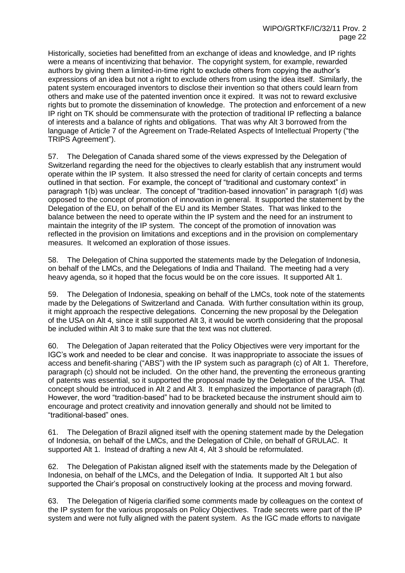Historically, societies had benefitted from an exchange of ideas and knowledge, and IP rights were a means of incentivizing that behavior. The copyright system, for example, rewarded authors by giving them a limited-in-time right to exclude others from copying the author's expressions of an idea but not a right to exclude others from using the idea itself. Similarly, the patent system encouraged inventors to disclose their invention so that others could learn from others and make use of the patented invention once it expired. It was not to reward exclusive rights but to promote the dissemination of knowledge. The protection and enforcement of a new IP right on TK should be commensurate with the protection of traditional IP reflecting a balance of interests and a balance of rights and obligations. That was why Alt 3 borrowed from the language of Article 7 of the Agreement on Trade-Related Aspects of Intellectual Property ("the TRIPS Agreement").

57. The Delegation of Canada shared some of the views expressed by the Delegation of Switzerland regarding the need for the objectives to clearly establish that any instrument would operate within the IP system. It also stressed the need for clarity of certain concepts and terms outlined in that section. For example, the concept of "traditional and customary context" in paragraph 1(b) was unclear. The concept of "tradition-based innovation" in paragraph 1(d) was opposed to the concept of promotion of innovation in general. It supported the statement by the Delegation of the EU, on behalf of the EU and its Member States. That was linked to the balance between the need to operate within the IP system and the need for an instrument to maintain the integrity of the IP system. The concept of the promotion of innovation was reflected in the provision on limitations and exceptions and in the provision on complementary measures. It welcomed an exploration of those issues.

58. The Delegation of China supported the statements made by the Delegation of Indonesia, on behalf of the LMCs, and the Delegations of India and Thailand. The meeting had a very heavy agenda, so it hoped that the focus would be on the core issues. It supported Alt 1.

59. The Delegation of Indonesia, speaking on behalf of the LMCs, took note of the statements made by the Delegations of Switzerland and Canada. With further consultation within its group, it might approach the respective delegations. Concerning the new proposal by the Delegation of the USA on Alt 4, since it still supported Alt 3, it would be worth considering that the proposal be included within Alt 3 to make sure that the text was not cluttered.

60. The Delegation of Japan reiterated that the Policy Objectives were very important for the IGC's work and needed to be clear and concise. It was inappropriate to associate the issues of access and benefit-sharing ("ABS") with the IP system such as paragraph (c) of Alt 1. Therefore, paragraph (c) should not be included. On the other hand, the preventing the erroneous granting of patents was essential, so it supported the proposal made by the Delegation of the USA. That concept should be introduced in Alt 2 and Alt 3. It emphasized the importance of paragraph (d). However, the word "tradition-based" had to be bracketed because the instrument should aim to encourage and protect creativity and innovation generally and should not be limited to "traditional-based" ones.

61. The Delegation of Brazil aligned itself with the opening statement made by the Delegation of Indonesia, on behalf of the LMCs, and the Delegation of Chile, on behalf of GRULAC. It supported Alt 1. Instead of drafting a new Alt 4, Alt 3 should be reformulated.

62. The Delegation of Pakistan aligned itself with the statements made by the Delegation of Indonesia, on behalf of the LMCs, and the Delegation of India. It supported Alt 1 but also supported the Chair's proposal on constructively looking at the process and moving forward.

63. The Delegation of Nigeria clarified some comments made by colleagues on the context of the IP system for the various proposals on Policy Objectives. Trade secrets were part of the IP system and were not fully aligned with the patent system. As the IGC made efforts to navigate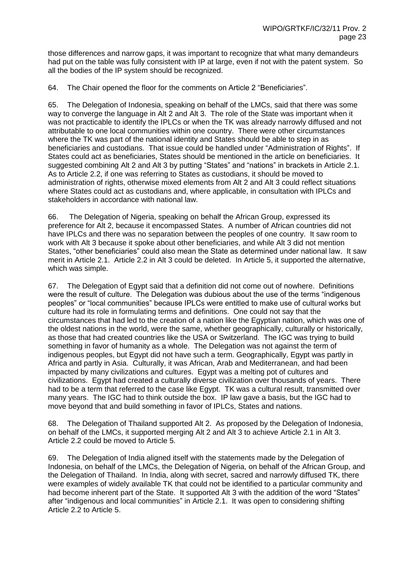those differences and narrow gaps, it was important to recognize that what many demandeurs had put on the table was fully consistent with IP at large, even if not with the patent system. So all the bodies of the IP system should be recognized.

64. The Chair opened the floor for the comments on Article 2 "Beneficiaries".

65. The Delegation of Indonesia, speaking on behalf of the LMCs, said that there was some way to converge the language in Alt 2 and Alt 3. The role of the State was important when it was not practicable to identify the IPLCs or when the TK was already narrowly diffused and not attributable to one local communities within one country. There were other circumstances where the TK was part of the national identity and States should be able to step in as beneficiaries and custodians. That issue could be handled under "Administration of Rights". If States could act as beneficiaries, States should be mentioned in the article on beneficiaries. It suggested combining Alt 2 and Alt 3 by putting "States" and "nations" in brackets in Article 2.1. As to Article 2.2, if one was referring to States as custodians, it should be moved to administration of rights, otherwise mixed elements from Alt 2 and Alt 3 could reflect situations where States could act as custodians and, where applicable, in consultation with IPLCs and stakeholders in accordance with national law.

66. The Delegation of Nigeria, speaking on behalf the African Group, expressed its preference for Alt 2, because it encompassed States. A number of African countries did not have IPLCs and there was no separation between the peoples of one country. It saw room to work with Alt 3 because it spoke about other beneficiaries, and while Alt 3 did not mention States, "other beneficiaries" could also mean the State as determined under national law. It saw merit in Article 2.1. Article 2.2 in Alt 3 could be deleted. In Article 5, it supported the alternative, which was simple.

67. The Delegation of Egypt said that a definition did not come out of nowhere. Definitions were the result of culture. The Delegation was dubious about the use of the terms "indigenous peoples" or "local communities" because IPLCs were entitled to make use of cultural works but culture had its role in formulating terms and definitions. One could not say that the circumstances that had led to the creation of a nation like the Egyptian nation, which was one of the oldest nations in the world, were the same, whether geographically, culturally or historically, as those that had created countries like the USA or Switzerland. The IGC was trying to build something in favor of humanity as a whole. The Delegation was not against the term of indigenous peoples, but Egypt did not have such a term. Geographically, Egypt was partly in Africa and partly in Asia. Culturally, it was African, Arab and Mediterranean, and had been impacted by many civilizations and cultures. Egypt was a melting pot of cultures and civilizations. Egypt had created a culturally diverse civilization over thousands of years. There had to be a term that referred to the case like Egypt. TK was a cultural result, transmitted over many years. The IGC had to think outside the box. IP law gave a basis, but the IGC had to move beyond that and build something in favor of IPLCs, States and nations.

68. The Delegation of Thailand supported Alt 2. As proposed by the Delegation of Indonesia, on behalf of the LMCs, it supported merging Alt 2 and Alt 3 to achieve Article 2.1 in Alt 3. Article 2.2 could be moved to Article 5.

69. The Delegation of India aligned itself with the statements made by the Delegation of Indonesia, on behalf of the LMCs, the Delegation of Nigeria, on behalf of the African Group, and the Delegation of Thailand. In India, along with secret, sacred and narrowly diffused TK, there were examples of widely available TK that could not be identified to a particular community and had become inherent part of the State. It supported Alt 3 with the addition of the word "States" after "indigenous and local communities" in Article 2.1. It was open to considering shifting Article 2.2 to Article 5.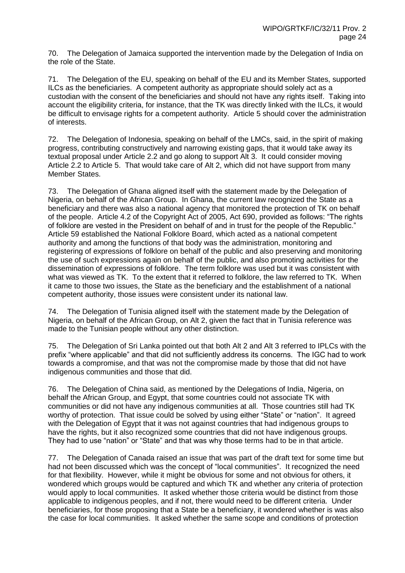70. The Delegation of Jamaica supported the intervention made by the Delegation of India on the role of the State.

71. The Delegation of the EU, speaking on behalf of the EU and its Member States, supported ILCs as the beneficiaries. A competent authority as appropriate should solely act as a custodian with the consent of the beneficiaries and should not have any rights itself. Taking into account the eligibility criteria, for instance, that the TK was directly linked with the ILCs, it would be difficult to envisage rights for a competent authority. Article 5 should cover the administration of interests.

72. The Delegation of Indonesia, speaking on behalf of the LMCs, said, in the spirit of making progress, contributing constructively and narrowing existing gaps, that it would take away its textual proposal under Article 2.2 and go along to support Alt 3. It could consider moving Article 2.2 to Article 5. That would take care of Alt 2, which did not have support from many Member States.

73. The Delegation of Ghana aligned itself with the statement made by the Delegation of Nigeria, on behalf of the African Group. In Ghana, the current law recognized the State as a beneficiary and there was also a national agency that monitored the protection of TK on behalf of the people. Article 4.2 of the Copyright Act of 2005, Act 690, provided as follows: "The rights of folklore are vested in the President on behalf of and in trust for the people of the Republic." Article 59 established the National Folklore Board, which acted as a national competent authority and among the functions of that body was the administration, monitoring and registering of expressions of folklore on behalf of the public and also preserving and monitoring the use of such expressions again on behalf of the public, and also promoting activities for the dissemination of expressions of folklore. The term folklore was used but it was consistent with what was viewed as TK. To the extent that it referred to folklore, the law referred to TK. When it came to those two issues, the State as the beneficiary and the establishment of a national competent authority, those issues were consistent under its national law.

74. The Delegation of Tunisia aligned itself with the statement made by the Delegation of Nigeria, on behalf of the African Group, on Alt 2, given the fact that in Tunisia reference was made to the Tunisian people without any other distinction.

75. The Delegation of Sri Lanka pointed out that both Alt 2 and Alt 3 referred to IPLCs with the prefix "where applicable" and that did not sufficiently address its concerns. The IGC had to work towards a compromise, and that was not the compromise made by those that did not have indigenous communities and those that did.

76. The Delegation of China said, as mentioned by the Delegations of India, Nigeria, on behalf the African Group, and Egypt, that some countries could not associate TK with communities or did not have any indigenous communities at all. Those countries still had TK worthy of protection. That issue could be solved by using either "State" or "nation". It agreed with the Delegation of Egypt that it was not against countries that had indigenous groups to have the rights, but it also recognized some countries that did not have indigenous groups. They had to use "nation" or "State" and that was why those terms had to be in that article.

77. The Delegation of Canada raised an issue that was part of the draft text for some time but had not been discussed which was the concept of "local communities". It recognized the need for that flexibility. However, while it might be obvious for some and not obvious for others, it wondered which groups would be captured and which TK and whether any criteria of protection would apply to local communities. It asked whether those criteria would be distinct from those applicable to indigenous peoples, and if not, there would need to be different criteria. Under beneficiaries, for those proposing that a State be a beneficiary, it wondered whether is was also the case for local communities. It asked whether the same scope and conditions of protection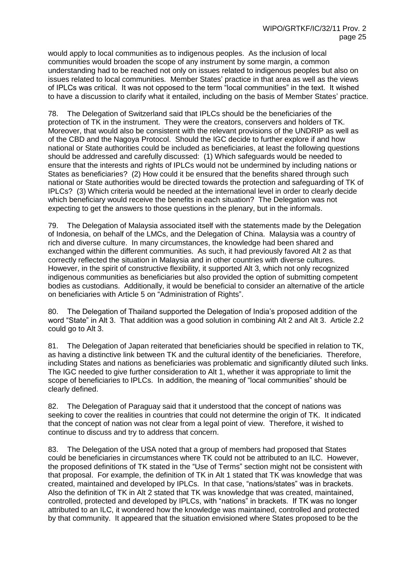would apply to local communities as to indigenous peoples. As the inclusion of local communities would broaden the scope of any instrument by some margin, a common understanding had to be reached not only on issues related to indigenous peoples but also on issues related to local communities. Member States' practice in that area as well as the views of IPLCs was critical. It was not opposed to the term "local communities" in the text. It wished to have a discussion to clarify what it entailed, including on the basis of Member States' practice.

78. The Delegation of Switzerland said that IPLCs should be the beneficiaries of the protection of TK in the instrument. They were the creators, conservers and holders of TK. Moreover, that would also be consistent with the relevant provisions of the UNDRIP as well as of the CBD and the Nagoya Protocol. Should the IGC decide to further explore if and how national or State authorities could be included as beneficiaries, at least the following questions should be addressed and carefully discussed: (1) Which safeguards would be needed to ensure that the interests and rights of IPLCs would not be undermined by including nations or States as beneficiaries? (2) How could it be ensured that the benefits shared through such national or State authorities would be directed towards the protection and safeguarding of TK of IPLCs? (3) Which criteria would be needed at the international level in order to clearly decide which beneficiary would receive the benefits in each situation? The Delegation was not expecting to get the answers to those questions in the plenary, but in the informals.

79. The Delegation of Malaysia associated itself with the statements made by the Delegation of Indonesia, on behalf of the LMCs, and the Delegation of China. Malaysia was a country of rich and diverse culture. In many circumstances, the knowledge had been shared and exchanged within the different communities. As such, it had previously favored Alt 2 as that correctly reflected the situation in Malaysia and in other countries with diverse cultures. However, in the spirit of constructive flexibility, it supported Alt 3, which not only recognized indigenous communities as beneficiaries but also provided the option of submitting competent bodies as custodians. Additionally, it would be beneficial to consider an alternative of the article on beneficiaries with Article 5 on "Administration of Rights".

80. The Delegation of Thailand supported the Delegation of India's proposed addition of the word "State" in Alt 3. That addition was a good solution in combining Alt 2 and Alt 3. Article 2.2 could go to Alt 3.

81. The Delegation of Japan reiterated that beneficiaries should be specified in relation to TK, as having a distinctive link between TK and the cultural identity of the beneficiaries. Therefore, including States and nations as beneficiaries was problematic and significantly diluted such links. The IGC needed to give further consideration to Alt 1, whether it was appropriate to limit the scope of beneficiaries to IPLCs. In addition, the meaning of "local communities" should be clearly defined.

82. The Delegation of Paraguay said that it understood that the concept of nations was seeking to cover the realities in countries that could not determine the origin of TK. It indicated that the concept of nation was not clear from a legal point of view. Therefore, it wished to continue to discuss and try to address that concern.

83. The Delegation of the USA noted that a group of members had proposed that States could be beneficiaries in circumstances where TK could not be attributed to an ILC. However, the proposed definitions of TK stated in the "Use of Terms" section might not be consistent with that proposal. For example, the definition of TK in Alt 1 stated that TK was knowledge that was created, maintained and developed by IPLCs. In that case, "nations/states" was in brackets. Also the definition of TK in Alt 2 stated that TK was knowledge that was created, maintained, controlled, protected and developed by IPLCs, with "nations" in brackets. If TK was no longer attributed to an ILC, it wondered how the knowledge was maintained, controlled and protected by that community. It appeared that the situation envisioned where States proposed to be the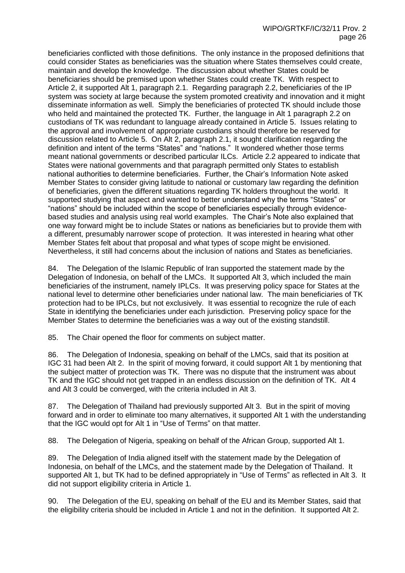beneficiaries conflicted with those definitions. The only instance in the proposed definitions that could consider States as beneficiaries was the situation where States themselves could create, maintain and develop the knowledge. The discussion about whether States could be beneficiaries should be premised upon whether States could create TK. With respect to Article 2, it supported Alt 1, paragraph 2.1. Regarding paragraph 2.2, beneficiaries of the IP system was society at large because the system promoted creativity and innovation and it might disseminate information as well. Simply the beneficiaries of protected TK should include those who held and maintained the protected TK. Further, the language in Alt 1 paragraph 2.2 on custodians of TK was redundant to language already contained in Article 5. Issues relating to the approval and involvement of appropriate custodians should therefore be reserved for discussion related to Article 5. On Alt 2, paragraph 2.1, it sought clarification regarding the definition and intent of the terms "States" and "nations." It wondered whether those terms meant national governments or described particular ILCs. Article 2.2 appeared to indicate that States were national governments and that paragraph permitted only States to establish national authorities to determine beneficiaries. Further, the Chair's Information Note asked Member States to consider giving latitude to national or customary law regarding the definition of beneficiaries, given the different situations regarding TK holders throughout the world. It supported studying that aspect and wanted to better understand why the terms "States" or "nations" should be included within the scope of beneficiaries especially through evidencebased studies and analysis using real world examples. The Chair's Note also explained that one way forward might be to include States or nations as beneficiaries but to provide them with a different, presumably narrower scope of protection. It was interested in hearing what other Member States felt about that proposal and what types of scope might be envisioned. Nevertheless, it still had concerns about the inclusion of nations and States as beneficiaries.

84. The Delegation of the Islamic Republic of Iran supported the statement made by the Delegation of Indonesia, on behalf of the LMCs. It supported Alt 3, which included the main beneficiaries of the instrument, namely IPLCs. It was preserving policy space for States at the national level to determine other beneficiaries under national law. The main beneficiaries of TK protection had to be IPLCs, but not exclusively. It was essential to recognize the rule of each State in identifying the beneficiaries under each jurisdiction. Preserving policy space for the Member States to determine the beneficiaries was a way out of the existing standstill.

85. The Chair opened the floor for comments on subject matter.

86. The Delegation of Indonesia, speaking on behalf of the LMCs, said that its position at IGC 31 had been Alt 2. In the spirit of moving forward, it could support Alt 1 by mentioning that the subject matter of protection was TK. There was no dispute that the instrument was about TK and the IGC should not get trapped in an endless discussion on the definition of TK. Alt 4 and Alt 3 could be converged, with the criteria included in Alt 3.

87. The Delegation of Thailand had previously supported Alt 3. But in the spirit of moving forward and in order to eliminate too many alternatives, it supported Alt 1 with the understanding that the IGC would opt for Alt 1 in "Use of Terms" on that matter.

88. The Delegation of Nigeria, speaking on behalf of the African Group, supported Alt 1.

89. The Delegation of India aligned itself with the statement made by the Delegation of Indonesia, on behalf of the LMCs, and the statement made by the Delegation of Thailand. It supported Alt 1, but TK had to be defined appropriately in "Use of Terms" as reflected in Alt 3. It did not support eligibility criteria in Article 1.

90. The Delegation of the EU, speaking on behalf of the EU and its Member States, said that the eligibility criteria should be included in Article 1 and not in the definition. It supported Alt 2.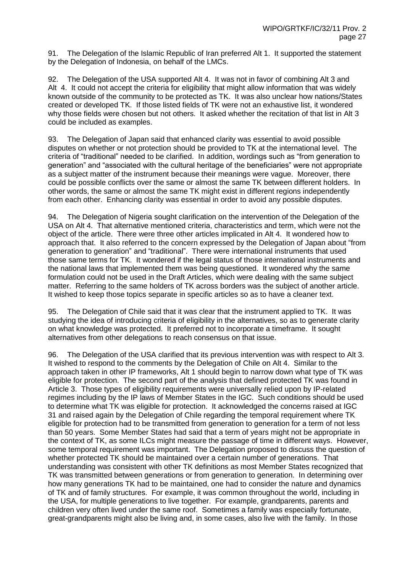91. The Delegation of the Islamic Republic of Iran preferred Alt 1. It supported the statement by the Delegation of Indonesia, on behalf of the LMCs.

92. The Delegation of the USA supported Alt 4. It was not in favor of combining Alt 3 and Alt 4. It could not accept the criteria for eligibility that might allow information that was widely known outside of the community to be protected as TK. It was also unclear how nations/States created or developed TK. If those listed fields of TK were not an exhaustive list, it wondered why those fields were chosen but not others. It asked whether the recitation of that list in Alt 3 could be included as examples.

93. The Delegation of Japan said that enhanced clarity was essential to avoid possible disputes on whether or not protection should be provided to TK at the international level. The criteria of "traditional" needed to be clarified. In addition, wordings such as "from generation to generation" and "associated with the cultural heritage of the beneficiaries" were not appropriate as a subject matter of the instrument because their meanings were vague. Moreover, there could be possible conflicts over the same or almost the same TK between different holders. In other words, the same or almost the same TK might exist in different regions independently from each other. Enhancing clarity was essential in order to avoid any possible disputes.

94. The Delegation of Nigeria sought clarification on the intervention of the Delegation of the USA on Alt 4. That alternative mentioned criteria, characteristics and term, which were not the object of the article. There were three other articles implicated in Alt 4. It wondered how to approach that. It also referred to the concern expressed by the Delegation of Japan about "from generation to generation" and "traditional". There were international instruments that used those same terms for TK. It wondered if the legal status of those international instruments and the national laws that implemented them was being questioned. It wondered why the same formulation could not be used in the Draft Articles, which were dealing with the same subject matter. Referring to the same holders of TK across borders was the subject of another article. It wished to keep those topics separate in specific articles so as to have a cleaner text.

95. The Delegation of Chile said that it was clear that the instrument applied to TK. It was studying the idea of introducing criteria of eligibility in the alternatives, so as to generate clarity on what knowledge was protected. It preferred not to incorporate a timeframe. It sought alternatives from other delegations to reach consensus on that issue.

96. The Delegation of the USA clarified that its previous intervention was with respect to Alt 3. It wished to respond to the comments by the Delegation of Chile on Alt 4. Similar to the approach taken in other IP frameworks, Alt 1 should begin to narrow down what type of TK was eligible for protection. The second part of the analysis that defined protected TK was found in Article 3. Those types of eligibility requirements were universally relied upon by IP-related regimes including by the IP laws of Member States in the IGC. Such conditions should be used to determine what TK was eligible for protection. It acknowledged the concerns raised at IGC 31 and raised again by the Delegation of Chile regarding the temporal requirement where TK eligible for protection had to be transmitted from generation to generation for a term of not less than 50 years. Some Member States had said that a term of years might not be appropriate in the context of TK, as some ILCs might measure the passage of time in different ways. However, some temporal requirement was important. The Delegation proposed to discuss the question of whether protected TK should be maintained over a certain number of generations. That understanding was consistent with other TK definitions as most Member States recognized that TK was transmitted between generations or from generation to generation. In determining over how many generations TK had to be maintained, one had to consider the nature and dynamics of TK and of family structures. For example, it was common throughout the world, including in the USA, for multiple generations to live together. For example, grandparents, parents and children very often lived under the same roof. Sometimes a family was especially fortunate, great-grandparents might also be living and, in some cases, also live with the family. In those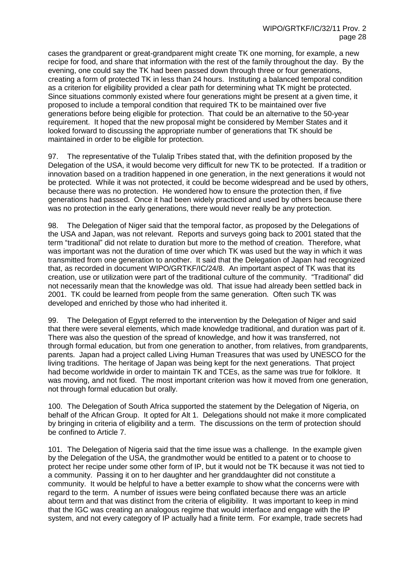cases the grandparent or great-grandparent might create TK one morning, for example, a new recipe for food, and share that information with the rest of the family throughout the day. By the evening, one could say the TK had been passed down through three or four generations, creating a form of protected TK in less than 24 hours. Instituting a balanced temporal condition as a criterion for eligibility provided a clear path for determining what TK might be protected. Since situations commonly existed where four generations might be present at a given time, it proposed to include a temporal condition that required TK to be maintained over five generations before being eligible for protection. That could be an alternative to the 50-year requirement. It hoped that the new proposal might be considered by Member States and it looked forward to discussing the appropriate number of generations that TK should be maintained in order to be eligible for protection.

97. The representative of the Tulalip Tribes stated that, with the definition proposed by the Delegation of the USA, it would become very difficult for new TK to be protected. If a tradition or innovation based on a tradition happened in one generation, in the next generations it would not be protected. While it was not protected, it could be become widespread and be used by others, because there was no protection. He wondered how to ensure the protection then, if five generations had passed. Once it had been widely practiced and used by others because there was no protection in the early generations, there would never really be any protection.

98. The Delegation of Niger said that the temporal factor, as proposed by the Delegations of the USA and Japan, was not relevant. Reports and surveys going back to 2001 stated that the term "traditional" did not relate to duration but more to the method of creation. Therefore, what was important was not the duration of time over which TK was used but the way in which it was transmitted from one generation to another. It said that the Delegation of Japan had recognized that, as recorded in document WIPO/GRTKF/IC/24/8. An important aspect of TK was that its creation, use or utilization were part of the traditional culture of the community. "Traditional" did not necessarily mean that the knowledge was old. That issue had already been settled back in 2001. TK could be learned from people from the same generation. Often such TK was developed and enriched by those who had inherited it.

99. The Delegation of Egypt referred to the intervention by the Delegation of Niger and said that there were several elements, which made knowledge traditional, and duration was part of it. There was also the question of the spread of knowledge, and how it was transferred, not through formal education, but from one generation to another, from relatives, from grandparents, parents. Japan had a project called Living Human Treasures that was used by UNESCO for the living traditions. The heritage of Japan was being kept for the next generations. That project had become worldwide in order to maintain TK and TCEs, as the same was true for folklore. It was moving, and not fixed. The most important criterion was how it moved from one generation, not through formal education but orally.

100. The Delegation of South Africa supported the statement by the Delegation of Nigeria, on behalf of the African Group. It opted for Alt 1. Delegations should not make it more complicated by bringing in criteria of eligibility and a term. The discussions on the term of protection should be confined to Article 7.

101. The Delegation of Nigeria said that the time issue was a challenge. In the example given by the Delegation of the USA, the grandmother would be entitled to a patent or to choose to protect her recipe under some other form of IP, but it would not be TK because it was not tied to a community. Passing it on to her daughter and her granddaughter did not constitute a community. It would be helpful to have a better example to show what the concerns were with regard to the term. A number of issues were being conflated because there was an article about term and that was distinct from the criteria of eligibility. It was important to keep in mind that the IGC was creating an analogous regime that would interface and engage with the IP system, and not every category of IP actually had a finite term. For example, trade secrets had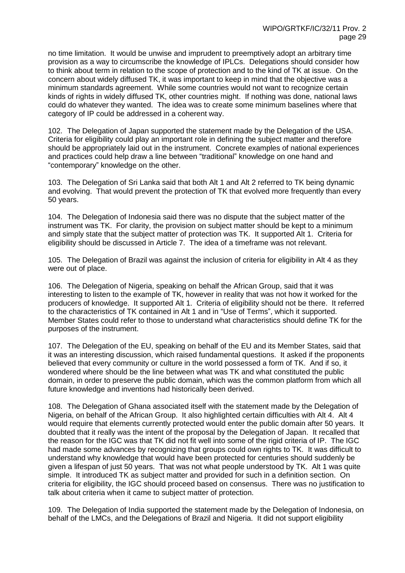no time limitation. It would be unwise and imprudent to preemptively adopt an arbitrary time provision as a way to circumscribe the knowledge of IPLCs. Delegations should consider how to think about term in relation to the scope of protection and to the kind of TK at issue. On the concern about widely diffused TK, it was important to keep in mind that the objective was a minimum standards agreement. While some countries would not want to recognize certain kinds of rights in widely diffused TK, other countries might. If nothing was done, national laws could do whatever they wanted. The idea was to create some minimum baselines where that category of IP could be addressed in a coherent way.

102. The Delegation of Japan supported the statement made by the Delegation of the USA. Criteria for eligibility could play an important role in defining the subject matter and therefore should be appropriately laid out in the instrument. Concrete examples of national experiences and practices could help draw a line between "traditional" knowledge on one hand and "contemporary" knowledge on the other.

103. The Delegation of Sri Lanka said that both Alt 1 and Alt 2 referred to TK being dynamic and evolving. That would prevent the protection of TK that evolved more frequently than every 50 years.

104. The Delegation of Indonesia said there was no dispute that the subject matter of the instrument was TK. For clarity, the provision on subject matter should be kept to a minimum and simply state that the subject matter of protection was TK. It supported Alt 1. Criteria for eligibility should be discussed in Article 7. The idea of a timeframe was not relevant.

105. The Delegation of Brazil was against the inclusion of criteria for eligibility in Alt 4 as they were out of place.

106. The Delegation of Nigeria, speaking on behalf the African Group, said that it was interesting to listen to the example of TK, however in reality that was not how it worked for the producers of knowledge. It supported Alt 1. Criteria of eligibility should not be there. It referred to the characteristics of TK contained in Alt 1 and in "Use of Terms", which it supported. Member States could refer to those to understand what characteristics should define TK for the purposes of the instrument.

107. The Delegation of the EU, speaking on behalf of the EU and its Member States, said that it was an interesting discussion, which raised fundamental questions. It asked if the proponents believed that every community or culture in the world possessed a form of TK. And if so, it wondered where should be the line between what was TK and what constituted the public domain, in order to preserve the public domain, which was the common platform from which all future knowledge and inventions had historically been derived.

108. The Delegation of Ghana associated itself with the statement made by the Delegation of Nigeria, on behalf of the African Group. It also highlighted certain difficulties with Alt 4. Alt 4 would require that elements currently protected would enter the public domain after 50 years. It doubted that it really was the intent of the proposal by the Delegation of Japan. It recalled that the reason for the IGC was that TK did not fit well into some of the rigid criteria of IP. The IGC had made some advances by recognizing that groups could own rights to TK. It was difficult to understand why knowledge that would have been protected for centuries should suddenly be given a lifespan of just 50 years. That was not what people understood by TK. Alt 1 was quite simple. It introduced TK as subject matter and provided for such in a definition section. On criteria for eligibility, the IGC should proceed based on consensus. There was no justification to talk about criteria when it came to subject matter of protection.

109. The Delegation of India supported the statement made by the Delegation of Indonesia, on behalf of the LMCs, and the Delegations of Brazil and Nigeria. It did not support eligibility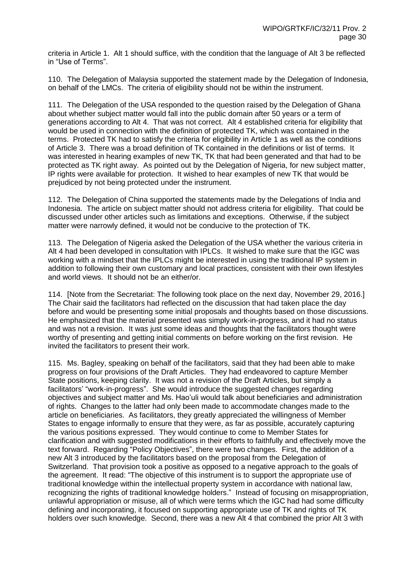criteria in Article 1. Alt 1 should suffice, with the condition that the language of Alt 3 be reflected in "Use of Terms".

110. The Delegation of Malaysia supported the statement made by the Delegation of Indonesia, on behalf of the LMCs. The criteria of eligibility should not be within the instrument.

111. The Delegation of the USA responded to the question raised by the Delegation of Ghana about whether subject matter would fall into the public domain after 50 years or a term of generations according to Alt 4. That was not correct. Alt 4 established criteria for eligibility that would be used in connection with the definition of protected TK, which was contained in the terms. Protected TK had to satisfy the criteria for eligibility in Article 1 as well as the conditions of Article 3. There was a broad definition of TK contained in the definitions or list of terms. It was interested in hearing examples of new TK, TK that had been generated and that had to be protected as TK right away. As pointed out by the Delegation of Nigeria, for new subject matter, IP rights were available for protection. It wished to hear examples of new TK that would be prejudiced by not being protected under the instrument.

112. The Delegation of China supported the statements made by the Delegations of India and Indonesia. The article on subject matter should not address criteria for eligibility. That could be discussed under other articles such as limitations and exceptions. Otherwise, if the subject matter were narrowly defined, it would not be conducive to the protection of TK.

113. The Delegation of Nigeria asked the Delegation of the USA whether the various criteria in Alt 4 had been developed in consultation with IPLCs. It wished to make sure that the IGC was working with a mindset that the IPLCs might be interested in using the traditional IP system in addition to following their own customary and local practices, consistent with their own lifestyles and world views. It should not be an either/or.

114. [Note from the Secretariat: The following took place on the next day, November 29, 2016.] The Chair said the facilitators had reflected on the discussion that had taken place the day before and would be presenting some initial proposals and thoughts based on those discussions. He emphasized that the material presented was simply work-in-progress, and it had no status and was not a revision. It was just some ideas and thoughts that the facilitators thought were worthy of presenting and getting initial comments on before working on the first revision. He invited the facilitators to present their work.

115. Ms. Bagley, speaking on behalf of the facilitators, said that they had been able to make progress on four provisions of the Draft Articles. They had endeavored to capture Member State positions, keeping clarity. It was not a revision of the Draft Articles, but simply a facilitators' "work-in-progress". She would introduce the suggested changes regarding objectives and subject matter and Ms. Hao'uli would talk about beneficiaries and administration of rights. Changes to the latter had only been made to accommodate changes made to the article on beneficiaries. As facilitators, they greatly appreciated the willingness of Member States to engage informally to ensure that they were, as far as possible, accurately capturing the various positions expressed. They would continue to come to Member States for clarification and with suggested modifications in their efforts to faithfully and effectively move the text forward. Regarding "Policy Objectives", there were two changes. First, the addition of a new Alt 3 introduced by the facilitators based on the proposal from the Delegation of Switzerland. That provision took a positive as opposed to a negative approach to the goals of the agreement. It read: "The objective of this instrument is to support the appropriate use of traditional knowledge within the intellectual property system in accordance with national law, recognizing the rights of traditional knowledge holders." Instead of focusing on misappropriation, unlawful appropriation or misuse, all of which were terms which the IGC had had some difficulty defining and incorporating, it focused on supporting appropriate use of TK and rights of TK holders over such knowledge. Second, there was a new Alt 4 that combined the prior Alt 3 with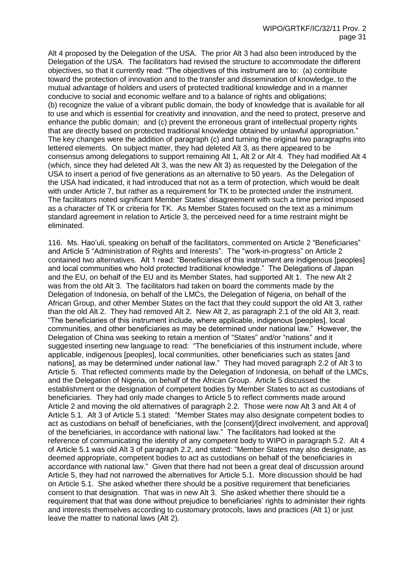Alt 4 proposed by the Delegation of the USA. The prior Alt 3 had also been introduced by the Delegation of the USA. The facilitators had revised the structure to accommodate the different objectives, so that it currently read: "The objectives of this instrument are to: (a) contribute toward the protection of innovation and to the transfer and dissemination of knowledge, to the mutual advantage of holders and users of protected traditional knowledge and in a manner conducive to social and economic welfare and to a balance of rights and obligations; (b) recognize the value of a vibrant public domain, the body of knowledge that is available for all to use and which is essential for creativity and innovation, and the need to protect, preserve and enhance the public domain; and (c) prevent the erroneous grant of intellectual property rights that are directly based on protected traditional knowledge obtained by unlawful appropriation." The key changes were the addition of paragraph (c) and turning the original two paragraphs into lettered elements. On subject matter, they had deleted Alt 3, as there appeared to be consensus among delegations to support remaining Alt 1, Alt 2 or Alt 4. They had modified Alt 4 (which, since they had deleted Alt 3, was the new Alt 3) as requested by the Delegation of the USA to insert a period of five generations as an alternative to 50 years. As the Delegation of the USA had indicated, it had introduced that not as a term of protection, which would be dealt with under Article 7, but rather as a requirement for TK to be protected under the instrument. The facilitators noted significant Member States' disagreement with such a time period imposed as a character of TK or criteria for TK. As Member States focused on the text as a minimum standard agreement in relation to Article 3, the perceived need for a time restraint might be eliminated.

116. Ms. Hao'uli, speaking on behalf of the facilitators, commented on Article 2 "Beneficiaries" and Article 5 "Administration of Rights and Interests". The "work-in-progress" on Article 2 contained two alternatives. Alt 1 read: "Beneficiaries of this instrument are indigenous [peoples] and local communities who hold protected traditional knowledge." The Delegations of Japan and the EU, on behalf of the EU and its Member States, had supported Alt 1. The new Alt 2 was from the old Alt 3. The facilitators had taken on board the comments made by the Delegation of Indonesia, on behalf of the LMCs, the Delegation of Nigeria, on behalf of the African Group, and other Member States on the fact that they could support the old Alt 3, rather than the old Alt 2. They had removed Alt 2. New Alt 2, as paragraph 2.1 of the old Alt 3, read: "The beneficiaries of this instrument include, where applicable, indigenous [peoples], local communities, and other beneficiaries as may be determined under national law." However, the Delegation of China was seeking to retain a mention of "States" and/or "nations" and it suggested inserting new language to read: "The beneficiaries of this instrument include, where applicable, indigenous [peoples], local communities, other beneficiaries such as states [and nations], as may be determined under national law." They had moved paragraph 2.2 of Alt 3 to Article 5. That reflected comments made by the Delegation of Indonesia, on behalf of the LMCs, and the Delegation of Nigeria, on behalf of the African Group. Article 5 discussed the establishment or the designation of competent bodies by Member States to act as custodians of beneficiaries. They had only made changes to Article 5 to reflect comments made around Article 2 and moving the old alternatives of paragraph 2.2. Those were now Alt 3 and Alt 4 of Article 5.1. Alt 3 of Article 5.1 stated: "Member States may also designate competent bodies to act as custodians on behalf of beneficiaries, with the [consent]/[direct involvement, and approval] of the beneficiaries, in accordance with national law." The facilitators had looked at the reference of communicating the identity of any competent body to WIPO in paragraph 5.2. Alt 4 of Article 5.1 was old Alt 3 of paragraph 2.2, and stated: "Member States may also designate, as deemed appropriate, competent bodies to act as custodians on behalf of the beneficiaries in accordance with national law." Given that there had not been a great deal of discussion around Article 5, they had not narrowed the alternatives for Article 5.1. More discussion should be had on Article 5.1. She asked whether there should be a positive requirement that beneficiaries consent to that designation. That was in new Alt 3. She asked whether there should be a requirement that that was done without prejudice to beneficiaries' rights to administer their rights and interests themselves according to customary protocols, laws and practices (Alt 1) or just leave the matter to national laws (Alt 2).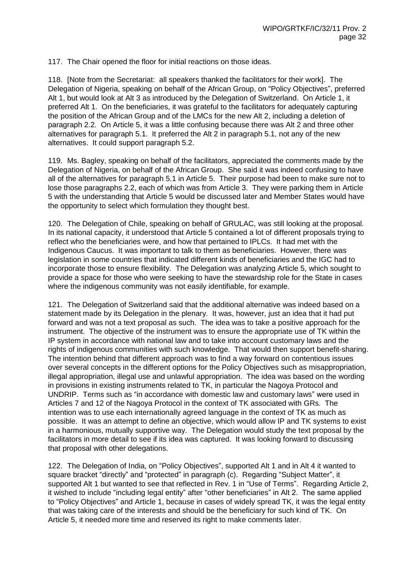117. The Chair opened the floor for initial reactions on those ideas.

118. [Note from the Secretariat: all speakers thanked the facilitators for their work]. The Delegation of Nigeria, speaking on behalf of the African Group, on "Policy Objectives", preferred Alt 1, but would look at Alt 3 as introduced by the Delegation of Switzerland. On Article 1, it preferred Alt 1. On the beneficiaries, it was grateful to the facilitators for adequately capturing the position of the African Group and of the LMCs for the new Alt 2, including a deletion of paragraph 2.2. On Article 5, it was a little confusing because there was Alt 2 and three other alternatives for paragraph 5.1. It preferred the Alt 2 in paragraph 5.1, not any of the new alternatives. It could support paragraph 5.2.

119. Ms. Bagley, speaking on behalf of the facilitators, appreciated the comments made by the Delegation of Nigeria, on behalf of the African Group. She said it was indeed confusing to have all of the alternatives for paragraph 5.1 in Article 5. Their purpose had been to make sure not to lose those paragraphs 2.2, each of which was from Article 3. They were parking them in Article 5 with the understanding that Article 5 would be discussed later and Member States would have the opportunity to select which formulation they thought best.

120. The Delegation of Chile, speaking on behalf of GRULAC, was still looking at the proposal. In its national capacity, it understood that Article 5 contained a lot of different proposals trying to reflect who the beneficiaries were, and how that pertained to IPLCs. It had met with the Indigenous Caucus. It was important to talk to them as beneficiaries. However, there was legislation in some countries that indicated different kinds of beneficiaries and the IGC had to incorporate those to ensure flexibility. The Delegation was analyzing Article 5, which sought to provide a space for those who were seeking to have the stewardship role for the State in cases where the indigenous community was not easily identifiable, for example.

121. The Delegation of Switzerland said that the additional alternative was indeed based on a statement made by its Delegation in the plenary. It was, however, just an idea that it had put forward and was not a text proposal as such. The idea was to take a positive approach for the instrument. The objective of the instrument was to ensure the appropriate use of TK within the IP system in accordance with national law and to take into account customary laws and the rights of indigenous communities with such knowledge. That would then support benefit-sharing. The intention behind that different approach was to find a way forward on contentious issues over several concepts in the different options for the Policy Objectives such as misappropriation, illegal appropriation, illegal use and unlawful appropriation. The idea was based on the wording in provisions in existing instruments related to TK, in particular the Nagoya Protocol and UNDRIP. Terms such as "in accordance with domestic law and customary laws" were used in Articles 7 and 12 of the Nagoya Protocol in the context of TK associated with GRs. The intention was to use each internationally agreed language in the context of TK as much as possible. It was an attempt to define an objective, which would allow IP and TK systems to exist in a harmonious, mutually supportive way. The Delegation would study the text proposal by the facilitators in more detail to see if its idea was captured. It was looking forward to discussing that proposal with other delegations.

122. The Delegation of India, on "Policy Objectives", supported Alt 1 and in Alt 4 it wanted to square bracket "directly" and "protected" in paragraph (c). Regarding "Subject Matter", it supported Alt 1 but wanted to see that reflected in Rev. 1 in "Use of Terms". Regarding Article 2, it wished to include "including legal entity" after "other beneficiaries" in Alt 2. The same applied to "Policy Objectives" and Article 1, because in cases of widely spread TK, it was the legal entity that was taking care of the interests and should be the beneficiary for such kind of TK. On Article 5, it needed more time and reserved its right to make comments later.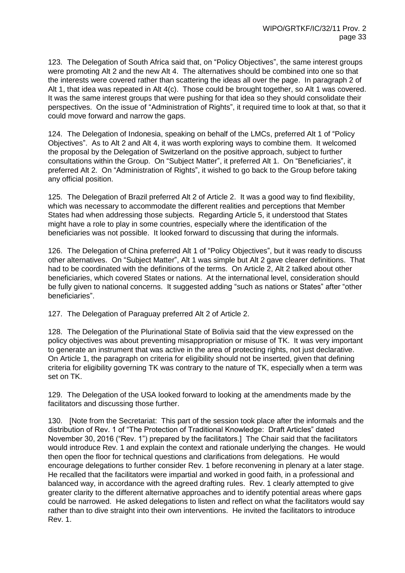123. The Delegation of South Africa said that, on "Policy Objectives", the same interest groups were promoting Alt 2 and the new Alt 4. The alternatives should be combined into one so that the interests were covered rather than scattering the ideas all over the page. In paragraph 2 of Alt 1, that idea was repeated in Alt 4(c). Those could be brought together, so Alt 1 was covered. It was the same interest groups that were pushing for that idea so they should consolidate their perspectives. On the issue of "Administration of Rights", it required time to look at that, so that it could move forward and narrow the gaps.

124. The Delegation of Indonesia, speaking on behalf of the LMCs, preferred Alt 1 of "Policy Objectives". As to Alt 2 and Alt 4, it was worth exploring ways to combine them. It welcomed the proposal by the Delegation of Switzerland on the positive approach, subject to further consultations within the Group. On "Subject Matter", it preferred Alt 1. On "Beneficiaries", it preferred Alt 2. On "Administration of Rights", it wished to go back to the Group before taking any official position.

125. The Delegation of Brazil preferred Alt 2 of Article 2. It was a good way to find flexibility, which was necessary to accommodate the different realities and perceptions that Member States had when addressing those subjects. Regarding Article 5, it understood that States might have a role to play in some countries, especially where the identification of the beneficiaries was not possible. It looked forward to discussing that during the informals.

126. The Delegation of China preferred Alt 1 of "Policy Objectives", but it was ready to discuss other alternatives. On "Subject Matter", Alt 1 was simple but Alt 2 gave clearer definitions. That had to be coordinated with the definitions of the terms. On Article 2, Alt 2 talked about other beneficiaries, which covered States or nations. At the international level, consideration should be fully given to national concerns. It suggested adding "such as nations or States" after "other beneficiaries".

127. The Delegation of Paraguay preferred Alt 2 of Article 2.

128. The Delegation of the Plurinational State of Bolivia said that the view expressed on the policy objectives was about preventing misappropriation or misuse of TK. It was very important to generate an instrument that was active in the area of protecting rights, not just declarative. On Article 1, the paragraph on criteria for eligibility should not be inserted, given that defining criteria for eligibility governing TK was contrary to the nature of TK, especially when a term was set on TK.

129. The Delegation of the USA looked forward to looking at the amendments made by the facilitators and discussing those further.

130. [Note from the Secretariat: This part of the session took place after the informals and the distribution of Rev. 1 of "The Protection of Traditional Knowledge: Draft Articles" dated November 30, 2016 ("Rev. 1") prepared by the facilitators.] The Chair said that the facilitators would introduce Rev. 1 and explain the context and rationale underlying the changes. He would then open the floor for technical questions and clarifications from delegations. He would encourage delegations to further consider Rev. 1 before reconvening in plenary at a later stage. He recalled that the facilitators were impartial and worked in good faith, in a professional and balanced way, in accordance with the agreed drafting rules. Rev. 1 clearly attempted to give greater clarity to the different alternative approaches and to identify potential areas where gaps could be narrowed. He asked delegations to listen and reflect on what the facilitators would say rather than to dive straight into their own interventions. He invited the facilitators to introduce Rev. 1.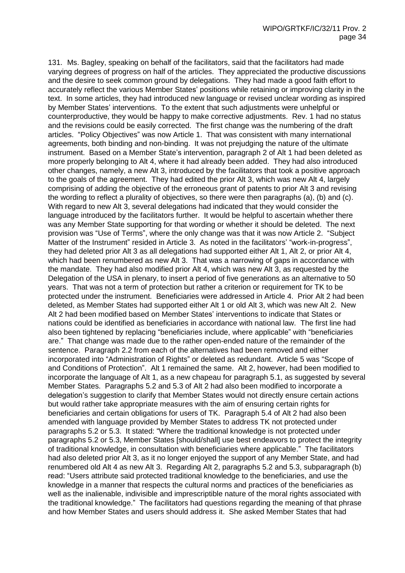131. Ms. Bagley, speaking on behalf of the facilitators, said that the facilitators had made varying degrees of progress on half of the articles. They appreciated the productive discussions and the desire to seek common ground by delegations. They had made a good faith effort to accurately reflect the various Member States' positions while retaining or improving clarity in the text. In some articles, they had introduced new language or revised unclear wording as inspired by Member States' interventions. To the extent that such adjustments were unhelpful or counterproductive, they would be happy to make corrective adjustments. Rev. 1 had no status and the revisions could be easily corrected. The first change was the numbering of the draft articles. "Policy Objectives" was now Article 1. That was consistent with many international agreements, both binding and non-binding. It was not prejudging the nature of the ultimate instrument. Based on a Member State's intervention, paragraph 2 of Alt 1 had been deleted as more properly belonging to Alt 4, where it had already been added. They had also introduced other changes, namely, a new Alt 3, introduced by the facilitators that took a positive approach to the goals of the agreement. They had edited the prior Alt 3, which was new Alt 4, largely comprising of adding the objective of the erroneous grant of patents to prior Alt 3 and revising the wording to reflect a plurality of objectives, so there were then paragraphs (a), (b) and (c). With regard to new Alt 3, several delegations had indicated that they would consider the language introduced by the facilitators further. It would be helpful to ascertain whether there was any Member State supporting for that wording or whether it should be deleted. The next provision was "Use of Terms", where the only change was that it was now Article 2. "Subject Matter of the Instrument" resided in Article 3. As noted in the facilitators' "work-in-progress", they had deleted prior Alt 3 as all delegations had supported either Alt 1, Alt 2, or prior Alt 4, which had been renumbered as new Alt 3. That was a narrowing of gaps in accordance with the mandate. They had also modified prior Alt 4, which was new Alt 3, as requested by the Delegation of the USA in plenary, to insert a period of five generations as an alternative to 50 years. That was not a term of protection but rather a criterion or requirement for TK to be protected under the instrument. Beneficiaries were addressed in Article 4. Prior Alt 2 had been deleted, as Member States had supported either Alt 1 or old Alt 3, which was new Alt 2. New Alt 2 had been modified based on Member States' interventions to indicate that States or nations could be identified as beneficiaries in accordance with national law. The first line had also been tightened by replacing "beneficiaries include, where applicable" with "beneficiaries are." That change was made due to the rather open-ended nature of the remainder of the sentence. Paragraph 2.2 from each of the alternatives had been removed and either incorporated into "Administration of Rights" or deleted as redundant. Article 5 was "Scope of and Conditions of Protection". Alt 1 remained the same. Alt 2, however, had been modified to incorporate the language of Alt 1, as a new chapeau for paragraph 5.1, as suggested by several Member States. Paragraphs 5.2 and 5.3 of Alt 2 had also been modified to incorporate a delegation's suggestion to clarify that Member States would not directly ensure certain actions but would rather take appropriate measures with the aim of ensuring certain rights for beneficiaries and certain obligations for users of TK. Paragraph 5.4 of Alt 2 had also been amended with language provided by Member States to address TK not protected under paragraphs 5.2 or 5.3. It stated: "Where the traditional knowledge is not protected under paragraphs 5.2 or 5.3, Member States [should/shall] use best endeavors to protect the integrity of traditional knowledge, in consultation with beneficiaries where applicable." The facilitators had also deleted prior Alt 3, as it no longer enjoyed the support of any Member State, and had renumbered old Alt 4 as new Alt 3. Regarding Alt 2, paragraphs 5.2 and 5.3, subparagraph (b) read: "Users attribute said protected traditional knowledge to the beneficiaries, and use the knowledge in a manner that respects the cultural norms and practices of the beneficiaries as well as the inalienable, indivisible and imprescriptible nature of the moral rights associated with the traditional knowledge." The facilitators had questions regarding the meaning of that phrase and how Member States and users should address it. She asked Member States that had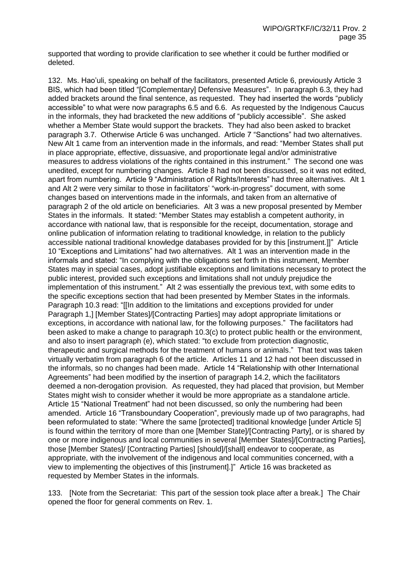supported that wording to provide clarification to see whether it could be further modified or deleted.

132. Ms. Hao'uli, speaking on behalf of the facilitators, presented Article 6, previously Article 3 BIS, which had been titled "[Complementary] Defensive Measures". In paragraph 6.3, they had added brackets around the final sentence, as requested. They had inserted the words "publicly accessible" to what were now paragraphs 6.5 and 6.6. As requested by the Indigenous Caucus in the informals, they had bracketed the new additions of "publicly accessible". She asked whether a Member State would support the brackets. They had also been asked to bracket paragraph 3.7. Otherwise Article 6 was unchanged. Article 7 "Sanctions" had two alternatives. New Alt 1 came from an intervention made in the informals, and read: "Member States shall put in place appropriate, effective, dissuasive, and proportionate legal and/or administrative measures to address violations of the rights contained in this instrument." The second one was unedited, except for numbering changes. Article 8 had not been discussed, so it was not edited, apart from numbering. Article 9 "Administration of Rights/Interests" had three alternatives. Alt 1 and Alt 2 were very similar to those in facilitators' "work-in-progress" document, with some changes based on interventions made in the informals, and taken from an alternative of paragraph 2 of the old article on beneficiaries. Alt 3 was a new proposal presented by Member States in the informals. It stated: "Member States may establish a competent authority, in accordance with national law, that is responsible for the receipt, documentation, storage and online publication of information relating to traditional knowledge, in relation to the publicly accessible national traditional knowledge databases provided for by this [instrument.]]" Article 10 "Exceptions and Limitations" had two alternatives. Alt 1 was an intervention made in the informals and stated: "In complying with the obligations set forth in this instrument, Member States may in special cases, adopt justifiable exceptions and limitations necessary to protect the public interest, provided such exceptions and limitations shall not unduly prejudice the implementation of this instrument." Alt 2 was essentially the previous text, with some edits to the specific exceptions section that had been presented by Member States in the informals. Paragraph 10.3 read: "[[In addition to the limitations and exceptions provided for under Paragraph 1,] [Member States]/[Contracting Parties] may adopt appropriate limitations or exceptions, in accordance with national law, for the following purposes." The facilitators had been asked to make a change to paragraph 10.3(c) to protect public health or the environment, and also to insert paragraph (e), which stated: "to exclude from protection diagnostic, therapeutic and surgical methods for the treatment of humans or animals." That text was taken virtually verbatim from paragraph 6 of the article. Articles 11 and 12 had not been discussed in the informals, so no changes had been made. Article 14 "Relationship with other International Agreements" had been modified by the insertion of paragraph 14.2, which the facilitators deemed a non-derogation provision. As requested, they had placed that provision, but Member States might wish to consider whether it would be more appropriate as a standalone article. Article 15 "National Treatment" had not been discussed, so only the numbering had been amended. Article 16 "Transboundary Cooperation", previously made up of two paragraphs, had been reformulated to state: "Where the same [protected] traditional knowledge [under Article 5] is found within the territory of more than one [Member State]/[Contracting Party], or is shared by one or more indigenous and local communities in several [Member States]/[Contracting Parties], those [Member States]/ [Contracting Parties] [should]/[shall] endeavor to cooperate, as appropriate, with the involvement of the indigenous and local communities concerned, with a view to implementing the objectives of this [instrument].]" Article 16 was bracketed as requested by Member States in the informals.

133. [Note from the Secretariat: This part of the session took place after a break.] The Chair opened the floor for general comments on Rev. 1.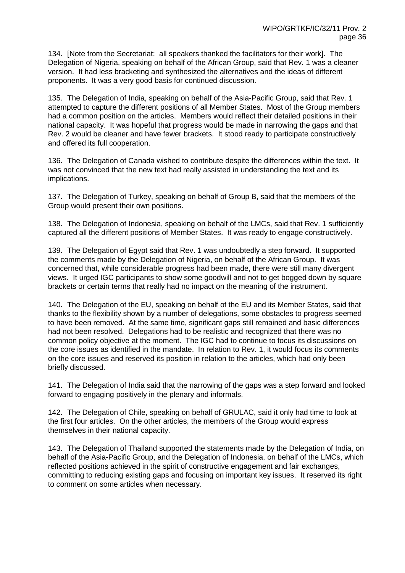134. [Note from the Secretariat: all speakers thanked the facilitators for their work]. The Delegation of Nigeria, speaking on behalf of the African Group, said that Rev. 1 was a cleaner version. It had less bracketing and synthesized the alternatives and the ideas of different proponents. It was a very good basis for continued discussion.

135. The Delegation of India, speaking on behalf of the Asia-Pacific Group, said that Rev. 1 attempted to capture the different positions of all Member States. Most of the Group members had a common position on the articles. Members would reflect their detailed positions in their national capacity. It was hopeful that progress would be made in narrowing the gaps and that Rev. 2 would be cleaner and have fewer brackets. It stood ready to participate constructively and offered its full cooperation.

136. The Delegation of Canada wished to contribute despite the differences within the text. It was not convinced that the new text had really assisted in understanding the text and its implications.

137. The Delegation of Turkey, speaking on behalf of Group B, said that the members of the Group would present their own positions.

138. The Delegation of Indonesia, speaking on behalf of the LMCs, said that Rev. 1 sufficiently captured all the different positions of Member States. It was ready to engage constructively.

139. The Delegation of Egypt said that Rev. 1 was undoubtedly a step forward. It supported the comments made by the Delegation of Nigeria, on behalf of the African Group. It was concerned that, while considerable progress had been made, there were still many divergent views. It urged IGC participants to show some goodwill and not to get bogged down by square brackets or certain terms that really had no impact on the meaning of the instrument.

140. The Delegation of the EU, speaking on behalf of the EU and its Member States, said that thanks to the flexibility shown by a number of delegations, some obstacles to progress seemed to have been removed. At the same time, significant gaps still remained and basic differences had not been resolved. Delegations had to be realistic and recognized that there was no common policy objective at the moment. The IGC had to continue to focus its discussions on the core issues as identified in the mandate. In relation to Rev. 1, it would focus its comments on the core issues and reserved its position in relation to the articles, which had only been briefly discussed.

141. The Delegation of India said that the narrowing of the gaps was a step forward and looked forward to engaging positively in the plenary and informals.

142. The Delegation of Chile, speaking on behalf of GRULAC, said it only had time to look at the first four articles. On the other articles, the members of the Group would express themselves in their national capacity.

143. The Delegation of Thailand supported the statements made by the Delegation of India, on behalf of the Asia-Pacific Group, and the Delegation of Indonesia, on behalf of the LMCs, which reflected positions achieved in the spirit of constructive engagement and fair exchanges, committing to reducing existing gaps and focusing on important key issues. It reserved its right to comment on some articles when necessary.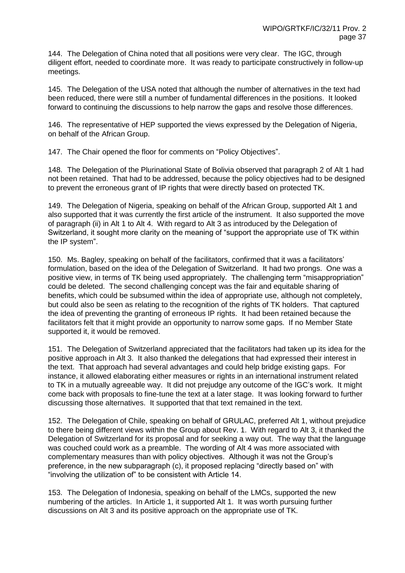144. The Delegation of China noted that all positions were very clear. The IGC, through diligent effort, needed to coordinate more. It was ready to participate constructively in follow-up meetings.

145. The Delegation of the USA noted that although the number of alternatives in the text had been reduced, there were still a number of fundamental differences in the positions. It looked forward to continuing the discussions to help narrow the gaps and resolve those differences.

146. The representative of HEP supported the views expressed by the Delegation of Nigeria, on behalf of the African Group.

147. The Chair opened the floor for comments on "Policy Objectives".

148. The Delegation of the Plurinational State of Bolivia observed that paragraph 2 of Alt 1 had not been retained. That had to be addressed, because the policy objectives had to be designed to prevent the erroneous grant of IP rights that were directly based on protected TK.

149. The Delegation of Nigeria, speaking on behalf of the African Group, supported Alt 1 and also supported that it was currently the first article of the instrument. It also supported the move of paragraph (ii) in Alt 1 to Alt 4. With regard to Alt 3 as introduced by the Delegation of Switzerland, it sought more clarity on the meaning of "support the appropriate use of TK within the IP system".

150. Ms. Bagley, speaking on behalf of the facilitators, confirmed that it was a facilitators' formulation, based on the idea of the Delegation of Switzerland. It had two prongs. One was a positive view, in terms of TK being used appropriately. The challenging term "misappropriation" could be deleted. The second challenging concept was the fair and equitable sharing of benefits, which could be subsumed within the idea of appropriate use, although not completely, but could also be seen as relating to the recognition of the rights of TK holders. That captured the idea of preventing the granting of erroneous IP rights. It had been retained because the facilitators felt that it might provide an opportunity to narrow some gaps. If no Member State supported it, it would be removed.

151. The Delegation of Switzerland appreciated that the facilitators had taken up its idea for the positive approach in Alt 3. It also thanked the delegations that had expressed their interest in the text. That approach had several advantages and could help bridge existing gaps. For instance, it allowed elaborating either measures or rights in an international instrument related to TK in a mutually agreeable way. It did not prejudge any outcome of the IGC's work. It might come back with proposals to fine-tune the text at a later stage. It was looking forward to further discussing those alternatives. It supported that that text remained in the text.

152. The Delegation of Chile, speaking on behalf of GRULAC, preferred Alt 1, without prejudice to there being different views within the Group about Rev. 1. With regard to Alt 3, it thanked the Delegation of Switzerland for its proposal and for seeking a way out. The way that the language was couched could work as a preamble. The wording of Alt 4 was more associated with complementary measures than with policy objectives. Although it was not the Group's preference, in the new subparagraph (c), it proposed replacing "directly based on" with "involving the utilization of" to be consistent with Article 14.

153. The Delegation of Indonesia, speaking on behalf of the LMCs, supported the new numbering of the articles. In Article 1, it supported Alt 1. It was worth pursuing further discussions on Alt 3 and its positive approach on the appropriate use of TK.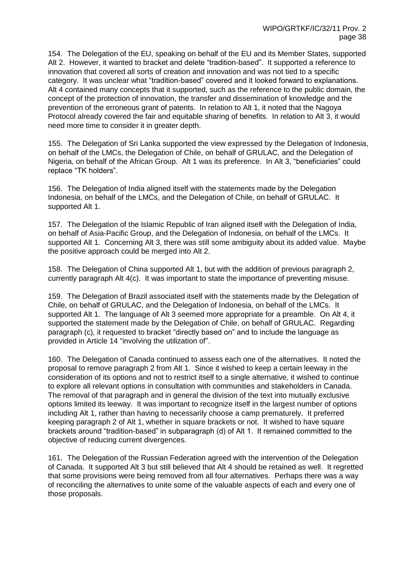154. The Delegation of the EU, speaking on behalf of the EU and its Member States, supported Alt 2. However, it wanted to bracket and delete "tradition-based". It supported a reference to innovation that covered all sorts of creation and innovation and was not tied to a specific category. It was unclear what "tradition-based" covered and it looked forward to explanations. Alt 4 contained many concepts that it supported, such as the reference to the public domain, the concept of the protection of innovation, the transfer and dissemination of knowledge and the prevention of the erroneous grant of patents. In relation to Alt 1, it noted that the Nagoya Protocol already covered the fair and equitable sharing of benefits. In relation to Alt 3, it would need more time to consider it in greater depth.

155. The Delegation of Sri Lanka supported the view expressed by the Delegation of Indonesia, on behalf of the LMCs, the Delegation of Chile, on behalf of GRULAC, and the Delegation of Nigeria, on behalf of the African Group. Alt 1 was its preference. In Alt 3, "beneficiaries" could replace "TK holders".

156. The Delegation of India aligned itself with the statements made by the Delegation Indonesia, on behalf of the LMCs, and the Delegation of Chile, on behalf of GRULAC. It supported Alt 1.

157. The Delegation of the Islamic Republic of Iran aligned itself with the Delegation of India, on behalf of Asia-Pacific Group, and the Delegation of Indonesia, on behalf of the LMCs. It supported Alt 1. Concerning Alt 3, there was still some ambiguity about its added value. Maybe the positive approach could be merged into Alt 2.

158. The Delegation of China supported Alt 1, but with the addition of previous paragraph 2, currently paragraph Alt 4(c). It was important to state the importance of preventing misuse.

159. The Delegation of Brazil associated itself with the statements made by the Delegation of Chile, on behalf of GRULAC, and the Delegation of Indonesia, on behalf of the LMCs. It supported Alt 1. The language of Alt 3 seemed more appropriate for a preamble. On Alt 4, it supported the statement made by the Delegation of Chile, on behalf of GRULAC. Regarding paragraph (c), it requested to bracket "directly based on" and to include the language as provided in Article 14 "involving the utilization of".

160. The Delegation of Canada continued to assess each one of the alternatives. It noted the proposal to remove paragraph 2 from Alt 1. Since it wished to keep a certain leeway in the consideration of its options and not to restrict itself to a single alternative, it wished to continue to explore all relevant options in consultation with communities and stakeholders in Canada. The removal of that paragraph and in general the division of the text into mutually exclusive options limited its leeway. It was important to recognize itself in the largest number of options including Alt 1, rather than having to necessarily choose a camp prematurely. It preferred keeping paragraph 2 of Alt 1, whether in square brackets or not. It wished to have square brackets around "tradition-based" in subparagraph (d) of Alt 1. It remained committed to the objective of reducing current divergences.

161. The Delegation of the Russian Federation agreed with the intervention of the Delegation of Canada. It supported Alt 3 but still believed that Alt 4 should be retained as well. It regretted that some provisions were being removed from all four alternatives. Perhaps there was a way of reconciling the alternatives to unite some of the valuable aspects of each and every one of those proposals.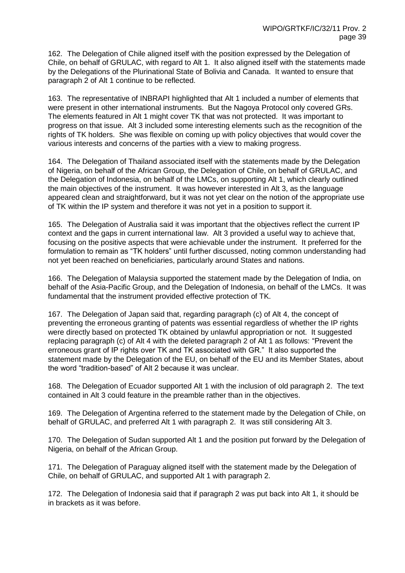162. The Delegation of Chile aligned itself with the position expressed by the Delegation of Chile, on behalf of GRULAC, with regard to Alt 1. It also aligned itself with the statements made by the Delegations of the Plurinational State of Bolivia and Canada. It wanted to ensure that paragraph 2 of Alt 1 continue to be reflected.

163. The representative of INBRAPI highlighted that Alt 1 included a number of elements that were present in other international instruments. But the Nagoya Protocol only covered GRs. The elements featured in Alt 1 might cover TK that was not protected. It was important to progress on that issue. Alt 3 included some interesting elements such as the recognition of the rights of TK holders. She was flexible on coming up with policy objectives that would cover the various interests and concerns of the parties with a view to making progress.

164. The Delegation of Thailand associated itself with the statements made by the Delegation of Nigeria, on behalf of the African Group, the Delegation of Chile, on behalf of GRULAC, and the Delegation of Indonesia, on behalf of the LMCs, on supporting Alt 1, which clearly outlined the main objectives of the instrument. It was however interested in Alt 3, as the language appeared clean and straightforward, but it was not yet clear on the notion of the appropriate use of TK within the IP system and therefore it was not yet in a position to support it.

165. The Delegation of Australia said it was important that the objectives reflect the current IP context and the gaps in current international law. Alt 3 provided a useful way to achieve that, focusing on the positive aspects that were achievable under the instrument. It preferred for the formulation to remain as "TK holders" until further discussed, noting common understanding had not yet been reached on beneficiaries, particularly around States and nations.

166. The Delegation of Malaysia supported the statement made by the Delegation of India, on behalf of the Asia-Pacific Group, and the Delegation of Indonesia, on behalf of the LMCs. It was fundamental that the instrument provided effective protection of TK.

167. The Delegation of Japan said that, regarding paragraph (c) of Alt 4, the concept of preventing the erroneous granting of patents was essential regardless of whether the IP rights were directly based on protected TK obtained by unlawful appropriation or not. It suggested replacing paragraph (c) of Alt 4 with the deleted paragraph 2 of Alt 1 as follows: "Prevent the erroneous grant of IP rights over TK and TK associated with GR." It also supported the statement made by the Delegation of the EU, on behalf of the EU and its Member States, about the word "tradition-based" of Alt 2 because it was unclear.

168. The Delegation of Ecuador supported Alt 1 with the inclusion of old paragraph 2. The text contained in Alt 3 could feature in the preamble rather than in the objectives.

169. The Delegation of Argentina referred to the statement made by the Delegation of Chile, on behalf of GRULAC, and preferred Alt 1 with paragraph 2. It was still considering Alt 3.

170. The Delegation of Sudan supported Alt 1 and the position put forward by the Delegation of Nigeria, on behalf of the African Group.

171. The Delegation of Paraguay aligned itself with the statement made by the Delegation of Chile, on behalf of GRULAC, and supported Alt 1 with paragraph 2.

172. The Delegation of Indonesia said that if paragraph 2 was put back into Alt 1, it should be in brackets as it was before.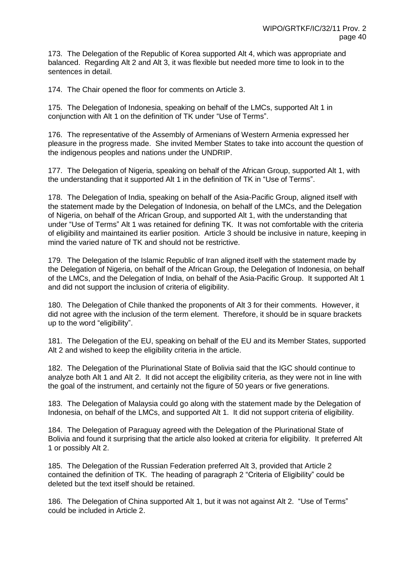173. The Delegation of the Republic of Korea supported Alt 4, which was appropriate and balanced. Regarding Alt 2 and Alt 3, it was flexible but needed more time to look in to the sentences in detail.

174. The Chair opened the floor for comments on Article 3.

175. The Delegation of Indonesia, speaking on behalf of the LMCs, supported Alt 1 in conjunction with Alt 1 on the definition of TK under "Use of Terms".

176. The representative of the Assembly of Armenians of Western Armenia expressed her pleasure in the progress made. She invited Member States to take into account the question of the indigenous peoples and nations under the UNDRIP.

177. The Delegation of Nigeria, speaking on behalf of the African Group, supported Alt 1, with the understanding that it supported Alt 1 in the definition of TK in "Use of Terms".

178. The Delegation of India, speaking on behalf of the Asia-Pacific Group, aligned itself with the statement made by the Delegation of Indonesia, on behalf of the LMCs, and the Delegation of Nigeria, on behalf of the African Group, and supported Alt 1, with the understanding that under "Use of Terms" Alt 1 was retained for defining TK. It was not comfortable with the criteria of eligibility and maintained its earlier position. Article 3 should be inclusive in nature, keeping in mind the varied nature of TK and should not be restrictive.

179. The Delegation of the Islamic Republic of Iran aligned itself with the statement made by the Delegation of Nigeria, on behalf of the African Group, the Delegation of Indonesia, on behalf of the LMCs, and the Delegation of India, on behalf of the Asia-Pacific Group. It supported Alt 1 and did not support the inclusion of criteria of eligibility.

180. The Delegation of Chile thanked the proponents of Alt 3 for their comments. However, it did not agree with the inclusion of the term element. Therefore, it should be in square brackets up to the word "eligibility".

181. The Delegation of the EU, speaking on behalf of the EU and its Member States, supported Alt 2 and wished to keep the eligibility criteria in the article.

182. The Delegation of the Plurinational State of Bolivia said that the IGC should continue to analyze both Alt 1 and Alt 2. It did not accept the eligibility criteria, as they were not in line with the goal of the instrument, and certainly not the figure of 50 years or five generations.

183. The Delegation of Malaysia could go along with the statement made by the Delegation of Indonesia, on behalf of the LMCs, and supported Alt 1. It did not support criteria of eligibility.

184. The Delegation of Paraguay agreed with the Delegation of the Plurinational State of Bolivia and found it surprising that the article also looked at criteria for eligibility. It preferred Alt 1 or possibly Alt 2.

185. The Delegation of the Russian Federation preferred Alt 3, provided that Article 2 contained the definition of TK. The heading of paragraph 2 "Criteria of Eligibility" could be deleted but the text itself should be retained.

186. The Delegation of China supported Alt 1, but it was not against Alt 2. "Use of Terms" could be included in Article 2.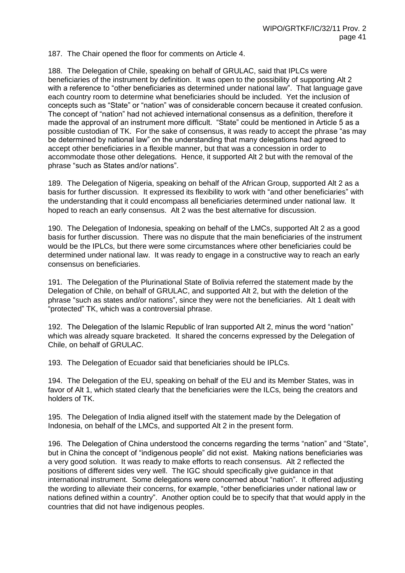187. The Chair opened the floor for comments on Article 4.

188. The Delegation of Chile, speaking on behalf of GRULAC, said that IPLCs were beneficiaries of the instrument by definition. It was open to the possibility of supporting Alt 2 with a reference to "other beneficiaries as determined under national law". That language gave each country room to determine what beneficiaries should be included. Yet the inclusion of concepts such as "State" or "nation" was of considerable concern because it created confusion. The concept of "nation" had not achieved international consensus as a definition, therefore it made the approval of an instrument more difficult. "State" could be mentioned in Article 5 as a possible custodian of TK. For the sake of consensus, it was ready to accept the phrase "as may be determined by national law" on the understanding that many delegations had agreed to accept other beneficiaries in a flexible manner, but that was a concession in order to accommodate those other delegations. Hence, it supported Alt 2 but with the removal of the phrase "such as States and/or nations".

189. The Delegation of Nigeria, speaking on behalf of the African Group, supported Alt 2 as a basis for further discussion. It expressed its flexibility to work with "and other beneficiaries" with the understanding that it could encompass all beneficiaries determined under national law. It hoped to reach an early consensus. Alt 2 was the best alternative for discussion.

190. The Delegation of Indonesia, speaking on behalf of the LMCs, supported Alt 2 as a good basis for further discussion. There was no dispute that the main beneficiaries of the instrument would be the IPLCs, but there were some circumstances where other beneficiaries could be determined under national law. It was ready to engage in a constructive way to reach an early consensus on beneficiaries.

191. The Delegation of the Plurinational State of Bolivia referred the statement made by the Delegation of Chile, on behalf of GRULAC, and supported Alt 2, but with the deletion of the phrase "such as states and/or nations", since they were not the beneficiaries. Alt 1 dealt with "protected" TK, which was a controversial phrase.

192. The Delegation of the Islamic Republic of Iran supported Alt 2, minus the word "nation" which was already square bracketed. It shared the concerns expressed by the Delegation of Chile, on behalf of GRULAC.

193. The Delegation of Ecuador said that beneficiaries should be IPLCs.

194. The Delegation of the EU, speaking on behalf of the EU and its Member States, was in favor of Alt 1, which stated clearly that the beneficiaries were the ILCs, being the creators and holders of TK.

195. The Delegation of India aligned itself with the statement made by the Delegation of Indonesia, on behalf of the LMCs, and supported Alt 2 in the present form.

196. The Delegation of China understood the concerns regarding the terms "nation" and "State", but in China the concept of "indigenous people" did not exist. Making nations beneficiaries was a very good solution. It was ready to make efforts to reach consensus. Alt 2 reflected the positions of different sides very well. The IGC should specifically give guidance in that international instrument. Some delegations were concerned about "nation". It offered adjusting the wording to alleviate their concerns, for example, "other beneficiaries under national law or nations defined within a country". Another option could be to specify that that would apply in the countries that did not have indigenous peoples.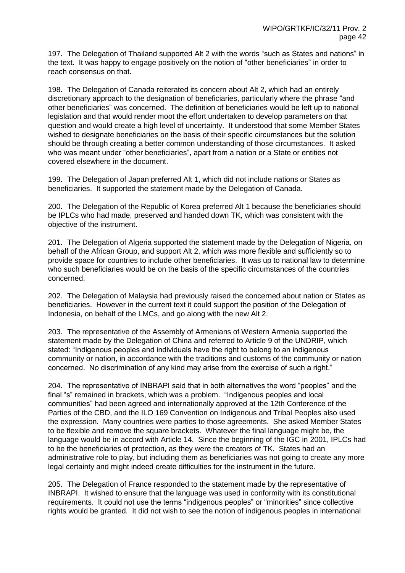197. The Delegation of Thailand supported Alt 2 with the words "such as States and nations" in the text. It was happy to engage positively on the notion of "other beneficiaries" in order to reach consensus on that.

198. The Delegation of Canada reiterated its concern about Alt 2, which had an entirely discretionary approach to the designation of beneficiaries, particularly where the phrase "and other beneficiaries" was concerned. The definition of beneficiaries would be left up to national legislation and that would render moot the effort undertaken to develop parameters on that question and would create a high level of uncertainty. It understood that some Member States wished to designate beneficiaries on the basis of their specific circumstances but the solution should be through creating a better common understanding of those circumstances. It asked who was meant under "other beneficiaries", apart from a nation or a State or entities not covered elsewhere in the document.

199. The Delegation of Japan preferred Alt 1, which did not include nations or States as beneficiaries. It supported the statement made by the Delegation of Canada.

200. The Delegation of the Republic of Korea preferred Alt 1 because the beneficiaries should be IPLCs who had made, preserved and handed down TK, which was consistent with the objective of the instrument.

201. The Delegation of Algeria supported the statement made by the Delegation of Nigeria, on behalf of the African Group, and support Alt 2, which was more flexible and sufficiently so to provide space for countries to include other beneficiaries. It was up to national law to determine who such beneficiaries would be on the basis of the specific circumstances of the countries concerned.

202. The Delegation of Malaysia had previously raised the concerned about nation or States as beneficiaries. However in the current text it could support the position of the Delegation of Indonesia, on behalf of the LMCs, and go along with the new Alt 2.

203. The representative of the Assembly of Armenians of Western Armenia supported the statement made by the Delegation of China and referred to Article 9 of the UNDRIP, which stated: "Indigenous peoples and individuals have the right to belong to an indigenous community or nation, in accordance with the traditions and customs of the community or nation concerned. No discrimination of any kind may arise from the exercise of such a right."

204. The representative of INBRAPI said that in both alternatives the word "peoples" and the final "s" remained in brackets, which was a problem. "Indigenous peoples and local communities" had been agreed and internationally approved at the 12th Conference of the Parties of the CBD, and the ILO 169 Convention on Indigenous and Tribal Peoples also used the expression. Many countries were parties to those agreements. She asked Member States to be flexible and remove the square brackets. Whatever the final language might be, the language would be in accord with Article 14. Since the beginning of the IGC in 2001, IPLCs had to be the beneficiaries of protection, as they were the creators of TK. States had an administrative role to play, but including them as beneficiaries was not going to create any more legal certainty and might indeed create difficulties for the instrument in the future.

205. The Delegation of France responded to the statement made by the representative of INBRAPI. It wished to ensure that the language was used in conformity with its constitutional requirements. It could not use the terms "indigenous peoples" or "minorities" since collective rights would be granted. It did not wish to see the notion of indigenous peoples in international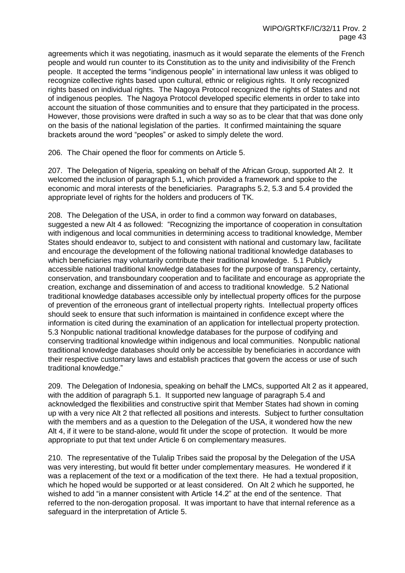agreements which it was negotiating, inasmuch as it would separate the elements of the French people and would run counter to its Constitution as to the unity and indivisibility of the French people. It accepted the terms "indigenous people" in international law unless it was obliged to recognize collective rights based upon cultural, ethnic or religious rights. It only recognized rights based on individual rights. The Nagoya Protocol recognized the rights of States and not of indigenous peoples. The Nagoya Protocol developed specific elements in order to take into account the situation of those communities and to ensure that they participated in the process. However, those provisions were drafted in such a way so as to be clear that that was done only on the basis of the national legislation of the parties. It confirmed maintaining the square brackets around the word "peoples" or asked to simply delete the word.

206. The Chair opened the floor for comments on Article 5.

207. The Delegation of Nigeria, speaking on behalf of the African Group, supported Alt 2. It welcomed the inclusion of paragraph 5.1, which provided a framework and spoke to the economic and moral interests of the beneficiaries. Paragraphs 5.2, 5.3 and 5.4 provided the appropriate level of rights for the holders and producers of TK.

208. The Delegation of the USA, in order to find a common way forward on databases, suggested a new Alt 4 as followed: "Recognizing the importance of cooperation in consultation with indigenous and local communities in determining access to traditional knowledge, Member States should endeavor to, subject to and consistent with national and customary law, facilitate and encourage the development of the following national traditional knowledge databases to which beneficiaries may voluntarily contribute their traditional knowledge. 5.1 Publicly accessible national traditional knowledge databases for the purpose of transparency, certainty, conservation, and transboundary cooperation and to facilitate and encourage as appropriate the creation, exchange and dissemination of and access to traditional knowledge. 5.2 National traditional knowledge databases accessible only by intellectual property offices for the purpose of prevention of the erroneous grant of intellectual property rights. Intellectual property offices should seek to ensure that such information is maintained in confidence except where the information is cited during the examination of an application for intellectual property protection. 5.3 Nonpublic national traditional knowledge databases for the purpose of codifying and conserving traditional knowledge within indigenous and local communities. Nonpublic national traditional knowledge databases should only be accessible by beneficiaries in accordance with their respective customary laws and establish practices that govern the access or use of such traditional knowledge."

209. The Delegation of Indonesia, speaking on behalf the LMCs, supported Alt 2 as it appeared, with the addition of paragraph 5.1. It supported new language of paragraph 5.4 and acknowledged the flexibilities and constructive spirit that Member States had shown in coming up with a very nice Alt 2 that reflected all positions and interests. Subject to further consultation with the members and as a question to the Delegation of the USA, it wondered how the new Alt 4, if it were to be stand-alone, would fit under the scope of protection. It would be more appropriate to put that text under Article 6 on complementary measures.

210. The representative of the Tulalip Tribes said the proposal by the Delegation of the USA was very interesting, but would fit better under complementary measures. He wondered if it was a replacement of the text or a modification of the text there. He had a textual proposition, which he hoped would be supported or at least considered. On Alt 2 which he supported, he wished to add "in a manner consistent with Article 14.2" at the end of the sentence. That referred to the non-derogation proposal. It was important to have that internal reference as a safeguard in the interpretation of Article 5.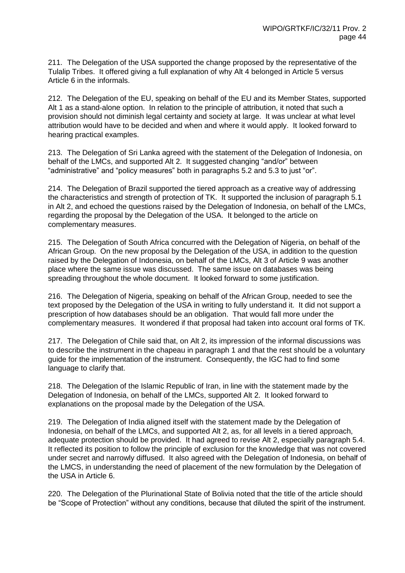211. The Delegation of the USA supported the change proposed by the representative of the Tulalip Tribes. It offered giving a full explanation of why Alt 4 belonged in Article 5 versus Article 6 in the informals.

212. The Delegation of the EU, speaking on behalf of the EU and its Member States, supported Alt 1 as a stand-alone option. In relation to the principle of attribution, it noted that such a provision should not diminish legal certainty and society at large. It was unclear at what level attribution would have to be decided and when and where it would apply. It looked forward to hearing practical examples.

213. The Delegation of Sri Lanka agreed with the statement of the Delegation of Indonesia, on behalf of the LMCs, and supported Alt 2. It suggested changing "and/or" between "administrative" and "policy measures" both in paragraphs 5.2 and 5.3 to just "or".

214. The Delegation of Brazil supported the tiered approach as a creative way of addressing the characteristics and strength of protection of TK. It supported the inclusion of paragraph 5.1 in Alt 2, and echoed the questions raised by the Delegation of Indonesia, on behalf of the LMCs, regarding the proposal by the Delegation of the USA. It belonged to the article on complementary measures.

215. The Delegation of South Africa concurred with the Delegation of Nigeria, on behalf of the African Group. On the new proposal by the Delegation of the USA, in addition to the question raised by the Delegation of Indonesia, on behalf of the LMCs, Alt 3 of Article 9 was another place where the same issue was discussed. The same issue on databases was being spreading throughout the whole document. It looked forward to some justification.

216. The Delegation of Nigeria, speaking on behalf of the African Group, needed to see the text proposed by the Delegation of the USA in writing to fully understand it. It did not support a prescription of how databases should be an obligation. That would fall more under the complementary measures. It wondered if that proposal had taken into account oral forms of TK.

217. The Delegation of Chile said that, on Alt 2, its impression of the informal discussions was to describe the instrument in the chapeau in paragraph 1 and that the rest should be a voluntary guide for the implementation of the instrument. Consequently, the IGC had to find some language to clarify that.

218. The Delegation of the Islamic Republic of Iran, in line with the statement made by the Delegation of Indonesia, on behalf of the LMCs, supported Alt 2. It looked forward to explanations on the proposal made by the Delegation of the USA.

219. The Delegation of India aligned itself with the statement made by the Delegation of Indonesia, on behalf of the LMCs, and supported Alt 2, as, for all levels in a tiered approach, adequate protection should be provided. It had agreed to revise Alt 2, especially paragraph 5.4. It reflected its position to follow the principle of exclusion for the knowledge that was not covered under secret and narrowly diffused. It also agreed with the Delegation of Indonesia, on behalf of the LMCS, in understanding the need of placement of the new formulation by the Delegation of the USA in Article 6.

220. The Delegation of the Plurinational State of Bolivia noted that the title of the article should be "Scope of Protection" without any conditions, because that diluted the spirit of the instrument.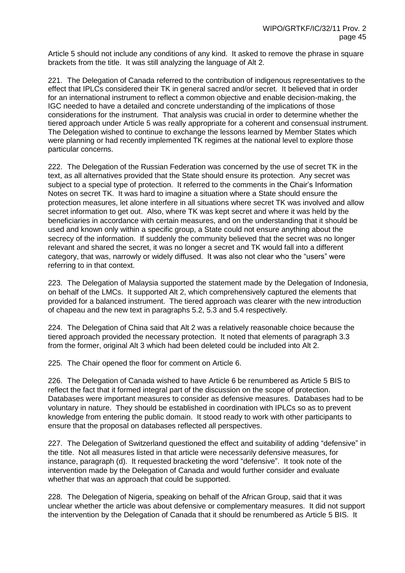Article 5 should not include any conditions of any kind. It asked to remove the phrase in square brackets from the title. It was still analyzing the language of Alt 2.

221. The Delegation of Canada referred to the contribution of indigenous representatives to the effect that IPLCs considered their TK in general sacred and/or secret. It believed that in order for an international instrument to reflect a common objective and enable decision-making, the IGC needed to have a detailed and concrete understanding of the implications of those considerations for the instrument. That analysis was crucial in order to determine whether the tiered approach under Article 5 was really appropriate for a coherent and consensual instrument. The Delegation wished to continue to exchange the lessons learned by Member States which were planning or had recently implemented TK regimes at the national level to explore those particular concerns.

222. The Delegation of the Russian Federation was concerned by the use of secret TK in the text, as all alternatives provided that the State should ensure its protection. Any secret was subject to a special type of protection. It referred to the comments in the Chair's Information Notes on secret TK. It was hard to imagine a situation where a State should ensure the protection measures, let alone interfere in all situations where secret TK was involved and allow secret information to get out. Also, where TK was kept secret and where it was held by the beneficiaries in accordance with certain measures, and on the understanding that it should be used and known only within a specific group, a State could not ensure anything about the secrecy of the information. If suddenly the community believed that the secret was no longer relevant and shared the secret, it was no longer a secret and TK would fall into a different category, that was, narrowly or widely diffused. It was also not clear who the "users" were referring to in that context.

223. The Delegation of Malaysia supported the statement made by the Delegation of Indonesia, on behalf of the LMCs. It supported Alt 2, which comprehensively captured the elements that provided for a balanced instrument. The tiered approach was clearer with the new introduction of chapeau and the new text in paragraphs 5.2, 5.3 and 5.4 respectively.

224. The Delegation of China said that Alt 2 was a relatively reasonable choice because the tiered approach provided the necessary protection. It noted that elements of paragraph 3.3 from the former, original Alt 3 which had been deleted could be included into Alt 2.

225. The Chair opened the floor for comment on Article 6.

226. The Delegation of Canada wished to have Article 6 be renumbered as Article 5 BIS to reflect the fact that it formed integral part of the discussion on the scope of protection. Databases were important measures to consider as defensive measures. Databases had to be voluntary in nature. They should be established in coordination with IPLCs so as to prevent knowledge from entering the public domain. It stood ready to work with other participants to ensure that the proposal on databases reflected all perspectives.

227. The Delegation of Switzerland questioned the effect and suitability of adding "defensive" in the title. Not all measures listed in that article were necessarily defensive measures, for instance, paragraph (d). It requested bracketing the word "defensive". It took note of the intervention made by the Delegation of Canada and would further consider and evaluate whether that was an approach that could be supported.

228. The Delegation of Nigeria, speaking on behalf of the African Group, said that it was unclear whether the article was about defensive or complementary measures. It did not support the intervention by the Delegation of Canada that it should be renumbered as Article 5 BIS. It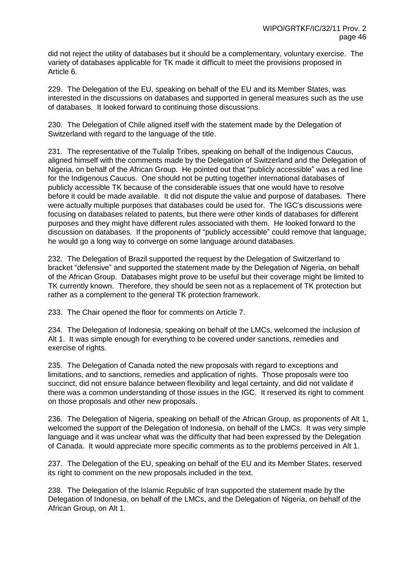did not reject the utility of databases but it should be a complementary, voluntary exercise. The variety of databases applicable for TK made it difficult to meet the provisions proposed in Article 6.

229. The Delegation of the EU, speaking on behalf of the EU and its Member States, was interested in the discussions on databases and supported in general measures such as the use of databases. It looked forward to continuing those discussions.

230. The Delegation of Chile aligned itself with the statement made by the Delegation of Switzerland with regard to the language of the title.

231. The representative of the Tulalip Tribes, speaking on behalf of the Indigenous Caucus, aligned himself with the comments made by the Delegation of Switzerland and the Delegation of Nigeria, on behalf of the African Group. He pointed out that "publicly accessible" was a red line for the Indigenous Caucus. One should not be putting together international databases of publicly accessible TK because of the considerable issues that one would have to resolve before it could be made available. It did not dispute the value and purpose of databases. There were actually multiple purposes that databases could be used for. The IGC's discussions were focusing on databases related to patents, but there were other kinds of databases for different purposes and they might have different rules associated with them. He looked forward to the discussion on databases. If the proponents of "publicly accessible" could remove that language, he would go a long way to converge on some language around databases.

232. The Delegation of Brazil supported the request by the Delegation of Switzerland to bracket "defensive" and supported the statement made by the Delegation of Nigeria, on behalf of the African Group. Databases might prove to be useful but their coverage might be limited to TK currently known. Therefore, they should be seen not as a replacement of TK protection but rather as a complement to the general TK protection framework.

233. The Chair opened the floor for comments on Article 7.

234. The Delegation of Indonesia, speaking on behalf of the LMCs, welcomed the inclusion of Alt 1. It was simple enough for everything to be covered under sanctions, remedies and exercise of rights.

235. The Delegation of Canada noted the new proposals with regard to exceptions and limitations, and to sanctions, remedies and application of rights. Those proposals were too succinct, did not ensure balance between flexibility and legal certainty, and did not validate if there was a common understanding of those issues in the IGC. It reserved its right to comment on those proposals and other new proposals.

236. The Delegation of Nigeria, speaking on behalf of the African Group, as proponents of Alt 1, welcomed the support of the Delegation of Indonesia, on behalf of the LMCs. It was very simple language and it was unclear what was the difficulty that had been expressed by the Delegation of Canada. It would appreciate more specific comments as to the problems perceived in Alt 1.

237. The Delegation of the EU, speaking on behalf of the EU and its Member States, reserved its right to comment on the new proposals included in the text.

238. The Delegation of the Islamic Republic of Iran supported the statement made by the Delegation of Indonesia, on behalf of the LMCs, and the Delegation of Nigeria, on behalf of the African Group, on Alt 1.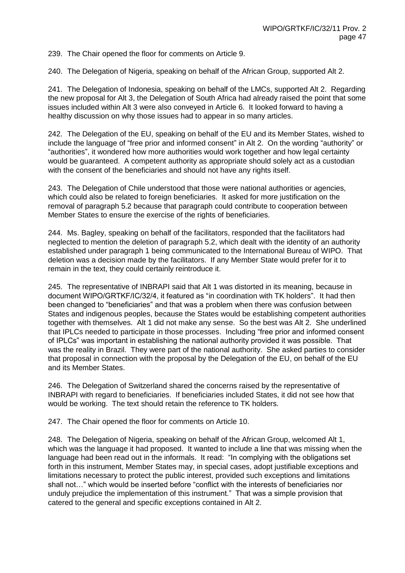239. The Chair opened the floor for comments on Article 9.

240. The Delegation of Nigeria, speaking on behalf of the African Group, supported Alt 2.

241. The Delegation of Indonesia, speaking on behalf of the LMCs, supported Alt 2. Regarding the new proposal for Alt 3, the Delegation of South Africa had already raised the point that some issues included within Alt 3 were also conveyed in Article 6. It looked forward to having a healthy discussion on why those issues had to appear in so many articles.

242. The Delegation of the EU, speaking on behalf of the EU and its Member States, wished to include the language of "free prior and informed consent" in Alt 2. On the wording "authority" or "authorities", it wondered how more authorities would work together and how legal certainty would be guaranteed. A competent authority as appropriate should solely act as a custodian with the consent of the beneficiaries and should not have any rights itself.

243. The Delegation of Chile understood that those were national authorities or agencies, which could also be related to foreign beneficiaries. It asked for more justification on the removal of paragraph 5.2 because that paragraph could contribute to cooperation between Member States to ensure the exercise of the rights of beneficiaries.

244. Ms. Bagley, speaking on behalf of the facilitators, responded that the facilitators had neglected to mention the deletion of paragraph 5.2, which dealt with the identity of an authority established under paragraph 1 being communicated to the International Bureau of WIPO. That deletion was a decision made by the facilitators. If any Member State would prefer for it to remain in the text, they could certainly reintroduce it.

245. The representative of INBRAPI said that Alt 1 was distorted in its meaning, because in document WIPO/GRTKF/IC/32/4, it featured as "in coordination with TK holders". It had then been changed to "beneficiaries" and that was a problem when there was confusion between States and indigenous peoples, because the States would be establishing competent authorities together with themselves. Alt 1 did not make any sense. So the best was Alt 2. She underlined that IPLCs needed to participate in those processes. Including "free prior and informed consent of IPLCs" was important in establishing the national authority provided it was possible. That was the reality in Brazil. They were part of the national authority. She asked parties to consider that proposal in connection with the proposal by the Delegation of the EU, on behalf of the EU and its Member States.

246. The Delegation of Switzerland shared the concerns raised by the representative of INBRAPI with regard to beneficiaries. If beneficiaries included States, it did not see how that would be working. The text should retain the reference to TK holders.

247. The Chair opened the floor for comments on Article 10.

248. The Delegation of Nigeria, speaking on behalf of the African Group, welcomed Alt 1, which was the language it had proposed. It wanted to include a line that was missing when the language had been read out in the informals. It read: "In complying with the obligations set forth in this instrument, Member States may, in special cases, adopt justifiable exceptions and limitations necessary to protect the public interest, provided such exceptions and limitations shall not…" which would be inserted before "conflict with the interests of beneficiaries nor unduly prejudice the implementation of this instrument." That was a simple provision that catered to the general and specific exceptions contained in Alt 2.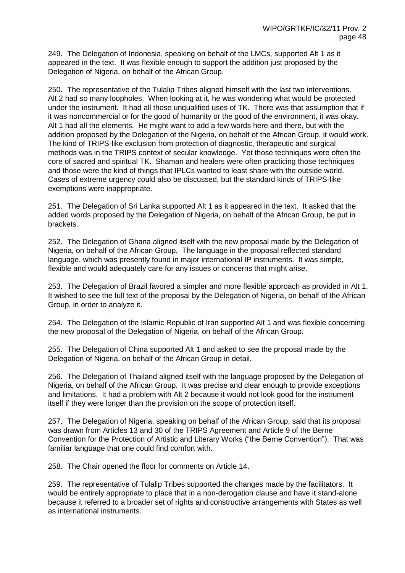249. The Delegation of Indonesia, speaking on behalf of the LMCs, supported Alt 1 as it appeared in the text. It was flexible enough to support the addition just proposed by the Delegation of Nigeria, on behalf of the African Group.

250. The representative of the Tulalip Tribes aligned himself with the last two interventions. Alt 2 had so many loopholes. When looking at it, he was wondering what would be protected under the instrument. It had all those unqualified uses of TK. There was that assumption that if it was noncommercial or for the good of humanity or the good of the environment, it was okay. Alt 1 had all the elements. He might want to add a few words here and there, but with the addition proposed by the Delegation of the Nigeria, on behalf of the African Group, it would work. The kind of TRIPS-like exclusion from protection of diagnostic, therapeutic and surgical methods was in the TRIPS context of secular knowledge. Yet those techniques were often the core of sacred and spiritual TK. Shaman and healers were often practicing those techniques and those were the kind of things that IPLCs wanted to least share with the outside world. Cases of extreme urgency could also be discussed, but the standard kinds of TRIPS-like exemptions were inappropriate.

251. The Delegation of Sri Lanka supported Alt 1 as it appeared in the text. It asked that the added words proposed by the Delegation of Nigeria, on behalf of the African Group, be put in brackets.

252. The Delegation of Ghana aligned itself with the new proposal made by the Delegation of Nigeria, on behalf of the African Group. The language in the proposal reflected standard language, which was presently found in major international IP instruments. It was simple, flexible and would adequately care for any issues or concerns that might arise.

253. The Delegation of Brazil favored a simpler and more flexible approach as provided in Alt 1. It wished to see the full text of the proposal by the Delegation of Nigeria, on behalf of the African Group, in order to analyze it.

254. The Delegation of the Islamic Republic of Iran supported Alt 1 and was flexible concerning the new proposal of the Delegation of Nigeria, on behalf of the African Group.

255. The Delegation of China supported Alt 1 and asked to see the proposal made by the Delegation of Nigeria, on behalf of the African Group in detail.

256. The Delegation of Thailand aligned itself with the language proposed by the Delegation of Nigeria, on behalf of the African Group. It was precise and clear enough to provide exceptions and limitations. It had a problem with Alt 2 because it would not look good for the instrument itself if they were longer than the provision on the scope of protection itself.

257. The Delegation of Nigeria, speaking on behalf of the African Group, said that its proposal was drawn from Articles 13 and 30 of the TRIPS Agreement and Article 9 of the Berne Convention for the Protection of Artistic and Literary Works ("the Berne Convention"). That was familiar language that one could find comfort with.

258. The Chair opened the floor for comments on Article 14.

259. The representative of Tulalip Tribes supported the changes made by the facilitators. It would be entirely appropriate to place that in a non-derogation clause and have it stand-alone because it referred to a broader set of rights and constructive arrangements with States as well as international instruments.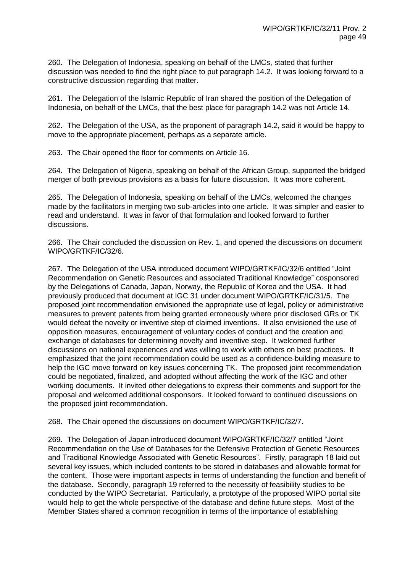260. The Delegation of Indonesia, speaking on behalf of the LMCs, stated that further discussion was needed to find the right place to put paragraph 14.2. It was looking forward to a constructive discussion regarding that matter.

261. The Delegation of the Islamic Republic of Iran shared the position of the Delegation of Indonesia, on behalf of the LMCs, that the best place for paragraph 14.2 was not Article 14.

262. The Delegation of the USA, as the proponent of paragraph 14.2, said it would be happy to move to the appropriate placement, perhaps as a separate article.

263. The Chair opened the floor for comments on Article 16.

264. The Delegation of Nigeria, speaking on behalf of the African Group, supported the bridged merger of both previous provisions as a basis for future discussion. It was more coherent.

265. The Delegation of Indonesia, speaking on behalf of the LMCs, welcomed the changes made by the facilitators in merging two sub-articles into one article. It was simpler and easier to read and understand. It was in favor of that formulation and looked forward to further discussions.

266. The Chair concluded the discussion on Rev. 1, and opened the discussions on document WIPO/GRTKF/IC/32/6.

267. The Delegation of the USA introduced document WIPO/GRTKF/IC/32/6 entitled "Joint Recommendation on Genetic Resources and associated Traditional Knowledge" cosponsored by the Delegations of Canada, Japan, Norway, the Republic of Korea and the USA. It had previously produced that document at IGC 31 under document WIPO/GRTKF/IC/31/5. The proposed joint recommendation envisioned the appropriate use of legal, policy or administrative measures to prevent patents from being granted erroneously where prior disclosed GRs or TK would defeat the novelty or inventive step of claimed inventions. It also envisioned the use of opposition measures, encouragement of voluntary codes of conduct and the creation and exchange of databases for determining novelty and inventive step. It welcomed further discussions on national experiences and was willing to work with others on best practices. It emphasized that the joint recommendation could be used as a confidence-building measure to help the IGC move forward on key issues concerning TK. The proposed joint recommendation could be negotiated, finalized, and adopted without affecting the work of the IGC and other working documents. It invited other delegations to express their comments and support for the proposal and welcomed additional cosponsors. It looked forward to continued discussions on the proposed joint recommendation.

268. The Chair opened the discussions on document WIPO/GRTKF/IC/32/7.

269. The Delegation of Japan introduced document WIPO/GRTKF/IC/32/7 entitled "Joint Recommendation on the Use of Databases for the Defensive Protection of Genetic Resources and Traditional Knowledge Associated with Genetic Resources". Firstly, paragraph 18 laid out several key issues, which included contents to be stored in databases and allowable format for the content. Those were important aspects in terms of understanding the function and benefit of the database. Secondly, paragraph 19 referred to the necessity of feasibility studies to be conducted by the WIPO Secretariat. Particularly, a prototype of the proposed WIPO portal site would help to get the whole perspective of the database and define future steps. Most of the Member States shared a common recognition in terms of the importance of establishing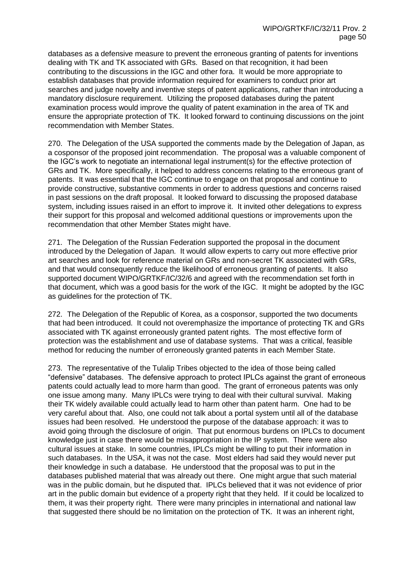databases as a defensive measure to prevent the erroneous granting of patents for inventions dealing with TK and TK associated with GRs. Based on that recognition, it had been contributing to the discussions in the IGC and other fora. It would be more appropriate to establish databases that provide information required for examiners to conduct prior art searches and judge novelty and inventive steps of patent applications, rather than introducing a mandatory disclosure requirement. Utilizing the proposed databases during the patent examination process would improve the quality of patent examination in the area of TK and ensure the appropriate protection of TK. It looked forward to continuing discussions on the joint recommendation with Member States.

270. The Delegation of the USA supported the comments made by the Delegation of Japan, as a cosponsor of the proposed joint recommendation. The proposal was a valuable component of the IGC's work to negotiate an international legal instrument(s) for the effective protection of GRs and TK. More specifically, it helped to address concerns relating to the erroneous grant of patents. It was essential that the IGC continue to engage on that proposal and continue to provide constructive, substantive comments in order to address questions and concerns raised in past sessions on the draft proposal. It looked forward to discussing the proposed database system, including issues raised in an effort to improve it. It invited other delegations to express their support for this proposal and welcomed additional questions or improvements upon the recommendation that other Member States might have.

271. The Delegation of the Russian Federation supported the proposal in the document introduced by the Delegation of Japan. It would allow experts to carry out more effective prior art searches and look for reference material on GRs and non-secret TK associated with GRs, and that would consequently reduce the likelihood of erroneous granting of patents. It also supported document WIPO/GRTKF/IC/32/6 and agreed with the recommendation set forth in that document, which was a good basis for the work of the IGC. It might be adopted by the IGC as guidelines for the protection of TK.

272. The Delegation of the Republic of Korea, as a cosponsor, supported the two documents that had been introduced. It could not overemphasize the importance of protecting TK and GRs associated with TK against erroneously granted patent rights. The most effective form of protection was the establishment and use of database systems. That was a critical, feasible method for reducing the number of erroneously granted patents in each Member State.

273. The representative of the Tulalip Tribes objected to the idea of those being called "defensive" databases. The defensive approach to protect IPLCs against the grant of erroneous patents could actually lead to more harm than good. The grant of erroneous patents was only one issue among many. Many IPLCs were trying to deal with their cultural survival. Making their TK widely available could actually lead to harm other than patent harm. One had to be very careful about that. Also, one could not talk about a portal system until all of the database issues had been resolved. He understood the purpose of the database approach: it was to avoid going through the disclosure of origin. That put enormous burdens on IPLCs to document knowledge just in case there would be misappropriation in the IP system. There were also cultural issues at stake. In some countries, IPLCs might be willing to put their information in such databases. In the USA, it was not the case. Most elders had said they would never put their knowledge in such a database. He understood that the proposal was to put in the databases published material that was already out there. One might argue that such material was in the public domain, but he disputed that. IPLCs believed that it was not evidence of prior art in the public domain but evidence of a property right that they held. If it could be localized to them, it was their property right. There were many principles in international and national law that suggested there should be no limitation on the protection of TK. It was an inherent right,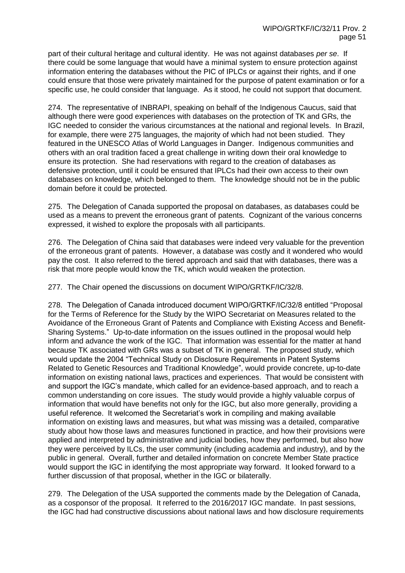part of their cultural heritage and cultural identity. He was not against databases *per se*. If there could be some language that would have a minimal system to ensure protection against information entering the databases without the PIC of IPLCs or against their rights, and if one could ensure that those were privately maintained for the purpose of patent examination or for a specific use, he could consider that language. As it stood, he could not support that document.

274. The representative of INBRAPI, speaking on behalf of the Indigenous Caucus, said that although there were good experiences with databases on the protection of TK and GRs, the IGC needed to consider the various circumstances at the national and regional levels. In Brazil, for example, there were 275 languages, the majority of which had not been studied. They featured in the UNESCO Atlas of World Languages in Danger. Indigenous communities and others with an oral tradition faced a great challenge in writing down their oral knowledge to ensure its protection. She had reservations with regard to the creation of databases as defensive protection, until it could be ensured that IPLCs had their own access to their own databases on knowledge, which belonged to them. The knowledge should not be in the public domain before it could be protected.

275. The Delegation of Canada supported the proposal on databases, as databases could be used as a means to prevent the erroneous grant of patents. Cognizant of the various concerns expressed, it wished to explore the proposals with all participants.

276. The Delegation of China said that databases were indeed very valuable for the prevention of the erroneous grant of patents. However, a database was costly and it wondered who would pay the cost. It also referred to the tiered approach and said that with databases, there was a risk that more people would know the TK, which would weaken the protection.

277. The Chair opened the discussions on document WIPO/GRTKF/IC/32/8.

278. The Delegation of Canada introduced document WIPO/GRTKF/IC/32/8 entitled "Proposal for the Terms of Reference for the Study by the WIPO Secretariat on Measures related to the Avoidance of the Erroneous Grant of Patents and Compliance with Existing Access and Benefit-Sharing Systems." Up-to-date information on the issues outlined in the proposal would help inform and advance the work of the IGC. That information was essential for the matter at hand because TK associated with GRs was a subset of TK in general. The proposed study, which would update the 2004 "Technical Study on Disclosure Requirements in Patent Systems Related to Genetic Resources and Traditional Knowledge", would provide concrete, up-to-date information on existing national laws, practices and experiences. That would be consistent with and support the IGC's mandate, which called for an evidence-based approach, and to reach a common understanding on core issues. The study would provide a highly valuable corpus of information that would have benefits not only for the IGC, but also more generally, providing a useful reference. It welcomed the Secretariat's work in compiling and making available information on existing laws and measures, but what was missing was a detailed, comparative study about how those laws and measures functioned in practice, and how their provisions were applied and interpreted by administrative and judicial bodies, how they performed, but also how they were perceived by ILCs, the user community (including academia and industry), and by the public in general. Overall, further and detailed information on concrete Member State practice would support the IGC in identifying the most appropriate way forward. It looked forward to a further discussion of that proposal, whether in the IGC or bilaterally.

279. The Delegation of the USA supported the comments made by the Delegation of Canada, as a cosponsor of the proposal. It referred to the 2016/2017 IGC mandate. In past sessions, the IGC had had constructive discussions about national laws and how disclosure requirements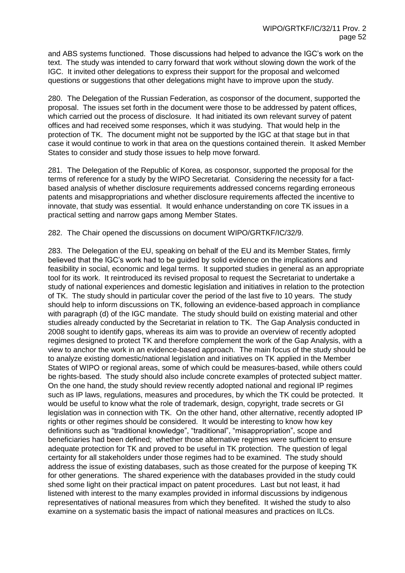and ABS systems functioned. Those discussions had helped to advance the IGC's work on the text. The study was intended to carry forward that work without slowing down the work of the IGC. It invited other delegations to express their support for the proposal and welcomed questions or suggestions that other delegations might have to improve upon the study.

280. The Delegation of the Russian Federation, as cosponsor of the document, supported the proposal. The issues set forth in the document were those to be addressed by patent offices, which carried out the process of disclosure. It had initiated its own relevant survey of patent offices and had received some responses, which it was studying. That would help in the protection of TK. The document might not be supported by the IGC at that stage but in that case it would continue to work in that area on the questions contained therein. It asked Member States to consider and study those issues to help move forward.

281. The Delegation of the Republic of Korea, as cosponsor, supported the proposal for the terms of reference for a study by the WIPO Secretariat. Considering the necessity for a factbased analysis of whether disclosure requirements addressed concerns regarding erroneous patents and misappropriations and whether disclosure requirements affected the incentive to innovate, that study was essential. It would enhance understanding on core TK issues in a practical setting and narrow gaps among Member States.

282. The Chair opened the discussions on document WIPO/GRTKF/IC/32/9.

283. The Delegation of the EU, speaking on behalf of the EU and its Member States, firmly believed that the IGC's work had to be guided by solid evidence on the implications and feasibility in social, economic and legal terms. It supported studies in general as an appropriate tool for its work. It reintroduced its revised proposal to request the Secretariat to undertake a study of national experiences and domestic legislation and initiatives in relation to the protection of TK. The study should in particular cover the period of the last five to 10 years. The study should help to inform discussions on TK, following an evidence-based approach in compliance with paragraph (d) of the IGC mandate. The study should build on existing material and other studies already conducted by the Secretariat in relation to TK. The Gap Analysis conducted in 2008 sought to identify gaps, whereas its aim was to provide an overview of recently adopted regimes designed to protect TK and therefore complement the work of the Gap Analysis, with a view to anchor the work in an evidence-based approach. The main focus of the study should be to analyze existing domestic/national legislation and initiatives on TK applied in the Member States of WIPO or regional areas, some of which could be measures-based, while others could be rights-based. The study should also include concrete examples of protected subject matter. On the one hand, the study should review recently adopted national and regional IP regimes such as IP laws, regulations, measures and procedures, by which the TK could be protected. It would be useful to know what the role of trademark, design, copyright, trade secrets or GI legislation was in connection with TK. On the other hand, other alternative, recently adopted IP rights or other regimes should be considered. It would be interesting to know how key definitions such as "traditional knowledge", "traditional", "misappropriation", scope and beneficiaries had been defined; whether those alternative regimes were sufficient to ensure adequate protection for TK and proved to be useful in TK protection. The question of legal certainty for all stakeholders under those regimes had to be examined. The study should address the issue of existing databases, such as those created for the purpose of keeping TK for other generations. The shared experience with the databases provided in the study could shed some light on their practical impact on patent procedures. Last but not least, it had listened with interest to the many examples provided in informal discussions by indigenous representatives of national measures from which they benefited. It wished the study to also examine on a systematic basis the impact of national measures and practices on ILCs.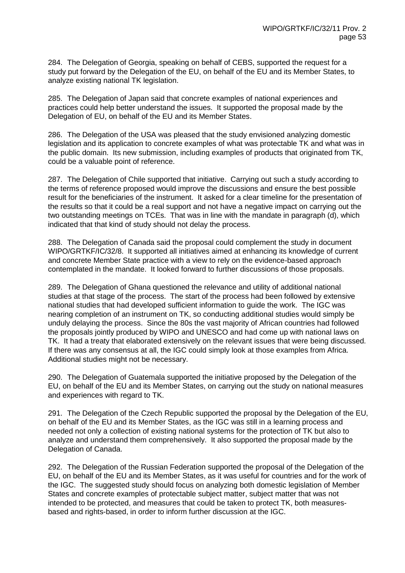284. The Delegation of Georgia, speaking on behalf of CEBS, supported the request for a study put forward by the Delegation of the EU, on behalf of the EU and its Member States, to analyze existing national TK legislation.

285. The Delegation of Japan said that concrete examples of national experiences and practices could help better understand the issues. It supported the proposal made by the Delegation of EU, on behalf of the EU and its Member States.

286. The Delegation of the USA was pleased that the study envisioned analyzing domestic legislation and its application to concrete examples of what was protectable TK and what was in the public domain. Its new submission, including examples of products that originated from TK, could be a valuable point of reference.

287. The Delegation of Chile supported that initiative. Carrying out such a study according to the terms of reference proposed would improve the discussions and ensure the best possible result for the beneficiaries of the instrument. It asked for a clear timeline for the presentation of the results so that it could be a real support and not have a negative impact on carrying out the two outstanding meetings on TCEs. That was in line with the mandate in paragraph (d), which indicated that that kind of study should not delay the process.

288. The Delegation of Canada said the proposal could complement the study in document WIPO/GRTKF/IC/32/8. It supported all initiatives aimed at enhancing its knowledge of current and concrete Member State practice with a view to rely on the evidence-based approach contemplated in the mandate. It looked forward to further discussions of those proposals.

289. The Delegation of Ghana questioned the relevance and utility of additional national studies at that stage of the process. The start of the process had been followed by extensive national studies that had developed sufficient information to guide the work. The IGC was nearing completion of an instrument on TK, so conducting additional studies would simply be unduly delaying the process. Since the 80s the vast majority of African countries had followed the proposals jointly produced by WIPO and UNESCO and had come up with national laws on TK. It had a treaty that elaborated extensively on the relevant issues that were being discussed. If there was any consensus at all, the IGC could simply look at those examples from Africa. Additional studies might not be necessary.

290. The Delegation of Guatemala supported the initiative proposed by the Delegation of the EU, on behalf of the EU and its Member States, on carrying out the study on national measures and experiences with regard to TK.

291. The Delegation of the Czech Republic supported the proposal by the Delegation of the EU, on behalf of the EU and its Member States, as the IGC was still in a learning process and needed not only a collection of existing national systems for the protection of TK but also to analyze and understand them comprehensively. It also supported the proposal made by the Delegation of Canada.

292. The Delegation of the Russian Federation supported the proposal of the Delegation of the EU, on behalf of the EU and its Member States, as it was useful for countries and for the work of the IGC. The suggested study should focus on analyzing both domestic legislation of Member States and concrete examples of protectable subject matter, subject matter that was not intended to be protected, and measures that could be taken to protect TK, both measuresbased and rights-based, in order to inform further discussion at the IGC.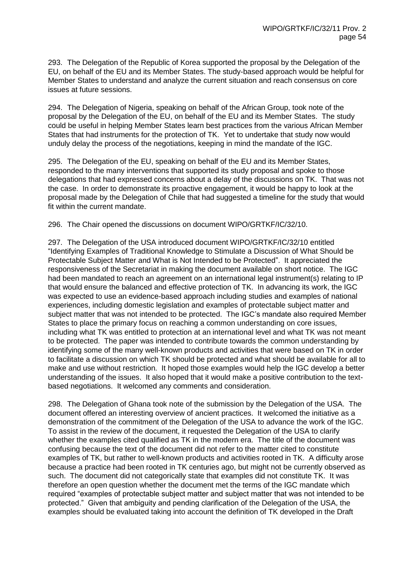293. The Delegation of the Republic of Korea supported the proposal by the Delegation of the EU, on behalf of the EU and its Member States. The study-based approach would be helpful for Member States to understand and analyze the current situation and reach consensus on core issues at future sessions.

294. The Delegation of Nigeria, speaking on behalf of the African Group, took note of the proposal by the Delegation of the EU, on behalf of the EU and its Member States. The study could be useful in helping Member States learn best practices from the various African Member States that had instruments for the protection of TK. Yet to undertake that study now would unduly delay the process of the negotiations, keeping in mind the mandate of the IGC.

295. The Delegation of the EU, speaking on behalf of the EU and its Member States, responded to the many interventions that supported its study proposal and spoke to those delegations that had expressed concerns about a delay of the discussions on TK. That was not the case. In order to demonstrate its proactive engagement, it would be happy to look at the proposal made by the Delegation of Chile that had suggested a timeline for the study that would fit within the current mandate.

296. The Chair opened the discussions on document WIPO/GRTKF/IC/32/10.

297. The Delegation of the USA introduced document WIPO/GRTKF/IC/32/10 entitled "Identifying Examples of Traditional Knowledge to Stimulate a Discussion of What Should be Protectable Subject Matter and What is Not Intended to be Protected". It appreciated the responsiveness of the Secretariat in making the document available on short notice. The IGC had been mandated to reach an agreement on an international legal instrument(s) relating to IP that would ensure the balanced and effective protection of TK. In advancing its work, the IGC was expected to use an evidence-based approach including studies and examples of national experiences, including domestic legislation and examples of protectable subject matter and subject matter that was not intended to be protected. The IGC's mandate also required Member States to place the primary focus on reaching a common understanding on core issues, including what TK was entitled to protection at an international level and what TK was not meant to be protected. The paper was intended to contribute towards the common understanding by identifying some of the many well-known products and activities that were based on TK in order to facilitate a discussion on which TK should be protected and what should be available for all to make and use without restriction. It hoped those examples would help the IGC develop a better understanding of the issues. It also hoped that it would make a positive contribution to the textbased negotiations. It welcomed any comments and consideration.

298. The Delegation of Ghana took note of the submission by the Delegation of the USA. The document offered an interesting overview of ancient practices. It welcomed the initiative as a demonstration of the commitment of the Delegation of the USA to advance the work of the IGC. To assist in the review of the document, it requested the Delegation of the USA to clarify whether the examples cited qualified as TK in the modern era. The title of the document was confusing because the text of the document did not refer to the matter cited to constitute examples of TK, but rather to well-known products and activities rooted in TK. A difficulty arose because a practice had been rooted in TK centuries ago, but might not be currently observed as such. The document did not categorically state that examples did not constitute TK. It was therefore an open question whether the document met the terms of the IGC mandate which required "examples of protectable subject matter and subject matter that was not intended to be protected." Given that ambiguity and pending clarification of the Delegation of the USA, the examples should be evaluated taking into account the definition of TK developed in the Draft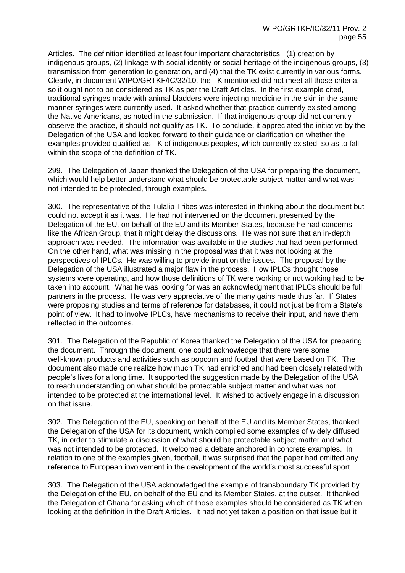Articles. The definition identified at least four important characteristics: (1) creation by indigenous groups, (2) linkage with social identity or social heritage of the indigenous groups, (3) transmission from generation to generation, and (4) that the TK exist currently in various forms. Clearly, in document WIPO/GRTKF/IC/32/10, the TK mentioned did not meet all those criteria, so it ought not to be considered as TK as per the Draft Articles. In the first example cited, traditional syringes made with animal bladders were injecting medicine in the skin in the same manner syringes were currently used. It asked whether that practice currently existed among the Native Americans, as noted in the submission. If that indigenous group did not currently observe the practice, it should not qualify as TK. To conclude, it appreciated the initiative by the Delegation of the USA and looked forward to their guidance or clarification on whether the examples provided qualified as TK of indigenous peoples, which currently existed, so as to fall within the scope of the definition of TK.

299. The Delegation of Japan thanked the Delegation of the USA for preparing the document, which would help better understand what should be protectable subject matter and what was not intended to be protected, through examples.

300. The representative of the Tulalip Tribes was interested in thinking about the document but could not accept it as it was. He had not intervened on the document presented by the Delegation of the EU, on behalf of the EU and its Member States, because he had concerns, like the African Group, that it might delay the discussions. He was not sure that an in-depth approach was needed. The information was available in the studies that had been performed. On the other hand, what was missing in the proposal was that it was not looking at the perspectives of IPLCs. He was willing to provide input on the issues. The proposal by the Delegation of the USA illustrated a major flaw in the process. How IPLCs thought those systems were operating, and how those definitions of TK were working or not working had to be taken into account. What he was looking for was an acknowledgment that IPLCs should be full partners in the process. He was very appreciative of the many gains made thus far. If States were proposing studies and terms of reference for databases, it could not just be from a State's point of view. It had to involve IPLCs, have mechanisms to receive their input, and have them reflected in the outcomes.

301. The Delegation of the Republic of Korea thanked the Delegation of the USA for preparing the document. Through the document, one could acknowledge that there were some well-known products and activities such as popcorn and football that were based on TK. The document also made one realize how much TK had enriched and had been closely related with people's lives for a long time. It supported the suggestion made by the Delegation of the USA to reach understanding on what should be protectable subject matter and what was not intended to be protected at the international level. It wished to actively engage in a discussion on that issue.

302. The Delegation of the EU, speaking on behalf of the EU and its Member States, thanked the Delegation of the USA for its document, which compiled some examples of widely diffused TK, in order to stimulate a discussion of what should be protectable subject matter and what was not intended to be protected. It welcomed a debate anchored in concrete examples. In relation to one of the examples given, football, it was surprised that the paper had omitted any reference to European involvement in the development of the world's most successful sport.

303. The Delegation of the USA acknowledged the example of transboundary TK provided by the Delegation of the EU, on behalf of the EU and its Member States, at the outset. It thanked the Delegation of Ghana for asking which of those examples should be considered as TK when looking at the definition in the Draft Articles. It had not yet taken a position on that issue but it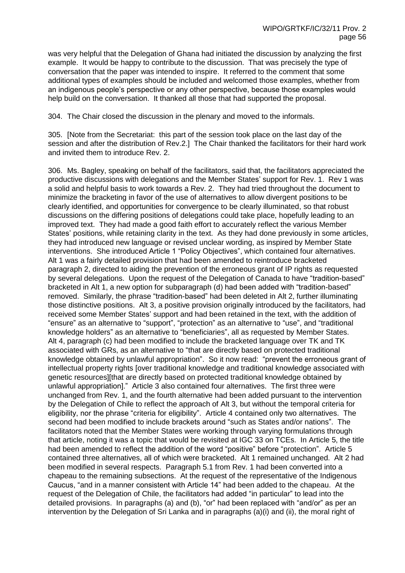was very helpful that the Delegation of Ghana had initiated the discussion by analyzing the first example. It would be happy to contribute to the discussion. That was precisely the type of conversation that the paper was intended to inspire. It referred to the comment that some additional types of examples should be included and welcomed those examples, whether from an indigenous people's perspective or any other perspective, because those examples would help build on the conversation. It thanked all those that had supported the proposal.

304. The Chair closed the discussion in the plenary and moved to the informals.

305. [Note from the Secretariat: this part of the session took place on the last day of the session and after the distribution of Rev.2.] The Chair thanked the facilitators for their hard work and invited them to introduce Rev. 2.

306. Ms. Bagley, speaking on behalf of the facilitators, said that, the facilitators appreciated the productive discussions with delegations and the Member States' support for Rev. 1. Rev 1 was a solid and helpful basis to work towards a Rev. 2. They had tried throughout the document to minimize the bracketing in favor of the use of alternatives to allow divergent positions to be clearly identified, and opportunities for convergence to be clearly illuminated, so that robust discussions on the differing positions of delegations could take place, hopefully leading to an improved text. They had made a good faith effort to accurately reflect the various Member States' positions, while retaining clarity in the text. As they had done previously in some articles, they had introduced new language or revised unclear wording, as inspired by Member State interventions. She introduced Article 1 "Policy Objectives", which contained four alternatives. Alt 1 was a fairly detailed provision that had been amended to reintroduce bracketed paragraph 2, directed to aiding the prevention of the erroneous grant of IP rights as requested by several delegations. Upon the request of the Delegation of Canada to have "tradition-based" bracketed in Alt 1, a new option for subparagraph (d) had been added with "tradition-based" removed. Similarly, the phrase "tradition-based" had been deleted in Alt 2, further illuminating those distinctive positions. Alt 3, a positive provision originally introduced by the facilitators, had received some Member States' support and had been retained in the text, with the addition of "ensure" as an alternative to "support", "protection" as an alternative to "use", and "traditional knowledge holders" as an alternative to "beneficiaries", all as requested by Member States. Alt 4, paragraph (c) had been modified to include the bracketed language over TK and TK associated with GRs, as an alternative to "that are directly based on protected traditional knowledge obtained by unlawful appropriation". So it now read: "prevent the erroneous grant of intellectual property rights [over traditional knowledge and traditional knowledge associated with genetic resources][that are directly based on protected traditional knowledge obtained by unlawful appropriation]." Article 3 also contained four alternatives. The first three were unchanged from Rev. 1, and the fourth alternative had been added pursuant to the intervention by the Delegation of Chile to reflect the approach of Alt 3, but without the temporal criteria for eligibility, nor the phrase "criteria for eligibility". Article 4 contained only two alternatives. The second had been modified to include brackets around "such as States and/or nations". The facilitators noted that the Member States were working through varying formulations through that article, noting it was a topic that would be revisited at IGC 33 on TCEs. In Article 5, the title had been amended to reflect the addition of the word "positive" before "protection". Article 5 contained three alternatives, all of which were bracketed. Alt 1 remained unchanged. Alt 2 had been modified in several respects. Paragraph 5.1 from Rev. 1 had been converted into a chapeau to the remaining subsections. At the request of the representative of the Indigenous Caucus, "and in a manner consistent with Article 14" had been added to the chapeau. At the request of the Delegation of Chile, the facilitators had added "in particular" to lead into the detailed provisions. In paragraphs (a) and (b), "or" had been replaced with "and/or" as per an intervention by the Delegation of Sri Lanka and in paragraphs (a)(i) and (ii), the moral right of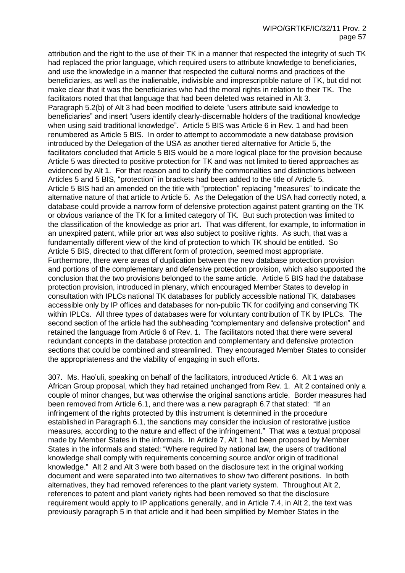attribution and the right to the use of their TK in a manner that respected the integrity of such TK had replaced the prior language, which required users to attribute knowledge to beneficiaries, and use the knowledge in a manner that respected the cultural norms and practices of the beneficiaries, as well as the inalienable, indivisible and imprescriptible nature of TK, but did not make clear that it was the beneficiaries who had the moral rights in relation to their TK. The facilitators noted that that language that had been deleted was retained in Alt 3. Paragraph 5.2(b) of Alt 3 had been modified to delete "users attribute said knowledge to beneficiaries" and insert "users identify clearly-discernable holders of the traditional knowledge when using said traditional knowledge". Article 5 BIS was Article 6 in Rev. 1 and had been renumbered as Article 5 BIS. In order to attempt to accommodate a new database provision introduced by the Delegation of the USA as another tiered alternative for Article 5, the facilitators concluded that Article 5 BIS would be a more logical place for the provision because Article 5 was directed to positive protection for TK and was not limited to tiered approaches as evidenced by Alt 1. For that reason and to clarify the commonalties and distinctions between Articles 5 and 5 BIS, "protection" in brackets had been added to the title of Article 5. Article 5 BIS had an amended on the title with "protection" replacing "measures" to indicate the alternative nature of that article to Article 5. As the Delegation of the USA had correctly noted, a database could provide a narrow form of defensive protection against patent granting on the TK or obvious variance of the TK for a limited category of TK. But such protection was limited to the classification of the knowledge as prior art. That was different, for example, to information in an unexpired patent, while prior art was also subject to positive rights. As such, that was a fundamentally different view of the kind of protection to which TK should be entitled. So Article 5 BIS, directed to that different form of protection, seemed most appropriate. Furthermore, there were areas of duplication between the new database protection provision and portions of the complementary and defensive protection provision, which also supported the conclusion that the two provisions belonged to the same article. Article 5 BIS had the database protection provision, introduced in plenary, which encouraged Member States to develop in consultation with IPLCs national TK databases for publicly accessible national TK, databases accessible only by IP offices and databases for non-public TK for codifying and conserving TK within IPLCs. All three types of databases were for voluntary contribution of TK by IPLCs. The second section of the article had the subheading "complementary and defensive protection" and retained the language from Article 6 of Rev. 1. The facilitators noted that there were several redundant concepts in the database protection and complementary and defensive protection sections that could be combined and streamlined. They encouraged Member States to consider the appropriateness and the viability of engaging in such efforts.

307. Ms. Hao'uli, speaking on behalf of the facilitators, introduced Article 6. Alt 1 was an African Group proposal, which they had retained unchanged from Rev. 1. Alt 2 contained only a couple of minor changes, but was otherwise the original sanctions article. Border measures had been removed from Article 6.1, and there was a new paragraph 6.7 that stated: "If an infringement of the rights protected by this instrument is determined in the procedure established in Paragraph 6.1, the sanctions may consider the inclusion of restorative justice measures, according to the nature and effect of the infringement." That was a textual proposal made by Member States in the informals. In Article 7, Alt 1 had been proposed by Member States in the informals and stated: "Where required by national law, the users of traditional knowledge shall comply with requirements concerning source and/or origin of traditional knowledge." Alt 2 and Alt 3 were both based on the disclosure text in the original working document and were separated into two alternatives to show two different positions. In both alternatives, they had removed references to the plant variety system. Throughout Alt 2, references to patent and plant variety rights had been removed so that the disclosure requirement would apply to IP applications generally, and in Article 7.4, in Alt 2, the text was previously paragraph 5 in that article and it had been simplified by Member States in the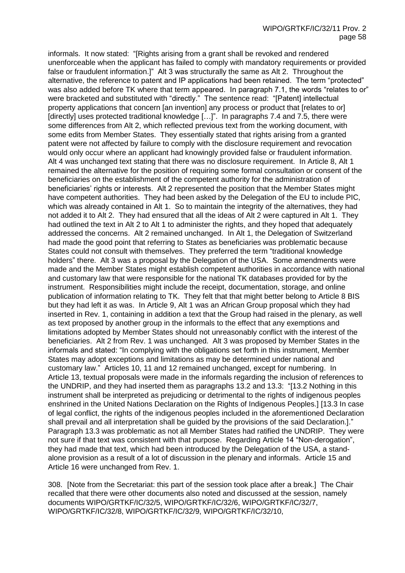informals. It now stated: "[Rights arising from a grant shall be revoked and rendered unenforceable when the applicant has failed to comply with mandatory requirements or provided false or fraudulent information.]" Alt 3 was structurally the same as Alt 2. Throughout the alternative, the reference to patent and IP applications had been retained. The term "protected" was also added before TK where that term appeared. In paragraph 7.1, the words "relates to or" were bracketed and substituted with "directly." The sentence read: "[Patent] intellectual property applications that concern [an invention] any process or product that [relates to or] [directly] uses protected traditional knowledge [...]". In paragraphs 7.4 and 7.5, there were some differences from Alt 2, which reflected previous text from the working document, with some edits from Member States. They essentially stated that rights arising from a granted patent were not affected by failure to comply with the disclosure requirement and revocation would only occur where an applicant had knowingly provided false or fraudulent information. Alt 4 was unchanged text stating that there was no disclosure requirement. In Article 8, Alt 1 remained the alternative for the position of requiring some formal consultation or consent of the beneficiaries on the establishment of the competent authority for the administration of beneficiaries' rights or interests. Alt 2 represented the position that the Member States might have competent authorities. They had been asked by the Delegation of the EU to include PIC, which was already contained in Alt 1. So to maintain the integrity of the alternatives, they had not added it to Alt 2. They had ensured that all the ideas of Alt 2 were captured in Alt 1. They had outlined the text in Alt 2 to Alt 1 to administer the rights, and they hoped that adequately addressed the concerns. Alt 2 remained unchanged. In Alt 1, the Delegation of Switzerland had made the good point that referring to States as beneficiaries was problematic because States could not consult with themselves. They preferred the term "traditional knowledge holders" there. Alt 3 was a proposal by the Delegation of the USA. Some amendments were made and the Member States might establish competent authorities in accordance with national and customary law that were responsible for the national TK databases provided for by the instrument. Responsibilities might include the receipt, documentation, storage, and online publication of information relating to TK. They felt that that might better belong to Article 8 BIS but they had left it as was. In Article 9, Alt 1 was an African Group proposal which they had inserted in Rev. 1, containing in addition a text that the Group had raised in the plenary, as well as text proposed by another group in the informals to the effect that any exemptions and limitations adopted by Member States should not unreasonably conflict with the interest of the beneficiaries. Alt 2 from Rev. 1 was unchanged. Alt 3 was proposed by Member States in the informals and stated: "In complying with the obligations set forth in this instrument, Member States may adopt exceptions and limitations as may be determined under national and customary law." Articles 10, 11 and 12 remained unchanged, except for numbering. In Article 13, textual proposals were made in the informals regarding the inclusion of references to the UNDRIP, and they had inserted them as paragraphs 13.2 and 13.3: "[13.2 Nothing in this instrument shall be interpreted as prejudicing or detrimental to the rights of indigenous peoples enshrined in the United Nations Declaration on the Rights of Indigenous Peoples.] [13.3 In case of legal conflict, the rights of the indigenous peoples included in the aforementioned Declaration shall prevail and all interpretation shall be guided by the provisions of the said Declaration.]." Paragraph 13.3 was problematic as not all Member States had ratified the UNDRIP. They were not sure if that text was consistent with that purpose. Regarding Article 14 "Non-derogation", they had made that text, which had been introduced by the Delegation of the USA, a standalone provision as a result of a lot of discussion in the plenary and informals. Article 15 and Article 16 were unchanged from Rev. 1.

308. [Note from the Secretariat: this part of the session took place after a break.] The Chair recalled that there were other documents also noted and discussed at the session, namely documents WIPO/GRTKF/IC/32/5, WIPO/GRTKF/IC/32/6, WIPO/GRTKF/IC/32/7, WIPO/GRTKF/IC/32/8, WIPO/GRTKF/IC/32/9, WIPO/GRTKF/IC/32/10,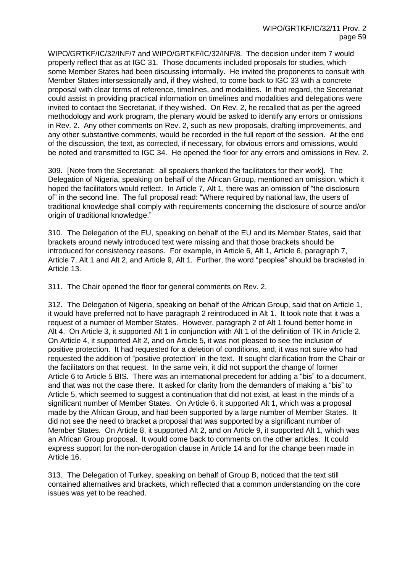WIPO/GRTKF/IC/32/INF/7 and WIPO/GRTKF/IC/32/INF/8. The decision under item 7 would properly reflect that as at IGC 31. Those documents included proposals for studies, which some Member States had been discussing informally. He invited the proponents to consult with Member States intersessionally and, if they wished, to come back to IGC 33 with a concrete proposal with clear terms of reference, timelines, and modalities. In that regard, the Secretariat could assist in providing practical information on timelines and modalities and delegations were invited to contact the Secretariat, if they wished. On Rev. 2, he recalled that as per the agreed methodology and work program, the plenary would be asked to identify any errors or omissions in Rev. 2. Any other comments on Rev. 2, such as new proposals, drafting improvements, and any other substantive comments, would be recorded in the full report of the session. At the end of the discussion, the text, as corrected, if necessary, for obvious errors and omissions, would be noted and transmitted to IGC 34. He opened the floor for any errors and omissions in Rev. 2.

309. [Note from the Secretariat: all speakers thanked the facilitators for their work]. The Delegation of Nigeria, speaking on behalf of the African Group, mentioned an omission, which it hoped the facilitators would reflect. In Article 7, Alt 1, there was an omission of "the disclosure of" in the second line. The full proposal read: "Where required by national law, the users of traditional knowledge shall comply with requirements concerning the disclosure of source and/or origin of traditional knowledge."

310. The Delegation of the EU, speaking on behalf of the EU and its Member States, said that brackets around newly introduced text were missing and that those brackets should be introduced for consistency reasons. For example, in Article 6, Alt 1, Article 6, paragraph 7, Article 7, Alt 1 and Alt 2, and Article 9, Alt 1. Further, the word "peoples" should be bracketed in Article 13.

311. The Chair opened the floor for general comments on Rev. 2.

312. The Delegation of Nigeria, speaking on behalf of the African Group, said that on Article 1, it would have preferred not to have paragraph 2 reintroduced in Alt 1. It took note that it was a request of a number of Member States. However, paragraph 2 of Alt 1 found better home in Alt 4. On Article 3, it supported Alt 1 in conjunction with Alt 1 of the definition of TK in Article 2. On Article 4, it supported Alt 2, and on Article 5, it was not pleased to see the inclusion of positive protection. It had requested for a deletion of conditions, and, it was not sure who had requested the addition of "positive protection" in the text. It sought clarification from the Chair or the facilitators on that request. In the same vein, it did not support the change of former Article 6 to Article 5 BIS. There was an international precedent for adding a "bis" to a document, and that was not the case there. It asked for clarity from the demanders of making a "bis" to Article 5, which seemed to suggest a continuation that did not exist, at least in the minds of a significant number of Member States. On Article 6, it supported Alt 1, which was a proposal made by the African Group, and had been supported by a large number of Member States. It did not see the need to bracket a proposal that was supported by a significant number of Member States. On Article 8, it supported Alt 2, and on Article 9, it supported Alt 1, which was an African Group proposal. It would come back to comments on the other articles. It could express support for the non-derogation clause in Article 14 and for the change been made in Article 16.

313. The Delegation of Turkey, speaking on behalf of Group B, noticed that the text still contained alternatives and brackets, which reflected that a common understanding on the core issues was yet to be reached.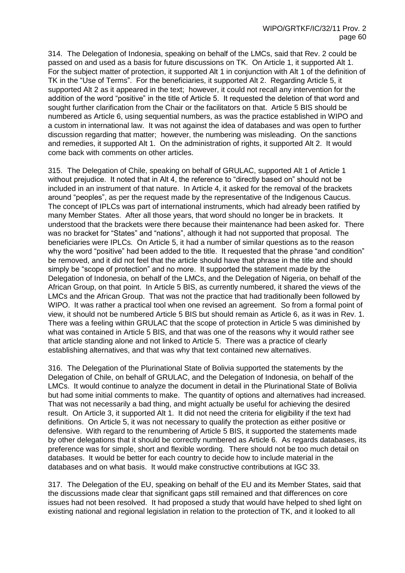314. The Delegation of Indonesia, speaking on behalf of the LMCs, said that Rev. 2 could be passed on and used as a basis for future discussions on TK. On Article 1, it supported Alt 1. For the subject matter of protection, it supported Alt 1 in conjunction with Alt 1 of the definition of TK in the "Use of Terms". For the beneficiaries, it supported Alt 2. Regarding Article 5, it supported Alt 2 as it appeared in the text; however, it could not recall any intervention for the addition of the word "positive" in the title of Article 5. It requested the deletion of that word and sought further clarification from the Chair or the facilitators on that. Article 5 BIS should be numbered as Article 6, using sequential numbers, as was the practice established in WIPO and a custom in international law. It was not against the idea of databases and was open to further discussion regarding that matter; however, the numbering was misleading. On the sanctions and remedies, it supported Alt 1. On the administration of rights, it supported Alt 2. It would come back with comments on other articles.

315. The Delegation of Chile, speaking on behalf of GRULAC, supported Alt 1 of Article 1 without prejudice. It noted that in Alt 4, the reference to "directly based on" should not be included in an instrument of that nature. In Article 4, it asked for the removal of the brackets around "peoples", as per the request made by the representative of the Indigenous Caucus. The concept of IPLCs was part of international instruments, which had already been ratified by many Member States. After all those years, that word should no longer be in brackets. It understood that the brackets were there because their maintenance had been asked for. There was no bracket for "States" and "nations", although it had not supported that proposal. The beneficiaries were IPLCs. On Article 5, it had a number of similar questions as to the reason why the word "positive" had been added to the title. It requested that the phrase "and condition" be removed, and it did not feel that the article should have that phrase in the title and should simply be "scope of protection" and no more. It supported the statement made by the Delegation of Indonesia, on behalf of the LMCs, and the Delegation of Nigeria, on behalf of the African Group, on that point. In Article 5 BIS, as currently numbered, it shared the views of the LMCs and the African Group. That was not the practice that had traditionally been followed by WIPO. It was rather a practical tool when one revised an agreement. So from a formal point of view, it should not be numbered Article 5 BIS but should remain as Article 6, as it was in Rev. 1. There was a feeling within GRULAC that the scope of protection in Article 5 was diminished by what was contained in Article 5 BIS, and that was one of the reasons why it would rather see that article standing alone and not linked to Article 5. There was a practice of clearly establishing alternatives, and that was why that text contained new alternatives.

316. The Delegation of the Plurinational State of Bolivia supported the statements by the Delegation of Chile, on behalf of GRULAC, and the Delegation of Indonesia, on behalf of the LMCs. It would continue to analyze the document in detail in the Plurinational State of Bolivia but had some initial comments to make. The quantity of options and alternatives had increased. That was not necessarily a bad thing, and might actually be useful for achieving the desired result. On Article 3, it supported Alt 1. It did not need the criteria for eligibility if the text had definitions. On Article 5, it was not necessary to qualify the protection as either positive or defensive. With regard to the renumbering of Article 5 BIS, it supported the statements made by other delegations that it should be correctly numbered as Article 6. As regards databases, its preference was for simple, short and flexible wording. There should not be too much detail on databases. It would be better for each country to decide how to include material in the databases and on what basis. It would make constructive contributions at IGC 33.

317. The Delegation of the EU, speaking on behalf of the EU and its Member States, said that the discussions made clear that significant gaps still remained and that differences on core issues had not been resolved. It had proposed a study that would have helped to shed light on existing national and regional legislation in relation to the protection of TK, and it looked to all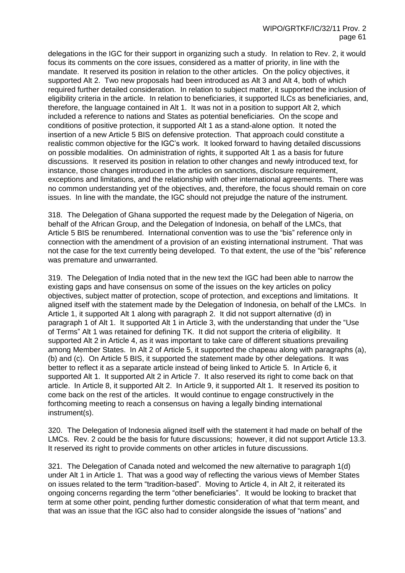delegations in the IGC for their support in organizing such a study. In relation to Rev. 2, it would focus its comments on the core issues, considered as a matter of priority, in line with the mandate. It reserved its position in relation to the other articles. On the policy objectives, it supported Alt 2. Two new proposals had been introduced as Alt 3 and Alt 4, both of which required further detailed consideration. In relation to subject matter, it supported the inclusion of eligibility criteria in the article. In relation to beneficiaries, it supported ILCs as beneficiaries, and, therefore, the language contained in Alt 1. It was not in a position to support Alt 2, which included a reference to nations and States as potential beneficiaries. On the scope and conditions of positive protection, it supported Alt 1 as a stand-alone option. It noted the insertion of a new Article 5 BIS on defensive protection. That approach could constitute a realistic common objective for the IGC's work. It looked forward to having detailed discussions on possible modalities. On administration of rights, it supported Alt 1 as a basis for future discussions. It reserved its position in relation to other changes and newly introduced text, for instance, those changes introduced in the articles on sanctions, disclosure requirement, exceptions and limitations, and the relationship with other international agreements. There was no common understanding yet of the objectives, and, therefore, the focus should remain on core issues. In line with the mandate, the IGC should not prejudge the nature of the instrument.

318. The Delegation of Ghana supported the request made by the Delegation of Nigeria, on behalf of the African Group, and the Delegation of Indonesia, on behalf of the LMCs, that Article 5 BIS be renumbered. International convention was to use the "bis" reference only in connection with the amendment of a provision of an existing international instrument. That was not the case for the text currently being developed. To that extent, the use of the "bis" reference was premature and unwarranted.

319. The Delegation of India noted that in the new text the IGC had been able to narrow the existing gaps and have consensus on some of the issues on the key articles on policy objectives, subject matter of protection, scope of protection, and exceptions and limitations. It aligned itself with the statement made by the Delegation of Indonesia, on behalf of the LMCs. In Article 1, it supported Alt 1 along with paragraph 2. It did not support alternative (d) in paragraph 1 of Alt 1. It supported Alt 1 in Article 3, with the understanding that under the "Use of Terms" Alt 1 was retained for defining TK. It did not support the criteria of eligibility. It supported Alt 2 in Article 4, as it was important to take care of different situations prevailing among Member States. In Alt 2 of Article 5, it supported the chapeau along with paragraphs (a), (b) and (c). On Article 5 BIS, it supported the statement made by other delegations. It was better to reflect it as a separate article instead of being linked to Article 5. In Article 6, it supported Alt 1. It supported Alt 2 in Article 7. It also reserved its right to come back on that article. In Article 8, it supported Alt 2. In Article 9, it supported Alt 1. It reserved its position to come back on the rest of the articles. It would continue to engage constructively in the forthcoming meeting to reach a consensus on having a legally binding international instrument(s).

320. The Delegation of Indonesia aligned itself with the statement it had made on behalf of the LMCs. Rev. 2 could be the basis for future discussions; however, it did not support Article 13.3. It reserved its right to provide comments on other articles in future discussions.

321. The Delegation of Canada noted and welcomed the new alternative to paragraph 1(d) under Alt 1 in Article 1. That was a good way of reflecting the various views of Member States on issues related to the term "tradition-based". Moving to Article 4, in Alt 2, it reiterated its ongoing concerns regarding the term "other beneficiaries". It would be looking to bracket that term at some other point, pending further domestic consideration of what that term meant, and that was an issue that the IGC also had to consider alongside the issues of "nations" and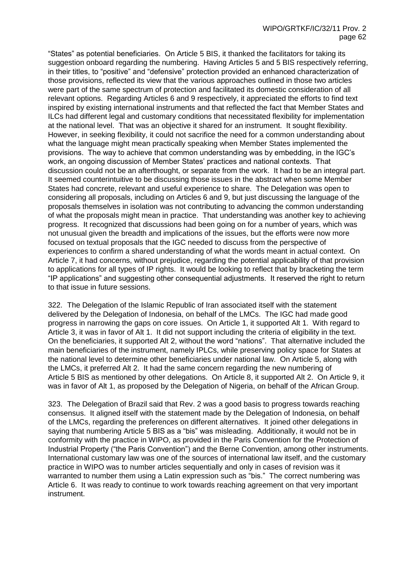"States" as potential beneficiaries. On Article 5 BIS, it thanked the facilitators for taking its suggestion onboard regarding the numbering. Having Articles 5 and 5 BIS respectively referring, in their titles, to "positive" and "defensive" protection provided an enhanced characterization of those provisions, reflected its view that the various approaches outlined in those two articles were part of the same spectrum of protection and facilitated its domestic consideration of all relevant options. Regarding Articles 6 and 9 respectively, it appreciated the efforts to find text inspired by existing international instruments and that reflected the fact that Member States and ILCs had different legal and customary conditions that necessitated flexibility for implementation at the national level. That was an objective it shared for an instrument. It sought flexibility. However, in seeking flexibility, it could not sacrifice the need for a common understanding about what the language might mean practically speaking when Member States implemented the provisions. The way to achieve that common understanding was by embedding, in the IGC's work, an ongoing discussion of Member States' practices and national contexts. That discussion could not be an afterthought, or separate from the work. It had to be an integral part. It seemed counterintuitive to be discussing those issues in the abstract when some Member States had concrete, relevant and useful experience to share. The Delegation was open to considering all proposals, including on Articles 6 and 9, but just discussing the language of the proposals themselves in isolation was not contributing to advancing the common understanding of what the proposals might mean in practice. That understanding was another key to achieving progress. It recognized that discussions had been going on for a number of years, which was not unusual given the breadth and implications of the issues, but the efforts were now more focused on textual proposals that the IGC needed to discuss from the perspective of experiences to confirm a shared understanding of what the words meant in actual context. On Article 7, it had concerns, without prejudice, regarding the potential applicability of that provision to applications for all types of IP rights. It would be looking to reflect that by bracketing the term "IP applications" and suggesting other consequential adjustments. It reserved the right to return to that issue in future sessions.

322. The Delegation of the Islamic Republic of Iran associated itself with the statement delivered by the Delegation of Indonesia, on behalf of the LMCs. The IGC had made good progress in narrowing the gaps on core issues. On Article 1, it supported Alt 1. With regard to Article 3, it was in favor of Alt 1. It did not support including the criteria of eligibility in the text. On the beneficiaries, it supported Alt 2, without the word "nations". That alternative included the main beneficiaries of the instrument, namely IPLCs, while preserving policy space for States at the national level to determine other beneficiaries under national law. On Article 5, along with the LMCs, it preferred Alt 2. It had the same concern regarding the new numbering of Article 5 BIS as mentioned by other delegations. On Article 8, it supported Alt 2. On Article 9, it was in favor of Alt 1, as proposed by the Delegation of Nigeria, on behalf of the African Group.

323. The Delegation of Brazil said that Rev. 2 was a good basis to progress towards reaching consensus. It aligned itself with the statement made by the Delegation of Indonesia, on behalf of the LMCs, regarding the preferences on different alternatives. It joined other delegations in saying that numbering Article 5 BIS as a "bis" was misleading. Additionally, it would not be in conformity with the practice in WIPO, as provided in the Paris Convention for the Protection of Industrial Property ("the Paris Convention") and the Berne Convention, among other instruments. International customary law was one of the sources of international law itself, and the customary practice in WIPO was to number articles sequentially and only in cases of revision was it warranted to number them using a Latin expression such as "bis." The correct numbering was Article 6. It was ready to continue to work towards reaching agreement on that very important instrument.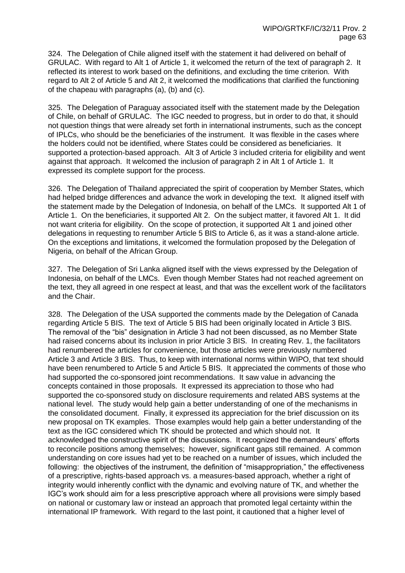324. The Delegation of Chile aligned itself with the statement it had delivered on behalf of GRULAC. With regard to Alt 1 of Article 1, it welcomed the return of the text of paragraph 2. It reflected its interest to work based on the definitions, and excluding the time criterion. With regard to Alt 2 of Article 5 and Alt 2, it welcomed the modifications that clarified the functioning of the chapeau with paragraphs (a), (b) and (c).

325. The Delegation of Paraguay associated itself with the statement made by the Delegation of Chile, on behalf of GRULAC. The IGC needed to progress, but in order to do that, it should not question things that were already set forth in international instruments, such as the concept of IPLCs, who should be the beneficiaries of the instrument. It was flexible in the cases where the holders could not be identified, where States could be considered as beneficiaries. It supported a protection-based approach. Alt 3 of Article 3 included criteria for eligibility and went against that approach. It welcomed the inclusion of paragraph 2 in Alt 1 of Article 1. It expressed its complete support for the process.

326. The Delegation of Thailand appreciated the spirit of cooperation by Member States, which had helped bridge differences and advance the work in developing the text. It aligned itself with the statement made by the Delegation of Indonesia, on behalf of the LMCs. It supported Alt 1 of Article 1. On the beneficiaries, it supported Alt 2. On the subject matter, it favored Alt 1. It did not want criteria for eligibility. On the scope of protection, it supported Alt 1 and joined other delegations in requesting to renumber Article 5 BIS to Article 6, as it was a stand-alone article. On the exceptions and limitations, it welcomed the formulation proposed by the Delegation of Nigeria, on behalf of the African Group.

327. The Delegation of Sri Lanka aligned itself with the views expressed by the Delegation of Indonesia, on behalf of the LMCs. Even though Member States had not reached agreement on the text, they all agreed in one respect at least, and that was the excellent work of the facilitators and the Chair.

328. The Delegation of the USA supported the comments made by the Delegation of Canada regarding Article 5 BIS. The text of Article 5 BIS had been originally located in Article 3 BIS. The removal of the "bis" designation in Article 3 had not been discussed, as no Member State had raised concerns about its inclusion in prior Article 3 BIS. In creating Rev. 1, the facilitators had renumbered the articles for convenience, but those articles were previously numbered Article 3 and Article 3 BIS. Thus, to keep with international norms within WIPO, that text should have been renumbered to Article 5 and Article 5 BIS. It appreciated the comments of those who had supported the co-sponsored joint recommendations. It saw value in advancing the concepts contained in those proposals. It expressed its appreciation to those who had supported the co-sponsored study on disclosure requirements and related ABS systems at the national level. The study would help gain a better understanding of one of the mechanisms in the consolidated document. Finally, it expressed its appreciation for the brief discussion on its new proposal on TK examples. Those examples would help gain a better understanding of the text as the IGC considered which TK should be protected and which should not. It acknowledged the constructive spirit of the discussions. It recognized the demandeurs' efforts to reconcile positions among themselves; however, significant gaps still remained. A common understanding on core issues had yet to be reached on a number of issues, which included the following: the objectives of the instrument, the definition of "misappropriation," the effectiveness of a prescriptive, rights-based approach vs. a measures-based approach, whether a right of integrity would inherently conflict with the dynamic and evolving nature of TK, and whether the IGC's work should aim for a less prescriptive approach where all provisions were simply based on national or customary law or instead an approach that promoted legal certainty within the international IP framework. With regard to the last point, it cautioned that a higher level of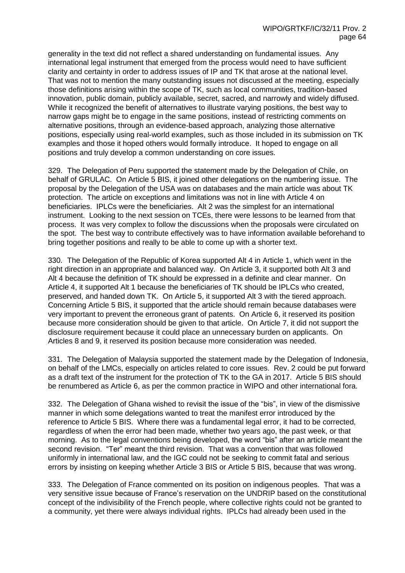generality in the text did not reflect a shared understanding on fundamental issues. Any international legal instrument that emerged from the process would need to have sufficient clarity and certainty in order to address issues of IP and TK that arose at the national level. That was not to mention the many outstanding issues not discussed at the meeting, especially those definitions arising within the scope of TK, such as local communities, tradition-based innovation, public domain, publicly available, secret, sacred, and narrowly and widely diffused. While it recognized the benefit of alternatives to illustrate varying positions, the best way to narrow gaps might be to engage in the same positions, instead of restricting comments on alternative positions, through an evidence-based approach, analyzing those alternative positions, especially using real-world examples, such as those included in its submission on TK examples and those it hoped others would formally introduce. It hoped to engage on all positions and truly develop a common understanding on core issues.

329. The Delegation of Peru supported the statement made by the Delegation of Chile, on behalf of GRULAC. On Article 5 BIS, it joined other delegations on the numbering issue. The proposal by the Delegation of the USA was on databases and the main article was about TK protection. The article on exceptions and limitations was not in line with Article 4 on beneficiaries. IPLCs were the beneficiaries. Alt 2 was the simplest for an international instrument. Looking to the next session on TCEs, there were lessons to be learned from that process. It was very complex to follow the discussions when the proposals were circulated on the spot. The best way to contribute effectively was to have information available beforehand to bring together positions and really to be able to come up with a shorter text.

330. The Delegation of the Republic of Korea supported Alt 4 in Article 1, which went in the right direction in an appropriate and balanced way. On Article 3, it supported both Alt 3 and Alt 4 because the definition of TK should be expressed in a definite and clear manner. On Article 4, it supported Alt 1 because the beneficiaries of TK should be IPLCs who created, preserved, and handed down TK. On Article 5, it supported Alt 3 with the tiered approach. Concerning Article 5 BIS, it supported that the article should remain because databases were very important to prevent the erroneous grant of patents. On Article 6, it reserved its position because more consideration should be given to that article. On Article 7, it did not support the disclosure requirement because it could place an unnecessary burden on applicants. On Articles 8 and 9, it reserved its position because more consideration was needed.

331. The Delegation of Malaysia supported the statement made by the Delegation of Indonesia, on behalf of the LMCs, especially on articles related to core issues. Rev. 2 could be put forward as a draft text of the instrument for the protection of TK to the GA in 2017. Article 5 BIS should be renumbered as Article 6, as per the common practice in WIPO and other international fora.

332. The Delegation of Ghana wished to revisit the issue of the "bis", in view of the dismissive manner in which some delegations wanted to treat the manifest error introduced by the reference to Article 5 BIS. Where there was a fundamental legal error, it had to be corrected, regardless of when the error had been made, whether two years ago, the past week, or that morning. As to the legal conventions being developed, the word "bis" after an article meant the second revision. "Ter" meant the third revision. That was a convention that was followed uniformly in international law, and the IGC could not be seeking to commit fatal and serious errors by insisting on keeping whether Article 3 BIS or Article 5 BIS, because that was wrong.

333. The Delegation of France commented on its position on indigenous peoples. That was a very sensitive issue because of France's reservation on the UNDRIP based on the constitutional concept of the indivisibility of the French people, where collective rights could not be granted to a community, yet there were always individual rights. IPLCs had already been used in the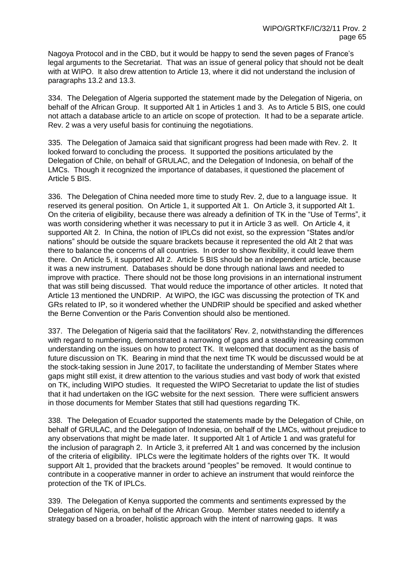Nagoya Protocol and in the CBD, but it would be happy to send the seven pages of France's legal arguments to the Secretariat. That was an issue of general policy that should not be dealt with at WIPO. It also drew attention to Article 13, where it did not understand the inclusion of paragraphs 13.2 and 13.3.

334. The Delegation of Algeria supported the statement made by the Delegation of Nigeria, on behalf of the African Group. It supported Alt 1 in Articles 1 and 3. As to Article 5 BIS, one could not attach a database article to an article on scope of protection. It had to be a separate article. Rev. 2 was a very useful basis for continuing the negotiations.

335. The Delegation of Jamaica said that significant progress had been made with Rev. 2. It looked forward to concluding the process. It supported the positions articulated by the Delegation of Chile, on behalf of GRULAC, and the Delegation of Indonesia, on behalf of the LMCs. Though it recognized the importance of databases, it questioned the placement of Article 5 BIS.

336. The Delegation of China needed more time to study Rev. 2, due to a language issue. It reserved its general position. On Article 1, it supported Alt 1. On Article 3, it supported Alt 1. On the criteria of eligibility, because there was already a definition of TK in the "Use of Terms", it was worth considering whether it was necessary to put it in Article 3 as well. On Article 4, it supported Alt 2. In China, the notion of IPLCs did not exist, so the expression "States and/or nations" should be outside the square brackets because it represented the old Alt 2 that was there to balance the concerns of all countries. In order to show flexibility, it could leave them there. On Article 5, it supported Alt 2. Article 5 BIS should be an independent article, because it was a new instrument. Databases should be done through national laws and needed to improve with practice. There should not be those long provisions in an international instrument that was still being discussed. That would reduce the importance of other articles. It noted that Article 13 mentioned the UNDRIP. At WIPO, the IGC was discussing the protection of TK and GRs related to IP, so it wondered whether the UNDRIP should be specified and asked whether the Berne Convention or the Paris Convention should also be mentioned.

337. The Delegation of Nigeria said that the facilitators' Rev. 2, notwithstanding the differences with regard to numbering, demonstrated a narrowing of gaps and a steadily increasing common understanding on the issues on how to protect TK. It welcomed that document as the basis of future discussion on TK. Bearing in mind that the next time TK would be discussed would be at the stock-taking session in June 2017, to facilitate the understanding of Member States where gaps might still exist, it drew attention to the various studies and vast body of work that existed on TK, including WIPO studies. It requested the WIPO Secretariat to update the list of studies that it had undertaken on the IGC website for the next session. There were sufficient answers in those documents for Member States that still had questions regarding TK.

338. The Delegation of Ecuador supported the statements made by the Delegation of Chile, on behalf of GRULAC, and the Delegation of Indonesia, on behalf of the LMCs, without prejudice to any observations that might be made later. It supported Alt 1 of Article 1 and was grateful for the inclusion of paragraph 2. In Article 3, it preferred Alt 1 and was concerned by the inclusion of the criteria of eligibility. IPLCs were the legitimate holders of the rights over TK. It would support Alt 1, provided that the brackets around "peoples" be removed. It would continue to contribute in a cooperative manner in order to achieve an instrument that would reinforce the protection of the TK of IPLCs.

339. The Delegation of Kenya supported the comments and sentiments expressed by the Delegation of Nigeria, on behalf of the African Group. Member states needed to identify a strategy based on a broader, holistic approach with the intent of narrowing gaps. It was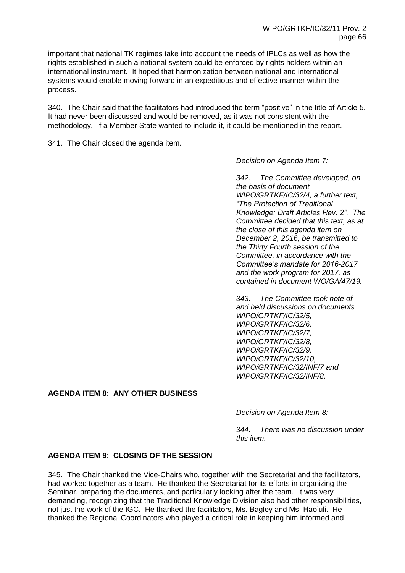important that national TK regimes take into account the needs of IPLCs as well as how the rights established in such a national system could be enforced by rights holders within an international instrument. It hoped that harmonization between national and international systems would enable moving forward in an expeditious and effective manner within the process.

340. The Chair said that the facilitators had introduced the term "positive" in the title of Article 5. It had never been discussed and would be removed, as it was not consistent with the methodology. If a Member State wanted to include it, it could be mentioned in the report.

341. The Chair closed the agenda item.

*Decision on Agenda Item 7:*

*342. The Committee developed, on the basis of document WIPO/GRTKF/IC/32/4, a further text, "The Protection of Traditional Knowledge: Draft Articles Rev. 2". The Committee decided that this text, as at the close of this agenda item on December 2, 2016, be transmitted to the Thirty Fourth session of the Committee, in accordance with the Committee's mandate for 2016-2017 and the work program for 2017, as contained in document WO/GA/47/19.*

*343. The Committee took note of and held discussions on documents WIPO/GRTKF/IC/32/5, WIPO/GRTKF/IC/32/6, WIPO/GRTKF/IC/32/7, WIPO/GRTKF/IC/32/8, WIPO/GRTKF/IC/32/9, WIPO/GRTKF/IC/32/10, WIPO/GRTKF/IC/32/INF/7 and WIPO/GRTKF/IC/32/INF/8.*

# **AGENDA ITEM 8: ANY OTHER BUSINESS**

*Decision on Agenda Item 8:* 

*344. There was no discussion under this item.* 

# **AGENDA ITEM 9: CLOSING OF THE SESSION**

345. The Chair thanked the Vice-Chairs who, together with the Secretariat and the facilitators, had worked together as a team. He thanked the Secretariat for its efforts in organizing the Seminar, preparing the documents, and particularly looking after the team. It was very demanding, recognizing that the Traditional Knowledge Division also had other responsibilities, not just the work of the IGC. He thanked the facilitators, Ms. Bagley and Ms. Hao'uli. He thanked the Regional Coordinators who played a critical role in keeping him informed and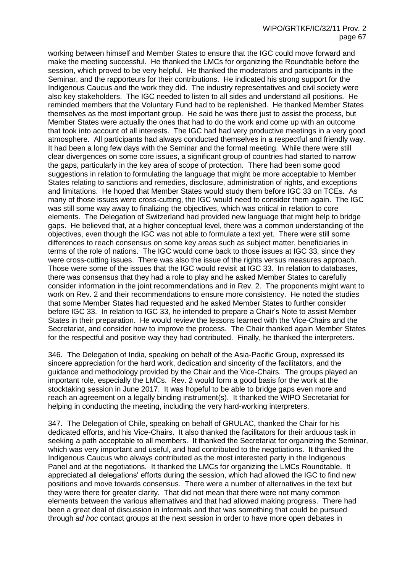working between himself and Member States to ensure that the IGC could move forward and make the meeting successful. He thanked the LMCs for organizing the Roundtable before the session, which proved to be very helpful. He thanked the moderators and participants in the Seminar, and the rapporteurs for their contributions. He indicated his strong support for the Indigenous Caucus and the work they did. The industry representatives and civil society were also key stakeholders. The IGC needed to listen to all sides and understand all positions. He reminded members that the Voluntary Fund had to be replenished. He thanked Member States themselves as the most important group. He said he was there just to assist the process, but Member States were actually the ones that had to do the work and come up with an outcome that took into account of all interests. The IGC had had very productive meetings in a very good atmosphere. All participants had always conducted themselves in a respectful and friendly way. It had been a long few days with the Seminar and the formal meeting. While there were still clear divergences on some core issues, a significant group of countries had started to narrow the gaps, particularly in the key area of scope of protection. There had been some good suggestions in relation to formulating the language that might be more acceptable to Member States relating to sanctions and remedies, disclosure, administration of rights, and exceptions and limitations. He hoped that Member States would study them before IGC 33 on TCEs. As many of those issues were cross-cutting, the IGC would need to consider them again. The IGC was still some way away to finalizing the objectives, which was critical in relation to core elements. The Delegation of Switzerland had provided new language that might help to bridge gaps. He believed that, at a higher conceptual level, there was a common understanding of the objectives, even though the IGC was not able to formulate a text yet. There were still some differences to reach consensus on some key areas such as subject matter, beneficiaries in terms of the role of nations. The IGC would come back to those issues at IGC 33, since they were cross-cutting issues. There was also the issue of the rights versus measures approach. Those were some of the issues that the IGC would revisit at IGC 33. In relation to databases, there was consensus that they had a role to play and he asked Member States to carefully consider information in the joint recommendations and in Rev. 2. The proponents might want to work on Rev. 2 and their recommendations to ensure more consistency. He noted the studies that some Member States had requested and he asked Member States to further consider before IGC 33. In relation to IGC 33, he intended to prepare a Chair's Note to assist Member States in their preparation. He would review the lessons learned with the Vice-Chairs and the Secretariat, and consider how to improve the process. The Chair thanked again Member States for the respectful and positive way they had contributed. Finally, he thanked the interpreters.

346. The Delegation of India, speaking on behalf of the Asia-Pacific Group, expressed its sincere appreciation for the hard work, dedication and sincerity of the facilitators, and the guidance and methodology provided by the Chair and the Vice-Chairs. The groups played an important role, especially the LMCs. Rev. 2 would form a good basis for the work at the stocktaking session in June 2017. It was hopeful to be able to bridge gaps even more and reach an agreement on a legally binding instrument(s). It thanked the WIPO Secretariat for helping in conducting the meeting, including the very hard-working interpreters.

347. The Delegation of Chile, speaking on behalf of GRULAC, thanked the Chair for his dedicated efforts, and his Vice-Chairs. It also thanked the facilitators for their arduous task in seeking a path acceptable to all members. It thanked the Secretariat for organizing the Seminar, which was very important and useful, and had contributed to the negotiations. It thanked the Indigenous Caucus who always contributed as the most interested party in the Indigenous Panel and at the negotiations. It thanked the LMCs for organizing the LMCs Roundtable. It appreciated all delegations' efforts during the session, which had allowed the IGC to find new positions and move towards consensus. There were a number of alternatives in the text but they were there for greater clarity. That did not mean that there were not many common elements between the various alternatives and that had allowed making progress. There had been a great deal of discussion in informals and that was something that could be pursued through *ad hoc* contact groups at the next session in order to have more open debates in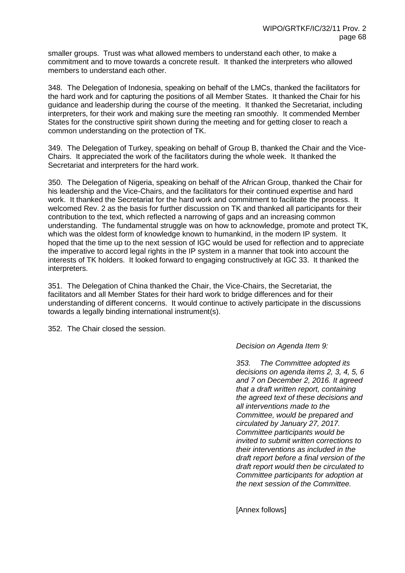smaller groups. Trust was what allowed members to understand each other, to make a commitment and to move towards a concrete result. It thanked the interpreters who allowed members to understand each other.

348. The Delegation of Indonesia, speaking on behalf of the LMCs, thanked the facilitators for the hard work and for capturing the positions of all Member States. It thanked the Chair for his guidance and leadership during the course of the meeting. It thanked the Secretariat, including interpreters, for their work and making sure the meeting ran smoothly. It commended Member States for the constructive spirit shown during the meeting and for getting closer to reach a common understanding on the protection of TK.

349. The Delegation of Turkey, speaking on behalf of Group B, thanked the Chair and the Vice-Chairs. It appreciated the work of the facilitators during the whole week. It thanked the Secretariat and interpreters for the hard work.

350. The Delegation of Nigeria, speaking on behalf of the African Group, thanked the Chair for his leadership and the Vice-Chairs, and the facilitators for their continued expertise and hard work. It thanked the Secretariat for the hard work and commitment to facilitate the process. It welcomed Rev. 2 as the basis for further discussion on TK and thanked all participants for their contribution to the text, which reflected a narrowing of gaps and an increasing common understanding. The fundamental struggle was on how to acknowledge, promote and protect TK, which was the oldest form of knowledge known to humankind, in the modern IP system. It hoped that the time up to the next session of IGC would be used for reflection and to appreciate the imperative to accord legal rights in the IP system in a manner that took into account the interests of TK holders. It looked forward to engaging constructively at IGC 33. It thanked the interpreters.

351. The Delegation of China thanked the Chair, the Vice-Chairs, the Secretariat, the facilitators and all Member States for their hard work to bridge differences and for their understanding of different concerns. It would continue to actively participate in the discussions towards a legally binding international instrument(s).

352. The Chair closed the session.

*Decision on Agenda Item 9:*

*353. The Committee adopted its decisions on agenda items 2, 3, 4, 5, 6 and 7 on December 2, 2016. It agreed that a draft written report, containing the agreed text of these decisions and all interventions made to the Committee, would be prepared and circulated by January 27, 2017. Committee participants would be invited to submit written corrections to their interventions as included in the draft report before a final version of the draft report would then be circulated to Committee participants for adoption at the next session of the Committee.*

[Annex follows]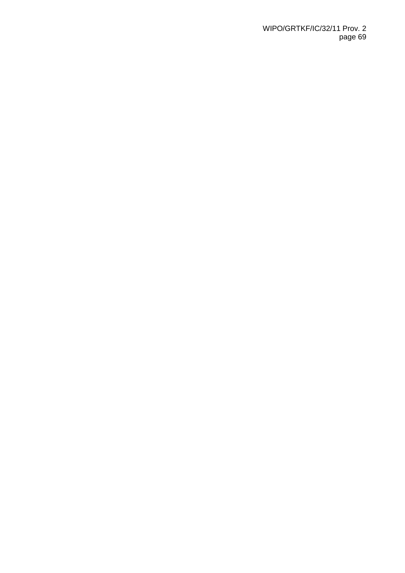# WIPO/GRTKF/IC/32/11 Prov. 2 page 69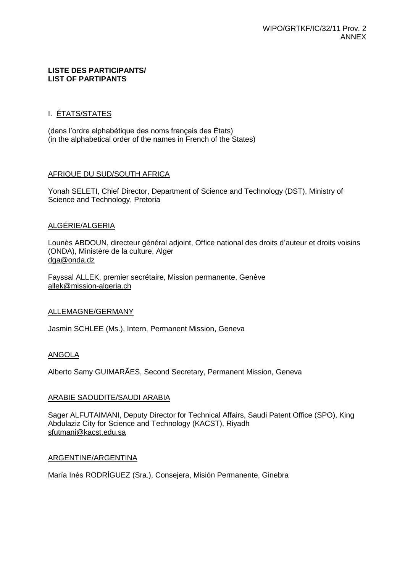### **LISTE DES PARTICIPANTS/ LIST OF PARTIPANTS**

# I. ÉTATS/STATES

(dans l'ordre alphabétique des noms français des États) (in the alphabetical order of the names in French of the States)

# AFRIQUE DU SUD/SOUTH AFRICA

Yonah SELETI, Chief Director, Department of Science and Technology (DST), Ministry of Science and Technology, Pretoria

### ALGÉRIE/ALGERIA

Lounès ABDOUN, directeur général adjoint, Office national des droits d'auteur et droits voisins (ONDA), Ministère de la culture, Alger dga@onda.dz

Fayssal ALLEK, premier secrétaire, Mission permanente, Genève allek@mission-algeria.ch

### ALLEMAGNE/GERMANY

Jasmin SCHLEE (Ms.), Intern, Permanent Mission, Geneva

# ANGOLA

Alberto Samy GUIMARÃES, Second Secretary, Permanent Mission, Geneva

### ARABIE SAOUDITE/SAUDI ARABIA

Sager ALFUTAIMANI, Deputy Director for Technical Affairs, Saudi Patent Office (SPO), King Abdulaziz City for Science and Technology (KACST), Riyadh sfutmani@kacst.edu.sa

### ARGENTINE/ARGENTINA

María Inés RODRÍGUEZ (Sra.), Consejera, Misión Permanente, Ginebra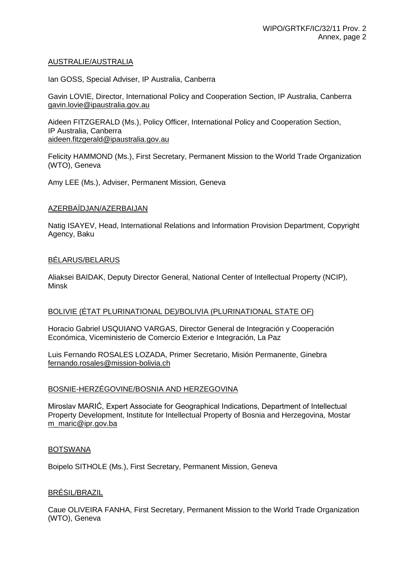### AUSTRALIE/AUSTRALIA

Ian GOSS, Special Adviser, IP Australia, Canberra

Gavin LOVIE, Director, International Policy and Cooperation Section, IP Australia, Canberra gavin.lovie@ipaustralia.gov.au

Aideen FITZGERALD (Ms.), Policy Officer, International Policy and Cooperation Section, IP Australia, Canberra aideen.fitzgerald@ipaustralia.gov.au

Felicity HAMMOND (Ms.), First Secretary, Permanent Mission to the World Trade Organization (WTO), Geneva

Amy LEE (Ms.), Adviser, Permanent Mission, Geneva

### AZERBAÏDJAN/AZERBAIJAN

Natig ISAYEV, Head, International Relations and Information Provision Department, Copyright Agency, Baku

### BÉLARUS/BELARUS

Aliaksei BAIDAK, Deputy Director General, National Center of Intellectual Property (NCIP), Minsk

### BOLIVIE (ÉTAT PLURINATIONAL DE)/BOLIVIA (PLURINATIONAL STATE OF)

Horacio Gabriel USQUIANO VARGAS, Director General de Integración y Cooperación Económica, Viceministerio de Comercio Exterior e Integración, La Paz

Luis Fernando ROSALES LOZADA, Primer Secretario, Misión Permanente, Ginebra fernando.rosales@mission-bolivia.ch

### BOSNIE-HERZÉGOVINE/BOSNIA AND HERZEGOVINA

Miroslav MARIĆ, Expert Associate for Geographical Indications, Department of Intellectual Property Development, Institute for Intellectual Property of Bosnia and Herzegovina, Mostar m\_maric@ipr.gov.ba

### BOTSWANA

Boipelo SITHOLE (Ms.), First Secretary, Permanent Mission, Geneva

# BRÉSIL/BRAZIL

Caue OLIVEIRA FANHA, First Secretary, Permanent Mission to the World Trade Organization (WTO), Geneva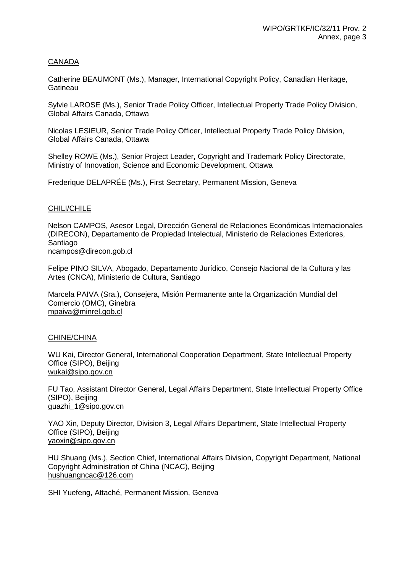# CANADA

Catherine BEAUMONT (Ms.), Manager, International Copyright Policy, Canadian Heritage, Gatineau

Sylvie LAROSE (Ms.), Senior Trade Policy Officer, Intellectual Property Trade Policy Division, Global Affairs Canada, Ottawa

Nicolas LESIEUR, Senior Trade Policy Officer, Intellectual Property Trade Policy Division, Global Affairs Canada, Ottawa

Shelley ROWE (Ms.), Senior Project Leader, Copyright and Trademark Policy Directorate, Ministry of Innovation, Science and Economic Development, Ottawa

Frederique DELAPRÉE (Ms.), First Secretary, Permanent Mission, Geneva

### CHILI/CHILE

Nelson CAMPOS, Asesor Legal, Dirección General de Relaciones Económicas Internacionales (DIRECON), Departamento de Propiedad Intelectual, Ministerio de Relaciones Exteriores, Santiago ncampos@direcon.gob.cl

Felipe PINO SILVA, Abogado, Departamento Jurídico, Consejo Nacional de la Cultura y las Artes (CNCA), Ministerio de Cultura, Santiago

Marcela PAIVA (Sra.), Consejera, Misión Permanente ante la Organización Mundial del Comercio (OMC), Ginebra mpaiva@minrel.gob.cl

### CHINE/CHINA

WU Kai, Director General, International Cooperation Department, State Intellectual Property Office (SIPO), Beijing wukai@sipo.gov.cn

FU Tao, Assistant Director General, Legal Affairs Department, State Intellectual Property Office (SIPO), Beijing guazhi\_1@sipo.gov.cn

YAO Xin, Deputy Director, Division 3, Legal Affairs Department, State Intellectual Property Office (SIPO), Beijing yaoxin@sipo.gov.cn

HU Shuang (Ms.), Section Chief, International Affairs Division, Copyright Department, National Copyright Administration of China (NCAC), Beijing hushuangncac@126.com

SHI Yuefeng, Attaché, Permanent Mission, Geneva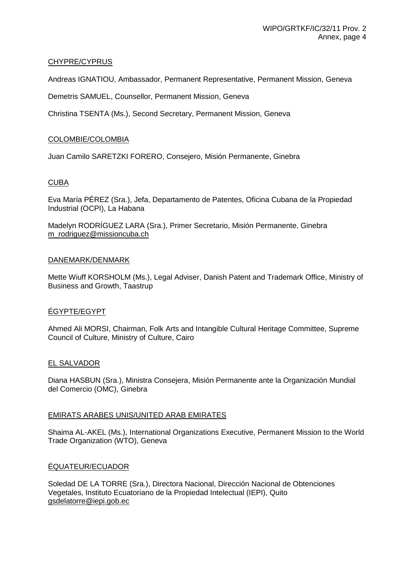# CHYPRE/CYPRUS

Andreas IGNATIOU, Ambassador, Permanent Representative, Permanent Mission, Geneva

Demetris SAMUEL, Counsellor, Permanent Mission, Geneva

Christina TSENTA (Ms.), Second Secretary, Permanent Mission, Geneva

# COLOMBIE/COLOMBIA

Juan Camilo SARETZKI FORERO, Consejero, Misión Permanente, Ginebra

# CUBA

Eva María PÉREZ (Sra.), Jefa, Departamento de Patentes, Oficina Cubana de la Propiedad Industrial (OCPI), La Habana

Madelyn RODRÍGUEZ LARA (Sra.), Primer Secretario, Misión Permanente, Ginebra m\_rodriguez@missioncuba.ch

# DANEMARK/DENMARK

Mette Wiuff KORSHOLM (Ms.), Legal Adviser, Danish Patent and Trademark Office, Ministry of Business and Growth, Taastrup

# ÉGYPTE/EGYPT

Ahmed Ali MORSI, Chairman, Folk Arts and Intangible Cultural Heritage Committee, Supreme Council of Culture, Ministry of Culture, Cairo

# EL SALVADOR

Diana HASBUN (Sra.), Ministra Consejera, Misión Permanente ante la Organización Mundial del Comercio (OMC), Ginebra

# EMIRATS ARABES UNIS/UNITED ARAB EMIRATES

Shaima AL-AKEL (Ms.), International Organizations Executive, Permanent Mission to the World Trade Organization (WTO), Geneva

# ÉQUATEUR/ECUADOR

Soledad DE LA TORRE (Sra.), Directora Nacional, Dirección Nacional de Obtenciones Vegetales, Instituto Ecuatoriano de la Propiedad Intelectual (IEPI), Quito gsdelatorre@iepi.gob.ec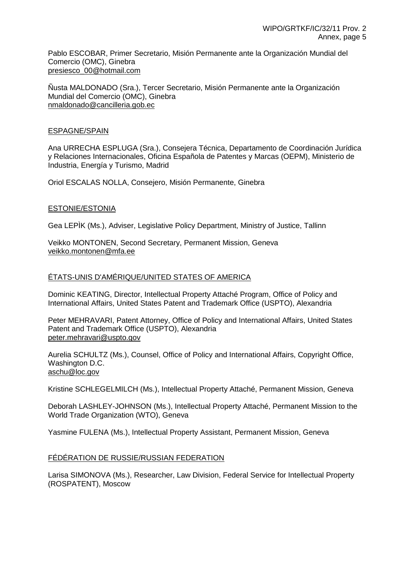Pablo ESCOBAR, Primer Secretario, Misión Permanente ante la Organización Mundial del Comercio (OMC), Ginebra presiesco\_00@hotmail.com

Ñusta MALDONADO (Sra.), Tercer Secretario, Misión Permanente ante la Organización Mundial del Comercio (OMC), Ginebra nmaldonado@cancilleria.gob.ec

#### ESPAGNE/SPAIN

Ana URRECHA ESPLUGA (Sra.), Consejera Técnica, Departamento de Coordinación Jurídica y Relaciones Internacionales, Oficina Española de Patentes y Marcas (OEPM), Ministerio de Industria, Energía y Turismo, Madrid

Oriol ESCALAS NOLLA, Consejero, Misión Permanente, Ginebra

# ESTONIE/ESTONIA

Gea LEPÌK (Ms.), Adviser, Legislative Policy Department, Ministry of Justice, Tallinn

Veikko MONTONEN, Second Secretary, Permanent Mission, Geneva veikko.montonen@mfa.ee

# ÉTATS-UNIS D'AMÉRIQUE/UNITED STATES OF AMERICA

Dominic KEATING, Director, Intellectual Property Attaché Program, Office of Policy and International Affairs, United States Patent and Trademark Office (USPTO), Alexandria

Peter MEHRAVARI, Patent Attorney, Office of Policy and International Affairs, United States Patent and Trademark Office (USPTO), Alexandria peter.mehravari@uspto.gov

Aurelia SCHULTZ (Ms.), Counsel, Office of Policy and International Affairs, Copyright Office, Washington D.C. aschu@loc.gov

Kristine SCHLEGELMILCH (Ms.), Intellectual Property Attaché, Permanent Mission, Geneva

Deborah LASHLEY-JOHNSON (Ms.), Intellectual Property Attaché, Permanent Mission to the World Trade Organization (WTO), Geneva

Yasmine FULENA (Ms.), Intellectual Property Assistant, Permanent Mission, Geneva

#### FÉDÉRATION DE RUSSIE/RUSSIAN FEDERATION

Larisa SIMONOVA (Ms.), Researcher, Law Division, Federal Service for Intellectual Property (ROSPATENT), Moscow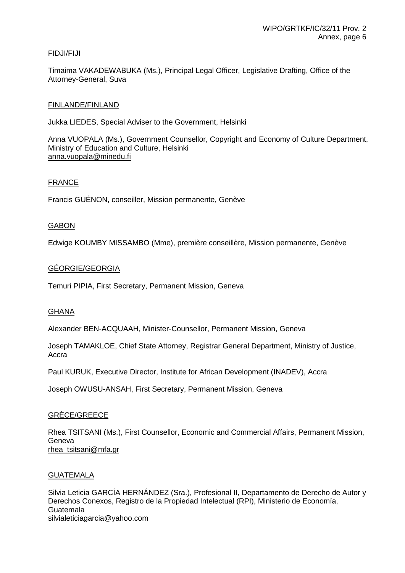# FIDJI/FIJI

Timaima VAKADEWABUKA (Ms.), Principal Legal Officer, Legislative Drafting, Office of the Attorney-General, Suva

## FINLANDE/FINLAND

Jukka LIEDES, Special Adviser to the Government, Helsinki

Anna VUOPALA (Ms.), Government Counsellor, Copyright and Economy of Culture Department, Ministry of Education and Culture, Helsinki anna.vuopala@minedu.fi

## FRANCE

Francis GUÉNON, conseiller, Mission permanente, Genève

## GABON

Edwige KOUMBY MISSAMBO (Mme), première conseillère, Mission permanente, Genève

# GÉORGIE/GEORGIA

Temuri PIPIA, First Secretary, Permanent Mission, Geneva

#### **GHANA**

Alexander BEN-ACQUAAH, Minister-Counsellor, Permanent Mission, Geneva

Joseph TAMAKLOE, Chief State Attorney, Registrar General Department, Ministry of Justice, Accra

Paul KURUK, Executive Director, Institute for African Development (INADEV), Accra

Joseph OWUSU-ANSAH, First Secretary, Permanent Mission, Geneva

# GRÈCE/GREECE

Rhea TSITSANI (Ms.), First Counsellor, Economic and Commercial Affairs, Permanent Mission, Geneva rhea\_tsitsani@mfa.gr

#### GUATEMALA

Silvia Leticia GARCÍA HERNÁNDEZ (Sra.), Profesional II, Departamento de Derecho de Autor y Derechos Conexos, Registro de la Propiedad Intelectual (RPI), Ministerio de Economía, Guatemala silvialeticiagarcia@yahoo.com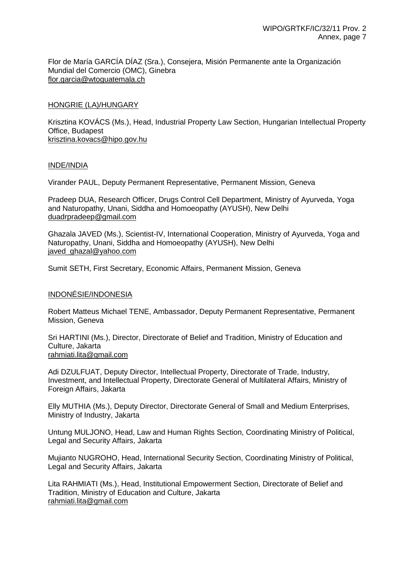Flor de María GARCÍA DÍAZ (Sra.), Consejera, Misión Permanente ante la Organización Mundial del Comercio (OMC), Ginebra flor.garcia@wtoguatemala.ch

## HONGRIE (LA)/HUNGARY

Krisztina KOVÁCS (Ms.), Head, Industrial Property Law Section, Hungarian Intellectual Property Office, Budapest krisztina.kovacs@hipo.gov.hu

## INDE/INDIA

Virander PAUL, Deputy Permanent Representative, Permanent Mission, Geneva

Pradeep DUA, Research Officer, Drugs Control Cell Department, Ministry of Ayurveda, Yoga and Naturopathy, Unani, Siddha and Homoeopathy (AYUSH), New Delhi duadrpradeep@gmail.com

Ghazala JAVED (Ms.), Scientist-IV, International Cooperation, Ministry of Ayurveda, Yoga and Naturopathy, Unani, Siddha and Homoeopathy (AYUSH), New Delhi javed\_ghazal@yahoo.com

Sumit SETH, First Secretary, Economic Affairs, Permanent Mission, Geneva

#### INDONÉSIE/INDONESIA

Robert Matteus Michael TENE, Ambassador, Deputy Permanent Representative, Permanent Mission, Geneva

Sri HARTINI (Ms.), Director, Directorate of Belief and Tradition, Ministry of Education and Culture, Jakarta rahmiati.lita@gmail.com

Adi DZULFUAT, Deputy Director, Intellectual Property, Directorate of Trade, Industry, Investment, and Intellectual Property, Directorate General of Multilateral Affairs, Ministry of Foreign Affairs, Jakarta

Elly MUTHIA (Ms.), Deputy Director, Directorate General of Small and Medium Enterprises, Ministry of Industry, Jakarta

Untung MULJONO, Head, Law and Human Rights Section, Coordinating Ministry of Political, Legal and Security Affairs, Jakarta

Mujianto NUGROHO, Head, International Security Section, Coordinating Ministry of Political, Legal and Security Affairs, Jakarta

Lita RAHMIATI (Ms.), Head, Institutional Empowerment Section, Directorate of Belief and Tradition, Ministry of Education and Culture, Jakarta rahmiati.lita@gmail.com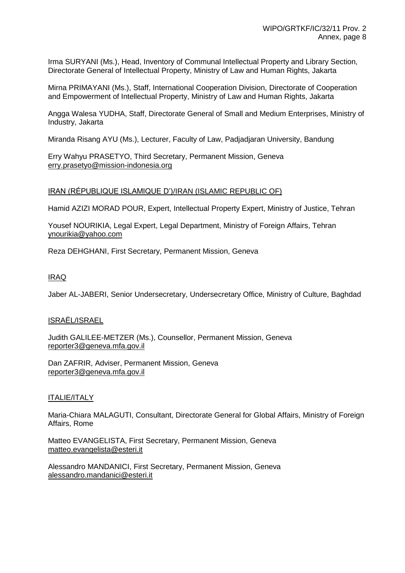Irma SURYANI (Ms.), Head, Inventory of Communal Intellectual Property and Library Section, Directorate General of Intellectual Property, Ministry of Law and Human Rights, Jakarta

Mirna PRIMAYANI (Ms.), Staff, International Cooperation Division, Directorate of Cooperation and Empowerment of Intellectual Property, Ministry of Law and Human Rights, Jakarta

Angga Walesa YUDHA, Staff, Directorate General of Small and Medium Enterprises, Ministry of Industry, Jakarta

Miranda Risang AYU (Ms.), Lecturer, Faculty of Law, Padjadjaran University, Bandung

Erry Wahyu PRASETYO, Third Secretary, Permanent Mission, Geneva erry.prasetyo@mission-indonesia.org

## IRAN (RÉPUBLIQUE ISLAMIQUE D')/IRAN (ISLAMIC REPUBLIC OF)

Hamid AZIZI MORAD POUR, Expert, Intellectual Property Expert, Ministry of Justice, Tehran

Yousef NOURIKIA, Legal Expert, Legal Department, Ministry of Foreign Affairs, Tehran ynourikia@yahoo.com

Reza DEHGHANI, First Secretary, Permanent Mission, Geneva

## IRAQ

Jaber AL-JABERI, Senior Undersecretary, Undersecretary Office, Ministry of Culture, Baghdad

## ISRAËL/ISRAEL

Judith GALILEE-METZER (Ms.), Counsellor, Permanent Mission, Geneva reporter3@geneva.mfa.gov.il

Dan ZAFRIR, Adviser, Permanent Mission, Geneva reporter3@geneva.mfa.gov.il

#### ITALIE/ITALY

Maria-Chiara MALAGUTI, Consultant, Directorate General for Global Affairs, Ministry of Foreign Affairs, Rome

Matteo EVANGELISTA, First Secretary, Permanent Mission, Geneva matteo.evangelista@esteri.it

Alessandro MANDANICI, First Secretary, Permanent Mission, Geneva alessandro.mandanici@esteri.it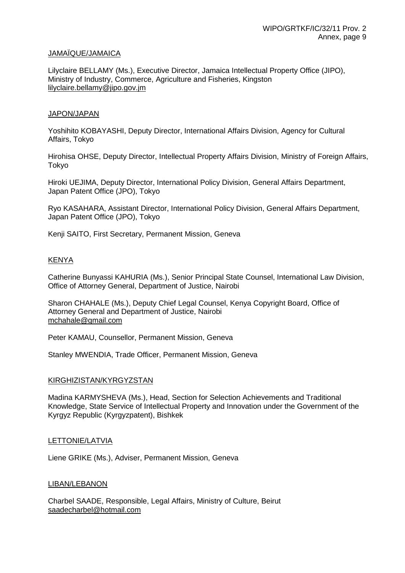# JAMAÏQUE/JAMAICA

Lilyclaire BELLAMY (Ms.), Executive Director, Jamaica Intellectual Property Office (JIPO), Ministry of Industry, Commerce, Agriculture and Fisheries, Kingston lilyclaire.bellamy@jipo.gov.jm

#### JAPON/JAPAN

Yoshihito KOBAYASHI, Deputy Director, International Affairs Division, Agency for Cultural Affairs, Tokyo

Hirohisa OHSE, Deputy Director, Intellectual Property Affairs Division, Ministry of Foreign Affairs, Tokyo

Hiroki UEJIMA, Deputy Director, International Policy Division, General Affairs Department, Japan Patent Office (JPO), Tokyo

Ryo KASAHARA, Assistant Director, International Policy Division, General Affairs Department, Japan Patent Office (JPO), Tokyo

Kenji SAITO, First Secretary, Permanent Mission, Geneva

## KENYA

Catherine Bunyassi KAHURIA (Ms.), Senior Principal State Counsel, International Law Division, Office of Attorney General, Department of Justice, Nairobi

Sharon CHAHALE (Ms.), Deputy Chief Legal Counsel, Kenya Copyright Board, Office of Attorney General and Department of Justice, Nairobi mchahale@gmail.com

Peter KAMAU, Counsellor, Permanent Mission, Geneva

Stanley MWENDIA, Trade Officer, Permanent Mission, Geneva

## KIRGHIZISTAN/KYRGYZSTAN

Madina KARMYSHEVA (Ms.), Head, Section for Selection Achievements and Traditional Knowledge, State Service of Intellectual Property and Innovation under the Government of the Kyrgyz Republic (Kyrgyzpatent), Bishkek

#### LETTONIE/LATVIA

Liene GRIKE (Ms.), Adviser, Permanent Mission, Geneva

#### LIBAN/LEBANON

Charbel SAADE, Responsible, Legal Affairs, Ministry of Culture, Beirut saadecharbel@hotmail.com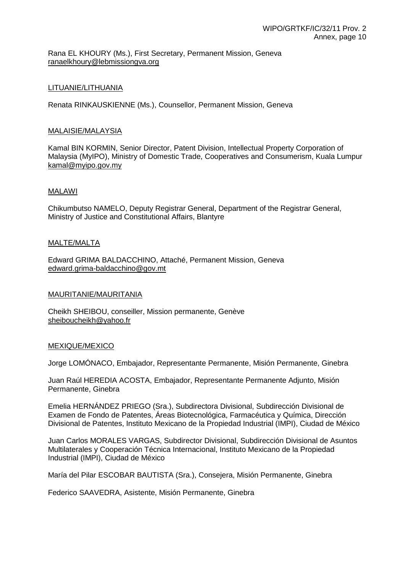Rana EL KHOURY (Ms.), First Secretary, Permanent Mission, Geneva ranaelkhoury@lebmissiongva.org

## LITUANIE/LITHUANIA

Renata RINKAUSKIENNE (Ms.), Counsellor, Permanent Mission, Geneva

#### MALAISIE/MALAYSIA

Kamal BIN KORMIN, Senior Director, Patent Division, Intellectual Property Corporation of Malaysia (MyIPO), Ministry of Domestic Trade, Cooperatives and Consumerism, Kuala Lumpur kamal@myipo.gov.my

## MALAWI

Chikumbutso NAMELO, Deputy Registrar General, Department of the Registrar General, Ministry of Justice and Constitutional Affairs, Blantyre

## MALTE/MALTA

Edward GRIMA BALDACCHINO, Attaché, Permanent Mission, Geneva edward.grima-baldacchino@gov.mt

#### MAURITANIE/MAURITANIA

Cheikh SHEIBOU, conseiller, Mission permanente, Genève sheiboucheikh@yahoo.fr

#### MEXIQUE/MEXICO

Jorge LOMÓNACO, Embajador, Representante Permanente, Misión Permanente, Ginebra

Juan Raúl HEREDIA ACOSTA, Embajador, Representante Permanente Adjunto, Misión Permanente, Ginebra

Emelia HERNÁNDEZ PRIEGO (Sra.), Subdirectora Divisional, Subdirección Divisional de Examen de Fondo de Patentes, Áreas Biotecnológica, Farmacéutica y Química, Dirección Divisional de Patentes, Instituto Mexicano de la Propiedad Industrial (IMPI), Ciudad de México

Juan Carlos MORALES VARGAS, Subdirector Divisional, Subdirección Divisional de Asuntos Multilaterales y Cooperación Técnica Internacional, Instituto Mexicano de la Propiedad Industrial (IMPI), Ciudad de México

María del Pilar ESCOBAR BAUTISTA (Sra.), Consejera, Misión Permanente, Ginebra

Federico SAAVEDRA, Asistente, Misión Permanente, Ginebra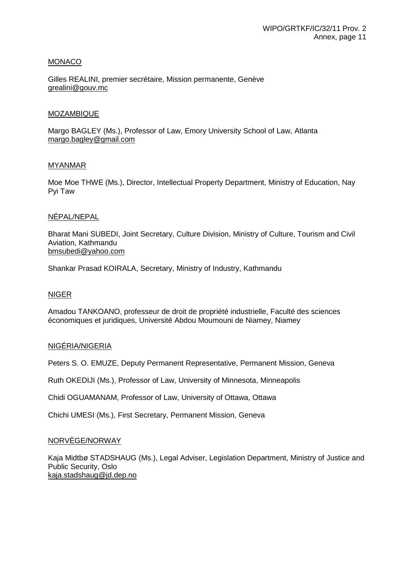# MONACO

Gilles REALINI, premier secrétaire, Mission permanente, Genève grealini@gouv.mc

# MOZAMBIQUE

Margo BAGLEY (Ms.), Professor of Law, Emory University School of Law, Atlanta margo.bagley@gmail.com

## MYANMAR

Moe Moe THWE (Ms.), Director, Intellectual Property Department, Ministry of Education, Nay Pyi Taw

# NÉPAL/NEPAL

Bharat Mani SUBEDI, Joint Secretary, Culture Division, Ministry of Culture, Tourism and Civil Aviation, Kathmandu bmsubedi@yahoo.com

Shankar Prasad KOIRALA, Secretary, Ministry of Industry, Kathmandu

# NIGER

Amadou TANKOANO, professeur de droit de propriété industrielle, Faculté des sciences économiques et juridiques, Université Abdou Moumouni de Niamey, Niamey

# NIGÉRIA/NIGERIA

Peters S. O. EMUZE, Deputy Permanent Representative, Permanent Mission, Geneva

Ruth OKEDIJI (Ms.), Professor of Law, University of Minnesota, Minneapolis

Chidi OGUAMANAM, Professor of Law, University of Ottawa, Ottawa

Chichi UMESI (Ms.), First Secretary, Permanent Mission, Geneva

#### NORVÈGE/NORWAY

Kaja Midtbø STADSHAUG (Ms.), Legal Adviser, Legislation Department, Ministry of Justice and Public Security, Oslo kaja.stadshaug@jd.dep.no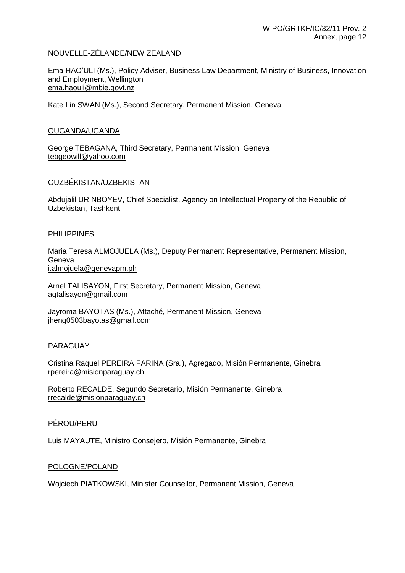## NOUVELLE-ZÉLANDE/NEW ZEALAND

Ema HAO'ULI (Ms.), Policy Adviser, Business Law Department, Ministry of Business, Innovation and Employment, Wellington ema.haouli@mbie.govt.nz

Kate Lin SWAN (Ms.), Second Secretary, Permanent Mission, Geneva

#### OUGANDA/UGANDA

George TEBAGANA, Third Secretary, Permanent Mission, Geneva tebgeowill@yahoo.com

#### OUZBÉKISTAN/UZBEKISTAN

Abdujalil URINBOYEV, Chief Specialist, Agency on Intellectual Property of the Republic of Uzbekistan, Tashkent

#### PHILIPPINES

Maria Teresa ALMOJUELA (Ms.), Deputy Permanent Representative, Permanent Mission, Geneva i.almojuela@genevapm.ph

Arnel TALISAYON, First Secretary, Permanent Mission, Geneva agtalisayon@gmail.com

Jayroma BAYOTAS (Ms.), Attaché, Permanent Mission, Geneva jheng0503bayotas@gmail.com

#### PARAGUAY

Cristina Raquel PEREIRA FARINA (Sra.), Agregado, Misión Permanente, Ginebra rpereira@misionparaguay.ch

Roberto RECALDE, Segundo Secretario, Misión Permanente, Ginebra rrecalde@misionparaguay.ch

#### PÉROU/PERU

Luis MAYAUTE, Ministro Consejero, Misión Permanente, Ginebra

#### POLOGNE/POLAND

Wojciech PIATKOWSKI, Minister Counsellor, Permanent Mission, Geneva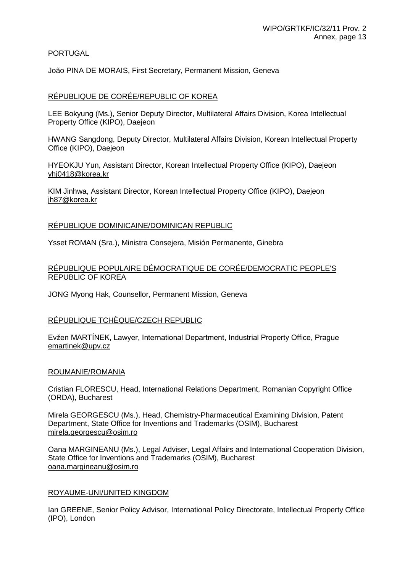# PORTUGAL

João PINA DE MORAIS, First Secretary, Permanent Mission, Geneva

# RÉPUBLIQUE DE CORÉE/REPUBLIC OF KOREA

LEE Bokyung (Ms.), Senior Deputy Director, Multilateral Affairs Division, Korea Intellectual Property Office (KIPO), Daejeon

HWANG Sangdong, Deputy Director, Multilateral Affairs Division, Korean Intellectual Property Office (KIPO), Daejeon

HYEOKJU Yun, Assistant Director, Korean Intellectual Property Office (KIPO), Daejeon yhj0418@korea.kr

KIM Jinhwa, Assistant Director, Korean Intellectual Property Office (KIPO), Daejeon ih87@korea.kr

RÉPUBLIQUE DOMINICAINE/DOMINICAN REPUBLIC

Ysset ROMAN (Sra.), Ministra Consejera, Misión Permanente, Ginebra

# RÉPUBLIQUE POPULAIRE DÉMOCRATIQUE DE CORÉE/DEMOCRATIC PEOPLE'S REPUBLIC OF KOREA

JONG Myong Hak, Counsellor, Permanent Mission, Geneva

# RÉPUBLIQUE TCHÈQUE/CZECH REPUBLIC

Evžen MARTÍNEK, Lawyer, International Department, Industrial Property Office, Prague emartinek@upv.cz

#### ROUMANIE/ROMANIA

Cristian FLORESCU, Head, International Relations Department, Romanian Copyright Office (ORDA), Bucharest

Mirela GEORGESCU (Ms.), Head, Chemistry-Pharmaceutical Examining Division, Patent Department, State Office for Inventions and Trademarks (OSIM), Bucharest mirela.georgescu@osim.ro

Oana MARGINEANU (Ms.), Legal Adviser, Legal Affairs and International Cooperation Division, State Office for Inventions and Trademarks (OSIM), Bucharest [oana.margineanu@osim.ro](mailto:oana.margineanu@osim.ro)

# ROYAUME-UNI/UNITED KINGDOM

Ian GREENE, Senior Policy Advisor, International Policy Directorate, Intellectual Property Office (IPO), London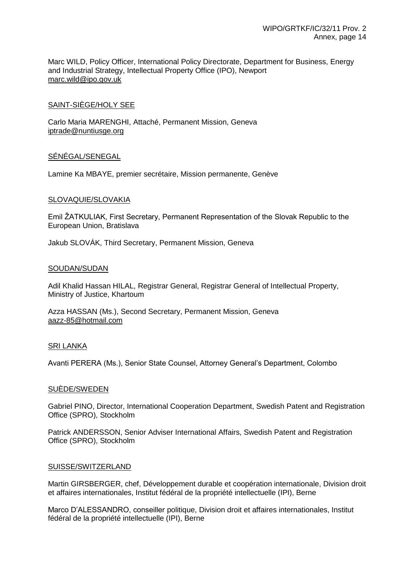Marc WILD, Policy Officer, International Policy Directorate, Department for Business, Energy and Industrial Strategy, Intellectual Property Office (IPO), Newport marc.wild@ipo.gov.uk

## SAINT-SIÈGE/HOLY SEE

Carlo Maria MARENGHI, Attaché, Permanent Mission, Geneva iptrade@nuntiusge.org

## SÉNÉGAL/SENEGAL

Lamine Ka MBAYE, premier secrétaire, Mission permanente, Genève

## SLOVAQUIE/SLOVAKIA

Emil ŽATKULIAK, First Secretary, Permanent Representation of the Slovak Republic to the European Union, Bratislava

Jakub SLOVÁK, Third Secretary, Permanent Mission, Geneva

#### SOUDAN/SUDAN

Adil Khalid Hassan HILAL, Registrar General, Registrar General of Intellectual Property, Ministry of Justice, Khartoum

Azza HASSAN (Ms.), Second Secretary, Permanent Mission, Geneva aazz-85@hotmail.com

#### SRI LANKA

Avanti PERERA (Ms.), Senior State Counsel, Attorney General's Department, Colombo

#### SUÈDE/SWEDEN

Gabriel PINO, Director, International Cooperation Department, Swedish Patent and Registration Office (SPRO), Stockholm

Patrick ANDERSSON, Senior Adviser International Affairs, Swedish Patent and Registration Office (SPRO), Stockholm

#### SUISSE/SWITZERLAND

Martin GIRSBERGER, chef, Développement durable et coopération internationale, Division droit et affaires internationales, Institut fédéral de la propriété intellectuelle (IPI), Berne

Marco D'ALESSANDRO, conseiller politique, Division droit et affaires internationales, Institut fédéral de la propriété intellectuelle (IPI), Berne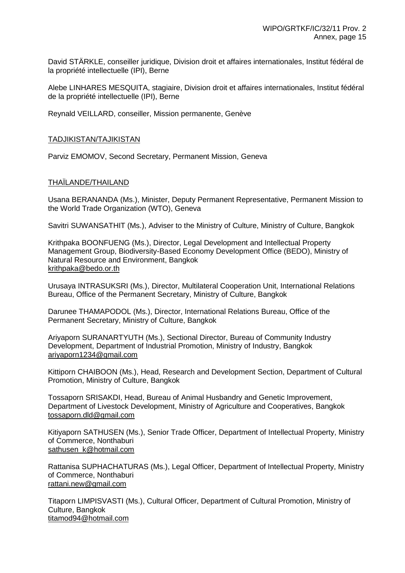David STÄRKLE, conseiller juridique, Division droit et affaires internationales, Institut fédéral de la propriété intellectuelle (IPI), Berne

Alebe LINHARES MESQUITA, stagiaire, Division droit et affaires internationales, Institut fédéral de la propriété intellectuelle (IPI), Berne

Reynald VEILLARD, conseiller, Mission permanente, Genève

## TADJIKISTAN/TAJIKISTAN

Parviz EMOMOV, Second Secretary, Permanent Mission, Geneva

# THAÏLANDE/THAILAND

Usana BERANANDA (Ms.), Minister, Deputy Permanent Representative, Permanent Mission to the World Trade Organization (WTO), Geneva

Savitri SUWANSATHIT (Ms.), Adviser to the Ministry of Culture, Ministry of Culture, Bangkok

Krithpaka BOONFUENG (Ms.), Director, Legal Development and Intellectual Property Management Group, Biodiversity-Based Economy Development Office (BEDO), Ministry of Natural Resource and Environment, Bangkok krithpaka@bedo.or.th

Urusaya INTRASUKSRI (Ms.), Director, Multilateral Cooperation Unit, International Relations Bureau, Office of the Permanent Secretary, Ministry of Culture, Bangkok

Darunee THAMAPODOL (Ms.), Director, International Relations Bureau, Office of the Permanent Secretary, Ministry of Culture, Bangkok

Ariyaporn SURANARTYUTH (Ms.), Sectional Director, Bureau of Community Industry Development, Department of Industrial Promotion, Ministry of Industry, Bangkok ariyaporn1234@gmail.com

Kittiporn CHAIBOON (Ms.), Head, Research and Development Section, Department of Cultural Promotion, Ministry of Culture, Bangkok

Tossaporn SRISAKDI, Head, Bureau of Animal Husbandry and Genetic Improvement, Department of Livestock Development, Ministry of Agriculture and Cooperatives, Bangkok tossaporn.dld@gmail.com

Kitiyaporn SATHUSEN (Ms.), Senior Trade Officer, Department of Intellectual Property, Ministry of Commerce, Nonthaburi sathusen\_k@hotmail.com

Rattanisa SUPHACHATURAS (Ms.), Legal Officer, Department of Intellectual Property, Ministry of Commerce, Nonthaburi rattani.new@gmail.com

Titaporn LIMPISVASTI (Ms.), Cultural Officer, Department of Cultural Promotion, Ministry of Culture, Bangkok titamod94@hotmail.com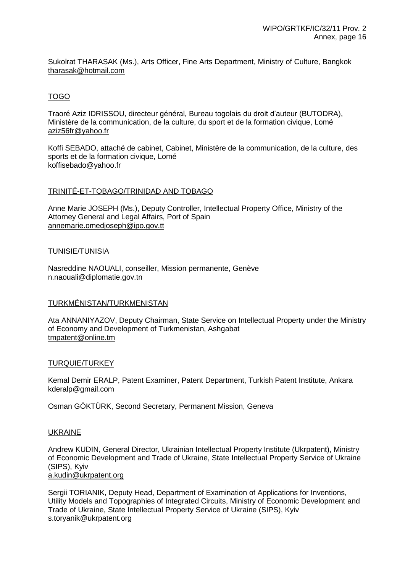Sukolrat THARASAK (Ms.), Arts Officer, Fine Arts Department, Ministry of Culture, Bangkok tharasak@hotmail.com

# TOGO

Traoré Aziz IDRISSOU, directeur général, Bureau togolais du droit d'auteur (BUTODRA), Ministère de la communication, de la culture, du sport et de la formation civique, Lomé aziz56fr@yahoo.fr

Koffi SEBADO, attaché de cabinet, Cabinet, Ministère de la communication, de la culture, des sports et de la formation civique, Lomé koffisebado@yahoo.fr

## TRINITÉ-ET-TOBAGO/TRINIDAD AND TOBAGO

Anne Marie JOSEPH (Ms.), Deputy Controller, Intellectual Property Office, Ministry of the Attorney General and Legal Affairs, Port of Spain annemarie.omedjoseph@ipo.gov.tt

## TUNISIE/TUNISIA

Nasreddine NAOUALI, conseiller, Mission permanente, Genève n.naouali@diplomatie.gov.tn

#### TURKMÉNISTAN/TURKMENISTAN

Ata ANNANIYAZOV, Deputy Chairman, State Service on Intellectual Property under the Ministry of Economy and Development of Turkmenistan, Ashgabat tmpatent@online.tm

#### TURQUIE/TURKEY

Kemal Demir ERALP, Patent Examiner, Patent Department, Turkish Patent Institute, Ankara kderalp@gmail.com

Osman GÖKTÜRK, Second Secretary, Permanent Mission, Geneva

#### UKRAINE

Andrew KUDIN, General Director, Ukrainian Intellectual Property Institute (Ukrpatent), Ministry of Economic Development and Trade of Ukraine, State Intellectual Property Service of Ukraine (SIPS), Kyiv

# a.kudin@ukrpatent.org

Sergii TORIANIK, Deputy Head, Department of Examination of Applications for Inventions, Utility Models and Topographies of Integrated Circuits, Ministry of Economic Development and Trade of Ukraine, State Intellectual Property Service of Ukraine (SIPS), Kyiv s.toryanik@ukrpatent.org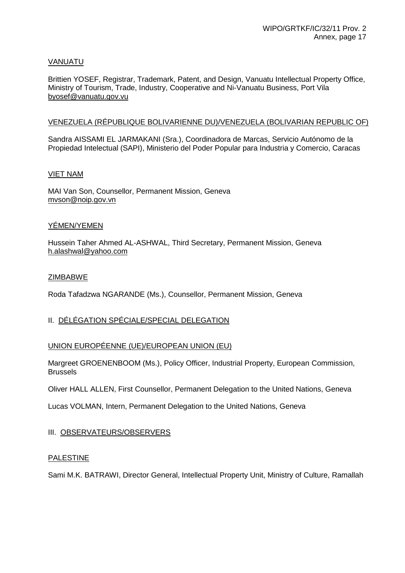# VANUATU

Brittien YOSEF, Registrar, Trademark, Patent, and Design, Vanuatu Intellectual Property Office, Ministry of Tourism, Trade, Industry, Cooperative and Ni-Vanuatu Business, Port Vila byosef@vanuatu.gov.vu

# VENEZUELA (RÉPUBLIQUE BOLIVARIENNE DU)/VENEZUELA (BOLIVARIAN REPUBLIC OF)

Sandra AISSAMI EL JARMAKANI (Sra.), Coordinadora de Marcas, Servicio Autónomo de la Propiedad Intelectual (SAPI), Ministerio del Poder Popular para Industria y Comercio, Caracas

## VIET NAM

MAI Van Son, Counsellor, Permanent Mission, Geneva mvson@noip.gov.vn

## YÉMEN/YEMEN

Hussein Taher Ahmed AL-ASHWAL, Third Secretary, Permanent Mission, Geneva h.alashwal@yahoo.com

## ZIMBABWE

Roda Tafadzwa NGARANDE (Ms.), Counsellor, Permanent Mission, Geneva

# II. DÉLÉGATION SPÉCIALE/SPECIAL DELEGATION

# UNION EUROPÉENNE (UE)/EUROPEAN UNION (EU)

Margreet GROENENBOOM (Ms.), Policy Officer, Industrial Property, European Commission, **Brussels** 

Oliver HALL ALLEN, First Counsellor, Permanent Delegation to the United Nations, Geneva

Lucas VOLMAN, Intern, Permanent Delegation to the United Nations, Geneva

# III. OBSERVATEURS/OBSERVERS

#### PALESTINE

Sami M.K. BATRAWI, Director General, Intellectual Property Unit, Ministry of Culture, Ramallah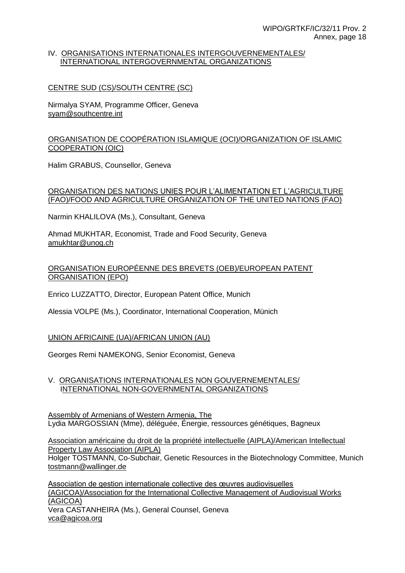#### IV. ORGANISATIONS INTERNATIONALES INTERGOUVERNEMENTALES/ INTERNATIONAL INTERGOVERNMENTAL ORGANIZATIONS

# CENTRE SUD (CS)/SOUTH CENTRE (SC)

Nirmalya SYAM, Programme Officer, Geneva syam@southcentre.int

## ORGANISATION DE COOPÉRATION ISLAMIQUE (OCI)/ORGANIZATION OF ISLAMIC COOPERATION (OIC)

Halim GRABUS, Counsellor, Geneva

## ORGANISATION DES NATIONS UNIES POUR L'ALIMENTATION ET L'AGRICULTURE (FAO)/FOOD AND AGRICULTURE ORGANIZATION OF THE UNITED NATIONS (FAO)

Narmin KHALILOVA (Ms.), Consultant, Geneva

Ahmad MUKHTAR, Economist, Trade and Food Security, Geneva amukhtar@unog.ch

# ORGANISATION EUROPÉENNE DES BREVETS (OEB)/EUROPEAN PATENT ORGANISATION (EPO)

Enrico LUZZATTO, Director, European Patent Office, Munich

Alessia VOLPE (Ms.), Coordinator, International Cooperation, Münich

UNION AFRICAINE (UA)/AFRICAN UNION (AU)

tostmann@wallinger.de

Georges Remi NAMEKONG, Senior Economist, Geneva

# V. ORGANISATIONS INTERNATIONALES NON GOUVERNEMENTALES/ INTERNATIONAL NON-GOVERNMENTAL ORGANIZATIONS

Assembly of Armenians of Western Armenia, The Lydia MARGOSSIAN (Mme), déléguée, Énergie, ressources génétiques, Bagneux

Association américaine du droit de la propriété intellectuelle (AIPLA)/American Intellectual Property Law Association (AIPLA) Holger TOSTMANN, Co-Subchair, Genetic Resources in the Biotechnology Committee, Munich

Association de gestion internationale collective des œuvres audiovisuelles (AGICOA)/Association for the International Collective Management of Audiovisual Works (AGICOA) Vera CASTANHEIRA (Ms.), General Counsel, Geneva vca@agicoa.org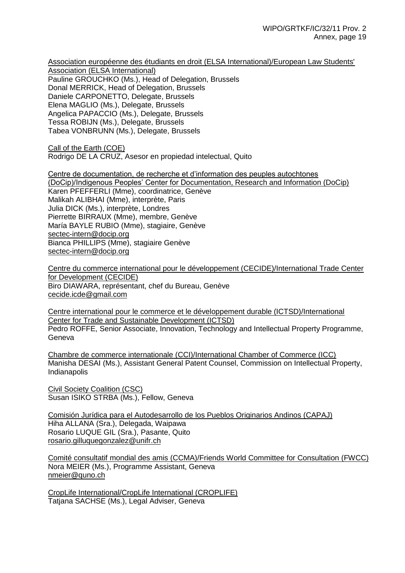Association européenne des étudiants en droit (ELSA International)/European Law Students' Association (ELSA International)

Pauline GROUCHKO (Ms.), Head of Delegation, Brussels Donal MERRICK, Head of Delegation, Brussels Daniele CARPONETTO, Delegate, Brussels Elena MAGLIO (Ms.), Delegate, Brussels Angelica PAPACCIO (Ms.), Delegate, Brussels Tessa ROBIJN (Ms.), Delegate, Brussels Tabea VONBRUNN (Ms.), Delegate, Brussels

Call of the Earth (COE) Rodrigo DE LA CRUZ, Asesor en propiedad intelectual, Quito

Centre de documentation, de recherche et d'information des peuples autochtones (DoCip)/Indigenous Peoples' Center for Documentation, Research and Information (DoCip) Karen PFEFFERLI (Mme), coordinatrice, Genève Malikah ALIBHAI (Mme), interprète, Paris Julia DICK (Ms.), interprète, Londres Pierrette BIRRAUX (Mme), membre, Genève María BAYLE RUBIO (Mme), stagiaire, Genève sectec-intern@docip.org Bianca PHILLIPS (Mme), stagiaire Genève sectec-intern@docip.org

Centre du commerce international pour le développement (CECIDE)/International Trade Center for Development (CECIDE) Biro DIAWARA, représentant, chef du Bureau, Genève cecide.icde@gmail.com

Centre international pour le commerce et le développement durable (ICTSD)/International Center for Trade and Sustainable Development (ICTSD) Pedro ROFFE, Senior Associate, Innovation, Technology and Intellectual Property Programme, Geneva

Chambre de commerce internationale (CCI)/International Chamber of Commerce (ICC) Manisha DESAI (Ms.), Assistant General Patent Counsel, Commission on Intellectual Property, Indianapolis

Civil Society Coalition (CSC) Susan ISIKO STRBA (Ms.), Fellow, Geneva

Comisión Jurídica para el Autodesarrollo de los Pueblos Originarios Andinos (CAPAJ) Hiha ALLANA (Sra.), Delegada, Waipawa Rosario LUQUE GIL (Sra.), Pasante, Quito rosario.gilluquegonzalez@unifr.ch

Comité consultatif mondial des amis (CCMA)/Friends World Committee for Consultation (FWCC) Nora MEIER (Ms.), Programme Assistant, Geneva nmeier@quno.ch

CropLife International/CropLife International (CROPLIFE) Tatjana SACHSE (Ms.), Legal Adviser, Geneva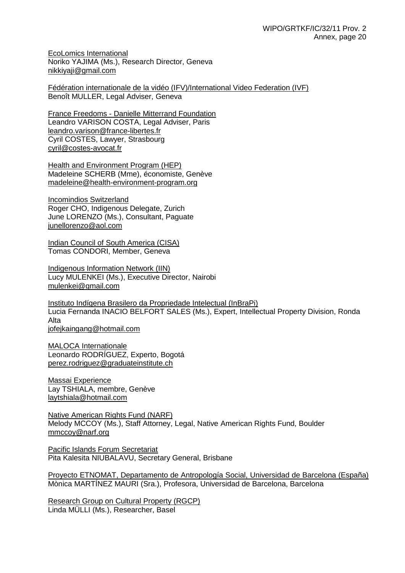EcoLomics International Noriko YAJIMA (Ms.), Research Director, Geneva nikkiyaji@gmail.com

Fédération internationale de la vidéo (IFV)/International Video Federation (IVF) Benoît MULLER, Legal Adviser, Geneva

France Freedoms - Danielle Mitterrand Foundation Leandro VARISON COSTA, Legal Adviser, Paris leandro.varison@france-libertes.fr Cyril COSTES, Lawyer, Strasbourg cyril@costes-avocat.fr

Health and Environment Program (HEP) Madeleine SCHERB (Mme), économiste, Genève madeleine@health-environment-program.org

Incomindios Switzerland Roger CHO, Indigenous Delegate, Zurich June LORENZO (Ms.), Consultant, Paguate junellorenzo@aol.com

Indian Council of South America (CISA) Tomas CONDORI, Member, Geneva

Indigenous Information Network (IIN) Lucy MULENKEI (Ms.), Executive Director, Nairobi mulenkei@gmail.com

Instituto Indígena Brasilero da Propriedade Intelectual (InBraPi) Lucia Fernanda INACIO BELFORT SALES (Ms.), Expert, Intellectual Property Division, Ronda Alta jofejkaingang@hotmail.com

MALOCA Internationale Leonardo RODRÍGUEZ, Experto, Bogotá perez.rodriguez@graduateinstitute.ch

Massai Experience Lay TSHIALA, membre, Genève laytshiala@hotmail.com

Native American Rights Fund (NARF) Melody MCCOY (Ms.), Staff Attorney, Legal, Native American Rights Fund, Boulder mmccoy@narf.org

Pacific Islands Forum Secretariat Pita Kalesita NIUBALAVU, Secretary General, Brisbane

Proyecto ETNOMAT, Departamento de Antropología Social, Universidad de Barcelona (España) Mònica MARTÍNEZ MAURI (Sra.), Profesora, Universidad de Barcelona, Barcelona

Research Group on Cultural Property (RGCP) Linda MÜLLI (Ms.), Researcher, Basel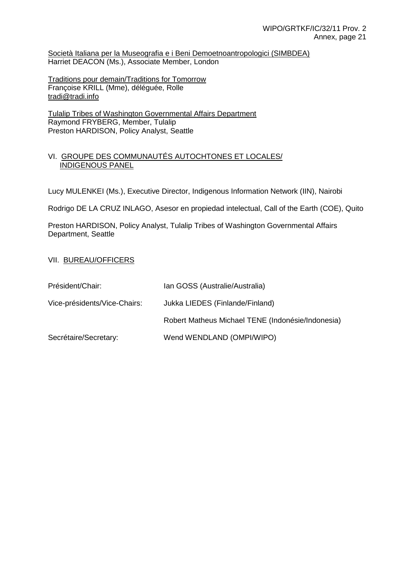Società Italiana per la Museografia e i Beni Demoetnoantropologici (SIMBDEA) Harriet DEACON (Ms.), Associate Member, London

Traditions pour demain/Traditions for Tomorrow Françoise KRILL (Mme), déléguée, Rolle tradi@tradi.info

Tulalip Tribes of Washington Governmental Affairs Department Raymond FRYBERG, Member, Tulalip Preston HARDISON, Policy Analyst, Seattle

# VI. GROUPE DES COMMUNAUTÉS AUTOCHTONES ET LOCALES/ INDIGENOUS PANEL

Lucy MULENKEI (Ms.), Executive Director, Indigenous Information Network (IIN), Nairobi

Rodrigo DE LA CRUZ INLAGO, Asesor en propiedad intelectual, Call of the Earth (COE), Quito

Preston HARDISON, Policy Analyst, Tulalip Tribes of Washington Governmental Affairs Department, Seattle

# VII. BUREAU/OFFICERS

| Président/Chair:             | Ian GOSS (Australie/Australia)                    |
|------------------------------|---------------------------------------------------|
| Vice-présidents/Vice-Chairs: | Jukka LIEDES (Finlande/Finland)                   |
|                              | Robert Matheus Michael TENE (Indonésie/Indonesia) |
| Secrétaire/Secretary:        | Wend WENDLAND (OMPI/WIPO)                         |